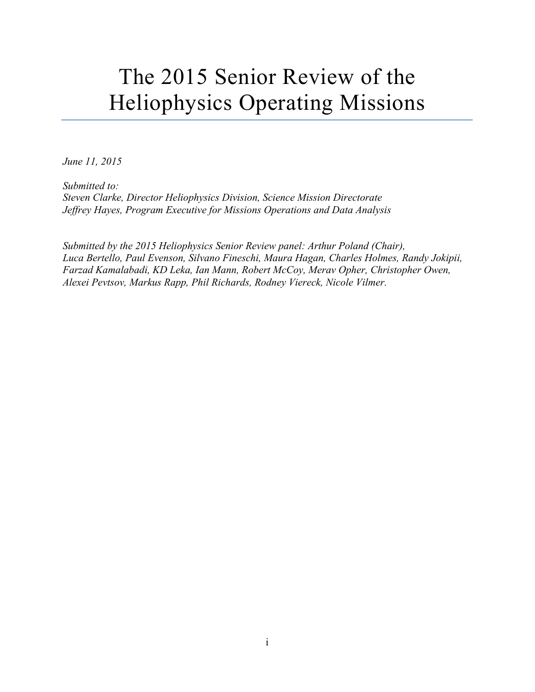# The 2015 Senior Review of the Heliophysics Operating Missions

*June 11, 2015*

*Submitted to: Steven Clarke, Director Heliophysics Division, Science Mission Directorate Jeffrey Hayes, Program Executive for Missions Operations and Data Analysis*

*Submitted by the 2015 Heliophysics Senior Review panel: Arthur Poland (Chair), Luca Bertello, Paul Evenson, Silvano Fineschi, Maura Hagan, Charles Holmes, Randy Jokipii, Farzad Kamalabadi, KD Leka, Ian Mann, Robert McCoy, Merav Opher, Christopher Owen, Alexei Pevtsov, Markus Rapp, Phil Richards, Rodney Viereck, Nicole Vilmer.*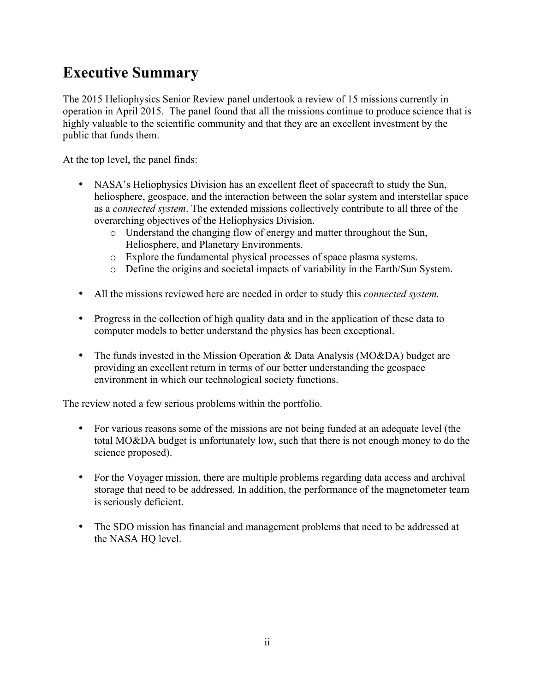# **Executive Summary**

The 2015 Heliophysics Senior Review panel undertook a review of 15 missions currently in operation in April 2015. The panel found that all the missions continue to produce science that is highly valuable to the scientific community and that they are an excellent investment by the public that funds them.

At the top level, the panel finds:

- NASA's Heliophysics Division has an excellent fleet of spacecraft to study the Sun, heliosphere, geospace, and the interaction between the solar system and interstellar space as a *connected system*. The extended missions collectively contribute to all three of the overarching objectives of the Heliophysics Division.
	- o Understand the changing flow of energy and matter throughout the Sun, Heliosphere, and Planetary Environments.
	- o Explore the fundamental physical processes of space plasma systems.
	- o Define the origins and societal impacts of variability in the Earth/Sun System.
- All the missions reviewed here are needed in order to study this *connected system.*
- Progress in the collection of high quality data and in the application of these data to computer models to better understand the physics has been exceptional.
- The funds invested in the Mission Operation & Data Analysis (MO&DA) budget are providing an excellent return in terms of our better understanding the geospace environment in which our technological society functions.

The review noted a few serious problems within the portfolio.

- For various reasons some of the missions are not being funded at an adequate level (the total MO&DA budget is unfortunately low, such that there is not enough money to do the science proposed).
- For the Voyager mission, there are multiple problems regarding data access and archival storage that need to be addressed. In addition, the performance of the magnetometer team is seriously deficient.
- The SDO mission has financial and management problems that need to be addressed at the NASA HQ level.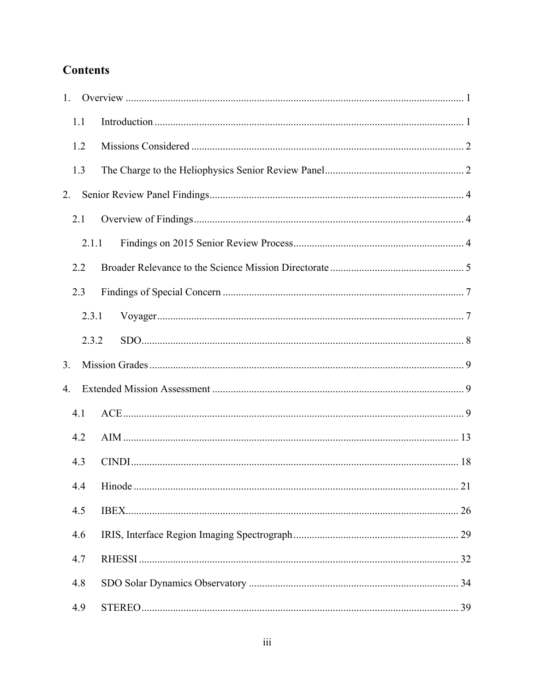# **Contents**

| 1. |       |  |
|----|-------|--|
|    | 1.1   |  |
|    | 1.2   |  |
|    | 1.3   |  |
| 2. |       |  |
|    | 2.1   |  |
|    | 2.1.1 |  |
|    | 2.2   |  |
|    | 2.3   |  |
|    | 2.3.1 |  |
|    | 2.3.2 |  |
| 3. |       |  |
| 4. |       |  |
|    | 4.1   |  |
|    | 4.2   |  |
|    | 4.3   |  |
|    | 4.4   |  |
|    | 4.5   |  |
|    | 4.6   |  |
|    | 4.7   |  |
|    | 4.8   |  |
|    | 4.9   |  |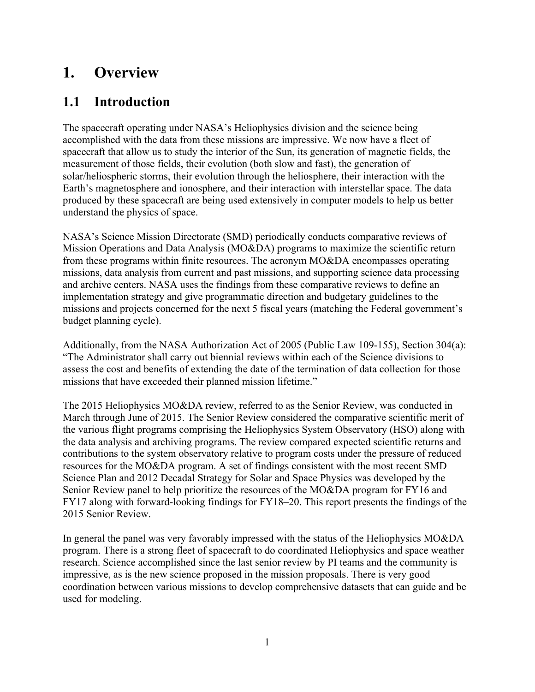# **1. Overview**

# **1.1 Introduction**

The spacecraft operating under NASA's Heliophysics division and the science being accomplished with the data from these missions are impressive. We now have a fleet of spacecraft that allow us to study the interior of the Sun, its generation of magnetic fields, the measurement of those fields, their evolution (both slow and fast), the generation of solar/heliospheric storms, their evolution through the heliosphere, their interaction with the Earth's magnetosphere and ionosphere, and their interaction with interstellar space. The data produced by these spacecraft are being used extensively in computer models to help us better understand the physics of space.

NASA's Science Mission Directorate (SMD) periodically conducts comparative reviews of Mission Operations and Data Analysis (MO&DA) programs to maximize the scientific return from these programs within finite resources. The acronym MO&DA encompasses operating missions, data analysis from current and past missions, and supporting science data processing and archive centers. NASA uses the findings from these comparative reviews to define an implementation strategy and give programmatic direction and budgetary guidelines to the missions and projects concerned for the next 5 fiscal years (matching the Federal government's budget planning cycle).

Additionally, from the NASA Authorization Act of 2005 (Public Law 109-155), Section 304(a): "The Administrator shall carry out biennial reviews within each of the Science divisions to assess the cost and benefits of extending the date of the termination of data collection for those missions that have exceeded their planned mission lifetime."

The 2015 Heliophysics MO&DA review, referred to as the Senior Review, was conducted in March through June of 2015. The Senior Review considered the comparative scientific merit of the various flight programs comprising the Heliophysics System Observatory (HSO) along with the data analysis and archiving programs. The review compared expected scientific returns and contributions to the system observatory relative to program costs under the pressure of reduced resources for the MO&DA program. A set of findings consistent with the most recent SMD Science Plan and 2012 Decadal Strategy for Solar and Space Physics was developed by the Senior Review panel to help prioritize the resources of the MO&DA program for FY16 and FY17 along with forward-looking findings for FY18–20. This report presents the findings of the 2015 Senior Review.

In general the panel was very favorably impressed with the status of the Heliophysics MO&DA program. There is a strong fleet of spacecraft to do coordinated Heliophysics and space weather research. Science accomplished since the last senior review by PI teams and the community is impressive, as is the new science proposed in the mission proposals. There is very good coordination between various missions to develop comprehensive datasets that can guide and be used for modeling.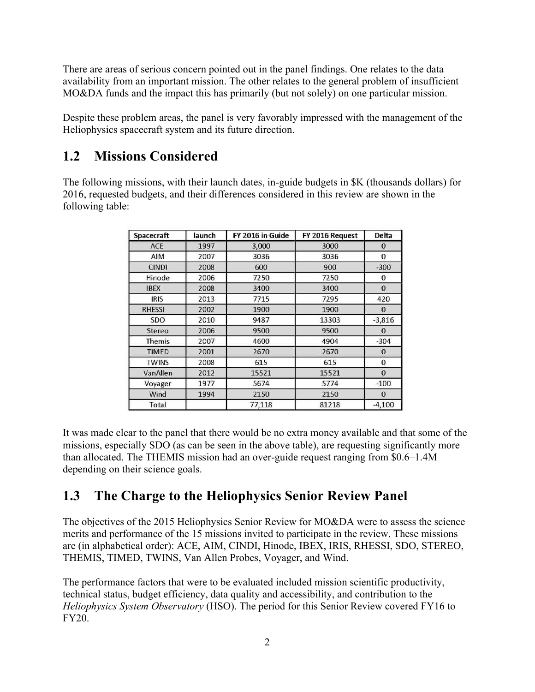There are areas of serious concern pointed out in the panel findings. One relates to the data availability from an important mission. The other relates to the general problem of insufficient MO&DA funds and the impact this has primarily (but not solely) on one particular mission.

Despite these problem areas, the panel is very favorably impressed with the management of the Heliophysics spacecraft system and its future direction.

# **1.2 Missions Considered**

The following missions, with their launch dates, in-guide budgets in \$K (thousands dollars) for 2016, requested budgets, and their differences considered in this review are shown in the following table:

| Spacecraft    | launch | FY 2016 in Guide | FY 2016 Request | Delta        |
|---------------|--------|------------------|-----------------|--------------|
| ACE           | 1997   | 3,000            | 3000            | $\mathbf{0}$ |
| AIM           | 2007   | 3036             | 3036            | $\Omega$     |
| <b>CINDI</b>  | 2008   | 600              | 900             | $-300$       |
| Hinode        | 2006   | 7250             | 7250            | 0            |
| <b>IBEX</b>   | 2008   | 3400             | 3400            | $\Omega$     |
| <b>IRIS</b>   | 2013   | 7715             | 7295            | 420          |
| <b>RHESSI</b> | 2002   | 1900             | 1900            | $\Omega$     |
| SDO           | 2010   | 9487             | 13303           | $-3,816$     |
| Stereo        | 2006   | 9500             | 9500            | $\mathbf{0}$ |
| Themis        | 2007   | 4600             | 4904            | $-304$       |
| <b>TIMED</b>  | 2001   | 2670             | 2670            | $\Omega$     |
| <b>TWINS</b>  | 2008   | 615              | 615             | 0            |
| VanAllen      | 2012   | 15521            | 15521           | $\mathbf{0}$ |
| Voyager       | 1977   | 5674             | 5774            | $-100$       |
| Wind          | 1994   | 2150             | 2150            | $\mathbf{0}$ |
| Total         |        | 77,118           | 81218           | $-4,100$     |

It was made clear to the panel that there would be no extra money available and that some of the missions, especially SDO (as can be seen in the above table), are requesting significantly more than allocated. The THEMIS mission had an over-guide request ranging from \$0.6–1.4M depending on their science goals.

# **1.3 The Charge to the Heliophysics Senior Review Panel**

The objectives of the 2015 Heliophysics Senior Review for MO&DA were to assess the science merits and performance of the 15 missions invited to participate in the review. These missions are (in alphabetical order): ACE, AIM, CINDI, Hinode, IBEX, IRIS, RHESSI, SDO, STEREO, THEMIS, TIMED, TWINS, Van Allen Probes, Voyager, and Wind.

The performance factors that were to be evaluated included mission scientific productivity, technical status, budget efficiency, data quality and accessibility, and contribution to the *Heliophysics System Observatory* (HSO). The period for this Senior Review covered FY16 to FY20.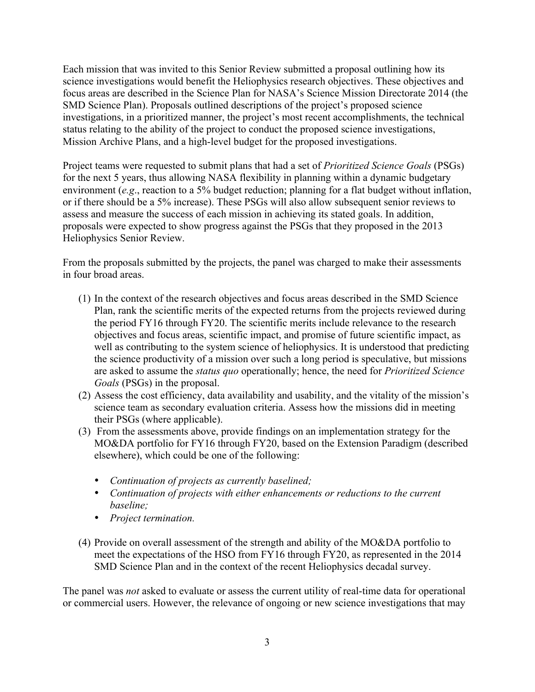Each mission that was invited to this Senior Review submitted a proposal outlining how its science investigations would benefit the Heliophysics research objectives. These objectives and focus areas are described in the Science Plan for NASA's Science Mission Directorate 2014 (the SMD Science Plan). Proposals outlined descriptions of the project's proposed science investigations, in a prioritized manner, the project's most recent accomplishments, the technical status relating to the ability of the project to conduct the proposed science investigations, Mission Archive Plans, and a high-level budget for the proposed investigations.

Project teams were requested to submit plans that had a set of *Prioritized Science Goals* (PSGs) for the next 5 years, thus allowing NASA flexibility in planning within a dynamic budgetary environment (*e.g*., reaction to a 5% budget reduction; planning for a flat budget without inflation, or if there should be a 5% increase). These PSGs will also allow subsequent senior reviews to assess and measure the success of each mission in achieving its stated goals. In addition, proposals were expected to show progress against the PSGs that they proposed in the 2013 Heliophysics Senior Review.

From the proposals submitted by the projects, the panel was charged to make their assessments in four broad areas.

- (1) In the context of the research objectives and focus areas described in the SMD Science Plan, rank the scientific merits of the expected returns from the projects reviewed during the period FY16 through FY20. The scientific merits include relevance to the research objectives and focus areas, scientific impact, and promise of future scientific impact, as well as contributing to the system science of heliophysics. It is understood that predicting the science productivity of a mission over such a long period is speculative, but missions are asked to assume the *status quo* operationally; hence, the need for *Prioritized Science Goals* (PSGs) in the proposal.
- (2) Assess the cost efficiency, data availability and usability, and the vitality of the mission's science team as secondary evaluation criteria. Assess how the missions did in meeting their PSGs (where applicable).
- (3) From the assessments above, provide findings on an implementation strategy for the MO&DA portfolio for FY16 through FY20, based on the Extension Paradigm (described elsewhere), which could be one of the following:
	- *Continuation of projects as currently baselined;*
	- *Continuation of projects with either enhancements or reductions to the current baseline;*
	- *Project termination.*
- (4) Provide on overall assessment of the strength and ability of the MO&DA portfolio to meet the expectations of the HSO from FY16 through FY20, as represented in the 2014 SMD Science Plan and in the context of the recent Heliophysics decadal survey.

The panel was *not* asked to evaluate or assess the current utility of real-time data for operational or commercial users. However, the relevance of ongoing or new science investigations that may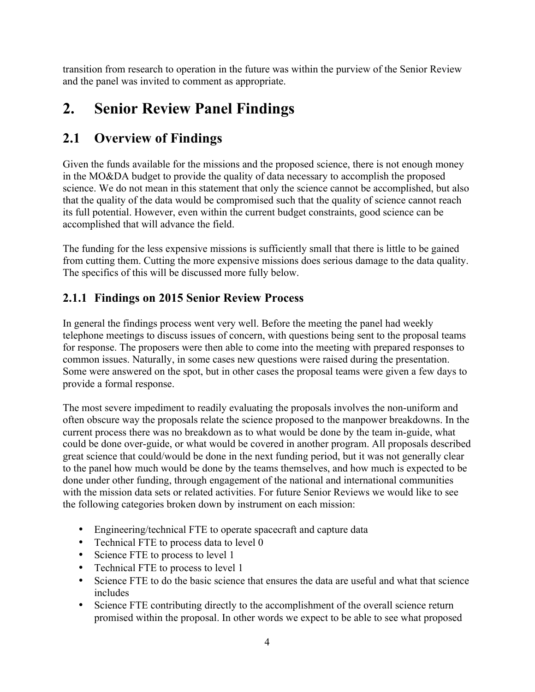transition from research to operation in the future was within the purview of the Senior Review and the panel was invited to comment as appropriate.

# **2. Senior Review Panel Findings**

# **2.1 Overview of Findings**

Given the funds available for the missions and the proposed science, there is not enough money in the MO&DA budget to provide the quality of data necessary to accomplish the proposed science. We do not mean in this statement that only the science cannot be accomplished, but also that the quality of the data would be compromised such that the quality of science cannot reach its full potential. However, even within the current budget constraints, good science can be accomplished that will advance the field.

The funding for the less expensive missions is sufficiently small that there is little to be gained from cutting them. Cutting the more expensive missions does serious damage to the data quality. The specifics of this will be discussed more fully below.

### **2.1.1 Findings on 2015 Senior Review Process**

In general the findings process went very well. Before the meeting the panel had weekly telephone meetings to discuss issues of concern, with questions being sent to the proposal teams for response. The proposers were then able to come into the meeting with prepared responses to common issues. Naturally, in some cases new questions were raised during the presentation. Some were answered on the spot, but in other cases the proposal teams were given a few days to provide a formal response.

The most severe impediment to readily evaluating the proposals involves the non-uniform and often obscure way the proposals relate the science proposed to the manpower breakdowns. In the current process there was no breakdown as to what would be done by the team in-guide, what could be done over-guide, or what would be covered in another program. All proposals described great science that could/would be done in the next funding period, but it was not generally clear to the panel how much would be done by the teams themselves, and how much is expected to be done under other funding, through engagement of the national and international communities with the mission data sets or related activities. For future Senior Reviews we would like to see the following categories broken down by instrument on each mission:

- Engineering/technical FTE to operate spacecraft and capture data
- Technical FTE to process data to level 0
- Science FTE to process to level 1
- Technical FTE to process to level 1
- Science FTE to do the basic science that ensures the data are useful and what that science includes
- Science FTE contributing directly to the accomplishment of the overall science return promised within the proposal. In other words we expect to be able to see what proposed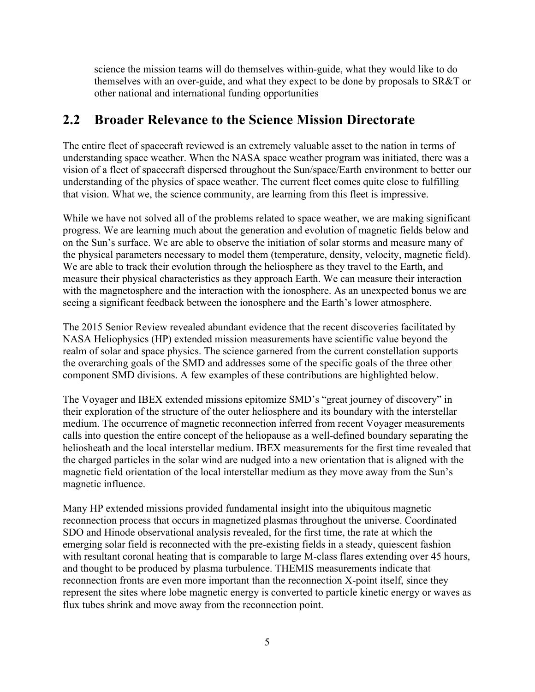science the mission teams will do themselves within-guide, what they would like to do themselves with an over-guide, and what they expect to be done by proposals to SR&T or other national and international funding opportunities

# **2.2 Broader Relevance to the Science Mission Directorate**

The entire fleet of spacecraft reviewed is an extremely valuable asset to the nation in terms of understanding space weather. When the NASA space weather program was initiated, there was a vision of a fleet of spacecraft dispersed throughout the Sun/space/Earth environment to better our understanding of the physics of space weather. The current fleet comes quite close to fulfilling that vision. What we, the science community, are learning from this fleet is impressive.

While we have not solved all of the problems related to space weather, we are making significant progress. We are learning much about the generation and evolution of magnetic fields below and on the Sun's surface. We are able to observe the initiation of solar storms and measure many of the physical parameters necessary to model them (temperature, density, velocity, magnetic field). We are able to track their evolution through the heliosphere as they travel to the Earth, and measure their physical characteristics as they approach Earth. We can measure their interaction with the magnetosphere and the interaction with the ionosphere. As an unexpected bonus we are seeing a significant feedback between the ionosphere and the Earth's lower atmosphere.

The 2015 Senior Review revealed abundant evidence that the recent discoveries facilitated by NASA Heliophysics (HP) extended mission measurements have scientific value beyond the realm of solar and space physics. The science garnered from the current constellation supports the overarching goals of the SMD and addresses some of the specific goals of the three other component SMD divisions. A few examples of these contributions are highlighted below.

The Voyager and IBEX extended missions epitomize SMD's "great journey of discovery" in their exploration of the structure of the outer heliosphere and its boundary with the interstellar medium. The occurrence of magnetic reconnection inferred from recent Voyager measurements calls into question the entire concept of the heliopause as a well-defined boundary separating the heliosheath and the local interstellar medium. IBEX measurements for the first time revealed that the charged particles in the solar wind are nudged into a new orientation that is aligned with the magnetic field orientation of the local interstellar medium as they move away from the Sun's magnetic influence.

Many HP extended missions provided fundamental insight into the ubiquitous magnetic reconnection process that occurs in magnetized plasmas throughout the universe. Coordinated SDO and Hinode observational analysis revealed, for the first time, the rate at which the emerging solar field is reconnected with the pre-existing fields in a steady, quiescent fashion with resultant coronal heating that is comparable to large M-class flares extending over 45 hours, and thought to be produced by plasma turbulence. THEMIS measurements indicate that reconnection fronts are even more important than the reconnection X-point itself, since they represent the sites where lobe magnetic energy is converted to particle kinetic energy or waves as flux tubes shrink and move away from the reconnection point.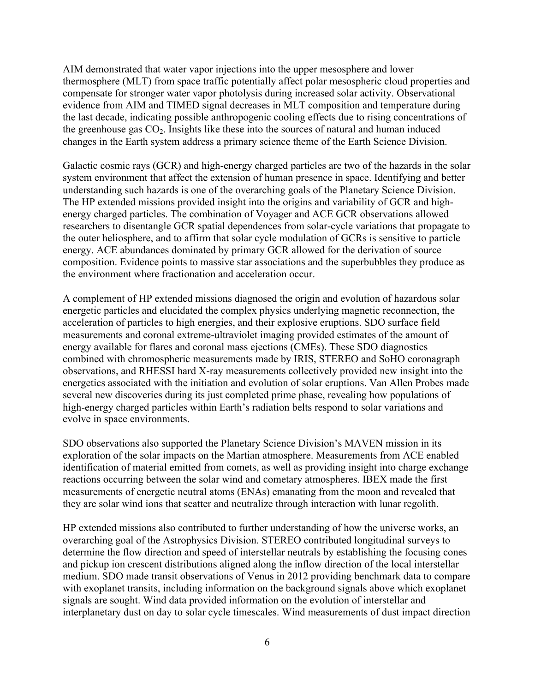AIM demonstrated that water vapor injections into the upper mesosphere and lower thermosphere (MLT) from space traffic potentially affect polar mesospheric cloud properties and compensate for stronger water vapor photolysis during increased solar activity. Observational evidence from AIM and TIMED signal decreases in MLT composition and temperature during the last decade, indicating possible anthropogenic cooling effects due to rising concentrations of the greenhouse gas  $CO<sub>2</sub>$ . Insights like these into the sources of natural and human induced changes in the Earth system address a primary science theme of the Earth Science Division.

Galactic cosmic rays (GCR) and high-energy charged particles are two of the hazards in the solar system environment that affect the extension of human presence in space. Identifying and better understanding such hazards is one of the overarching goals of the Planetary Science Division. The HP extended missions provided insight into the origins and variability of GCR and highenergy charged particles. The combination of Voyager and ACE GCR observations allowed researchers to disentangle GCR spatial dependences from solar-cycle variations that propagate to the outer heliosphere, and to affirm that solar cycle modulation of GCRs is sensitive to particle energy. ACE abundances dominated by primary GCR allowed for the derivation of source composition. Evidence points to massive star associations and the superbubbles they produce as the environment where fractionation and acceleration occur.

A complement of HP extended missions diagnosed the origin and evolution of hazardous solar energetic particles and elucidated the complex physics underlying magnetic reconnection, the acceleration of particles to high energies, and their explosive eruptions. SDO surface field measurements and coronal extreme-ultraviolet imaging provided estimates of the amount of energy available for flares and coronal mass ejections (CMEs). These SDO diagnostics combined with chromospheric measurements made by IRIS, STEREO and SoHO coronagraph observations, and RHESSI hard X-ray measurements collectively provided new insight into the energetics associated with the initiation and evolution of solar eruptions. Van Allen Probes made several new discoveries during its just completed prime phase, revealing how populations of high-energy charged particles within Earth's radiation belts respond to solar variations and evolve in space environments.

SDO observations also supported the Planetary Science Division's MAVEN mission in its exploration of the solar impacts on the Martian atmosphere. Measurements from ACE enabled identification of material emitted from comets, as well as providing insight into charge exchange reactions occurring between the solar wind and cometary atmospheres. IBEX made the first measurements of energetic neutral atoms (ENAs) emanating from the moon and revealed that they are solar wind ions that scatter and neutralize through interaction with lunar regolith.

HP extended missions also contributed to further understanding of how the universe works, an overarching goal of the Astrophysics Division. STEREO contributed longitudinal surveys to determine the flow direction and speed of interstellar neutrals by establishing the focusing cones and pickup ion crescent distributions aligned along the inflow direction of the local interstellar medium. SDO made transit observations of Venus in 2012 providing benchmark data to compare with exoplanet transits, including information on the background signals above which exoplanet signals are sought. Wind data provided information on the evolution of interstellar and interplanetary dust on day to solar cycle timescales. Wind measurements of dust impact direction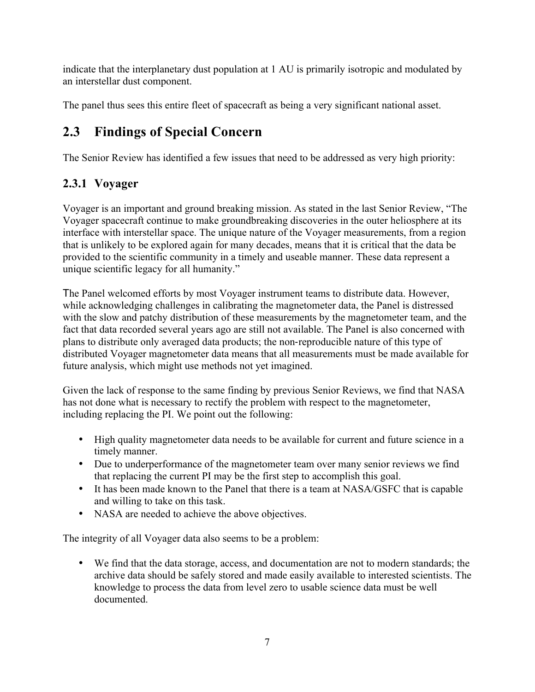indicate that the interplanetary dust population at 1 AU is primarily isotropic and modulated by an interstellar dust component.

The panel thus sees this entire fleet of spacecraft as being a very significant national asset.

# **2.3 Findings of Special Concern**

The Senior Review has identified a few issues that need to be addressed as very high priority:

# **2.3.1 Voyager**

Voyager is an important and ground breaking mission. As stated in the last Senior Review, "The Voyager spacecraft continue to make groundbreaking discoveries in the outer heliosphere at its interface with interstellar space. The unique nature of the Voyager measurements, from a region that is unlikely to be explored again for many decades, means that it is critical that the data be provided to the scientific community in a timely and useable manner. These data represent a unique scientific legacy for all humanity."

The Panel welcomed efforts by most Voyager instrument teams to distribute data. However, while acknowledging challenges in calibrating the magnetometer data, the Panel is distressed with the slow and patchy distribution of these measurements by the magnetometer team, and the fact that data recorded several years ago are still not available. The Panel is also concerned with plans to distribute only averaged data products; the non-reproducible nature of this type of distributed Voyager magnetometer data means that all measurements must be made available for future analysis, which might use methods not yet imagined.

Given the lack of response to the same finding by previous Senior Reviews, we find that NASA has not done what is necessary to rectify the problem with respect to the magnetometer, including replacing the PI. We point out the following:

- High quality magnetometer data needs to be available for current and future science in a timely manner.
- Due to underperformance of the magnetometer team over many senior reviews we find that replacing the current PI may be the first step to accomplish this goal.
- It has been made known to the Panel that there is a team at NASA/GSFC that is capable and willing to take on this task.
- NASA are needed to achieve the above objectives.

The integrity of all Voyager data also seems to be a problem:

• We find that the data storage, access, and documentation are not to modern standards; the archive data should be safely stored and made easily available to interested scientists. The knowledge to process the data from level zero to usable science data must be well documented.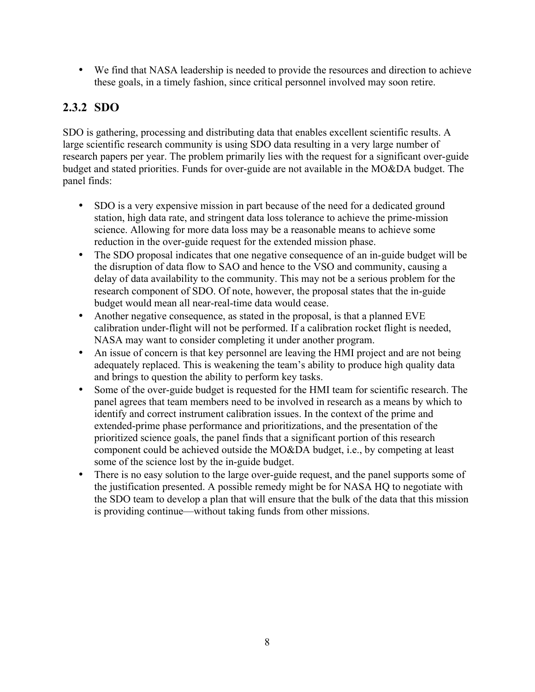• We find that NASA leadership is needed to provide the resources and direction to achieve these goals, in a timely fashion, since critical personnel involved may soon retire.

### **2.3.2 SDO**

SDO is gathering, processing and distributing data that enables excellent scientific results. A large scientific research community is using SDO data resulting in a very large number of research papers per year. The problem primarily lies with the request for a significant over-guide budget and stated priorities. Funds for over-guide are not available in the MO&DA budget. The panel finds:

- SDO is a very expensive mission in part because of the need for a dedicated ground station, high data rate, and stringent data loss tolerance to achieve the prime-mission science. Allowing for more data loss may be a reasonable means to achieve some reduction in the over-guide request for the extended mission phase.
- The SDO proposal indicates that one negative consequence of an in-guide budget will be the disruption of data flow to SAO and hence to the VSO and community, causing a delay of data availability to the community. This may not be a serious problem for the research component of SDO. Of note, however, the proposal states that the in-guide budget would mean all near-real-time data would cease.
- Another negative consequence, as stated in the proposal, is that a planned EVE calibration under-flight will not be performed. If a calibration rocket flight is needed, NASA may want to consider completing it under another program.
- An issue of concern is that key personnel are leaving the HMI project and are not being adequately replaced. This is weakening the team's ability to produce high quality data and brings to question the ability to perform key tasks.
- Some of the over-guide budget is requested for the HMI team for scientific research. The panel agrees that team members need to be involved in research as a means by which to identify and correct instrument calibration issues. In the context of the prime and extended-prime phase performance and prioritizations, and the presentation of the prioritized science goals, the panel finds that a significant portion of this research component could be achieved outside the MO&DA budget, i.e., by competing at least some of the science lost by the in-guide budget.
- There is no easy solution to the large over-guide request, and the panel supports some of the justification presented. A possible remedy might be for NASA HQ to negotiate with the SDO team to develop a plan that will ensure that the bulk of the data that this mission is providing continue—without taking funds from other missions.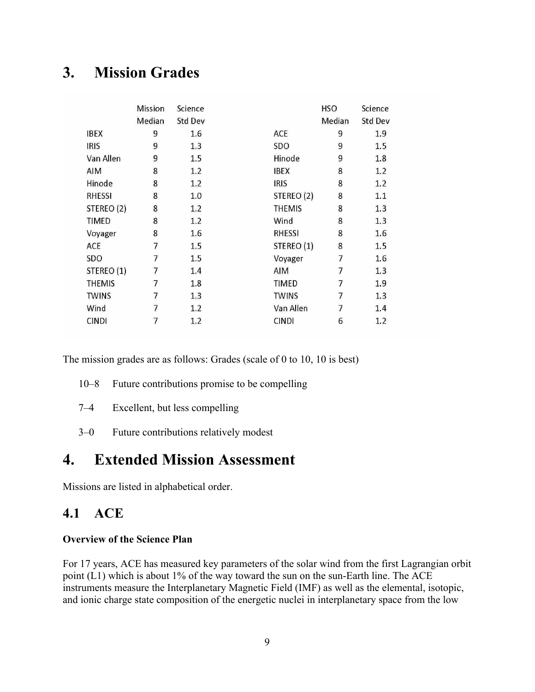# **3. Mission Grades**

|               | Mission | Science |               | <b>HSO</b> | Science |
|---------------|---------|---------|---------------|------------|---------|
|               | Median  | Std Dev |               | Median     | Std Dev |
| <b>IBEX</b>   | 9       | 1.6     | ACE           | 9          | 1.9     |
| <b>IRIS</b>   | 9       | 1.3     | SDO           | 9          | 1.5     |
| Van Allen     | 9       | 1.5     | Hinode        | 9          | 1.8     |
| AIM           | 8       | 1.2     | <b>IBEX</b>   | 8          | 1.2     |
| Hinode        | 8       | 1.2     | <b>IRIS</b>   | 8          | 1.2     |
| <b>RHESSI</b> | 8       | 1.0     | STEREO (2)    | 8          | 1.1     |
| STEREO (2)    | 8       | 1.2     | <b>THEMIS</b> | 8          | 1.3     |
| TIMED         | 8       | 1.2     | Wind          | 8          | 1.3     |
| Voyager       | 8       | 1.6     | <b>RHESSI</b> | 8          | 1.6     |
| ACE           | 7       | 1.5     | STEREO (1)    | 8          | 1.5     |
| <b>SDO</b>    | 7       | 1.5     | Voyager       | 7          | 1.6     |
| STEREO (1)    | 7       | 1.4     | AIM           | 7          | 1.3     |
| <b>THEMIS</b> | 7       | 1.8     | <b>TIMED</b>  | 7          | 1.9     |
| <b>TWINS</b>  | 7       | 1.3     | <b>TWINS</b>  | 7          | 1.3     |
| Wind          | 7       | 1.2     | Van Allen     | 7          | 1.4     |
| <b>CINDI</b>  | 7       | 1.2     | <b>CINDI</b>  | 6          | 1.2     |
|               |         |         |               |            |         |

The mission grades are as follows: Grades (scale of 0 to 10, 10 is best)

- 10–8 Future contributions promise to be compelling
- 7–4 Excellent, but less compelling
- 3–0 Future contributions relatively modest

# **4. Extended Mission Assessment**

Missions are listed in alphabetical order.

### **4.1 ACE**

#### **Overview of the Science Plan**

For 17 years, ACE has measured key parameters of the solar wind from the first Lagrangian orbit point (L1) which is about 1% of the way toward the sun on the sun-Earth line. The ACE instruments measure the Interplanetary Magnetic Field (IMF) as well as the elemental, isotopic, and ionic charge state composition of the energetic nuclei in interplanetary space from the low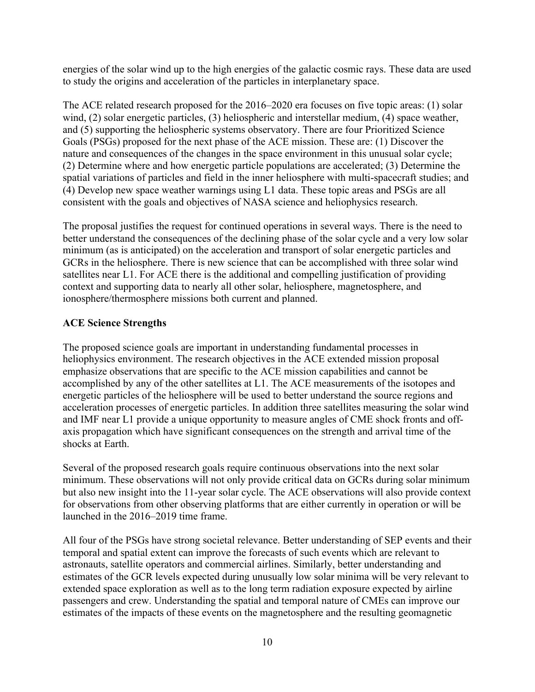energies of the solar wind up to the high energies of the galactic cosmic rays. These data are used to study the origins and acceleration of the particles in interplanetary space.

The ACE related research proposed for the 2016–2020 era focuses on five topic areas: (1) solar wind, (2) solar energetic particles, (3) heliospheric and interstellar medium, (4) space weather, and (5) supporting the heliospheric systems observatory. There are four Prioritized Science Goals (PSGs) proposed for the next phase of the ACE mission. These are: (1) Discover the nature and consequences of the changes in the space environment in this unusual solar cycle; (2) Determine where and how energetic particle populations are accelerated; (3) Determine the spatial variations of particles and field in the inner heliosphere with multi-spacecraft studies; and (4) Develop new space weather warnings using L1 data. These topic areas and PSGs are all consistent with the goals and objectives of NASA science and heliophysics research.

The proposal justifies the request for continued operations in several ways. There is the need to better understand the consequences of the declining phase of the solar cycle and a very low solar minimum (as is anticipated) on the acceleration and transport of solar energetic particles and GCRs in the heliosphere. There is new science that can be accomplished with three solar wind satellites near L1. For ACE there is the additional and compelling justification of providing context and supporting data to nearly all other solar, heliosphere, magnetosphere, and ionosphere/thermosphere missions both current and planned.

#### **ACE Science Strengths**

The proposed science goals are important in understanding fundamental processes in heliophysics environment. The research objectives in the ACE extended mission proposal emphasize observations that are specific to the ACE mission capabilities and cannot be accomplished by any of the other satellites at L1. The ACE measurements of the isotopes and energetic particles of the heliosphere will be used to better understand the source regions and acceleration processes of energetic particles. In addition three satellites measuring the solar wind and IMF near L1 provide a unique opportunity to measure angles of CME shock fronts and offaxis propagation which have significant consequences on the strength and arrival time of the shocks at Earth.

Several of the proposed research goals require continuous observations into the next solar minimum. These observations will not only provide critical data on GCRs during solar minimum but also new insight into the 11-year solar cycle. The ACE observations will also provide context for observations from other observing platforms that are either currently in operation or will be launched in the 2016–2019 time frame.

All four of the PSGs have strong societal relevance. Better understanding of SEP events and their temporal and spatial extent can improve the forecasts of such events which are relevant to astronauts, satellite operators and commercial airlines. Similarly, better understanding and estimates of the GCR levels expected during unusually low solar minima will be very relevant to extended space exploration as well as to the long term radiation exposure expected by airline passengers and crew. Understanding the spatial and temporal nature of CMEs can improve our estimates of the impacts of these events on the magnetosphere and the resulting geomagnetic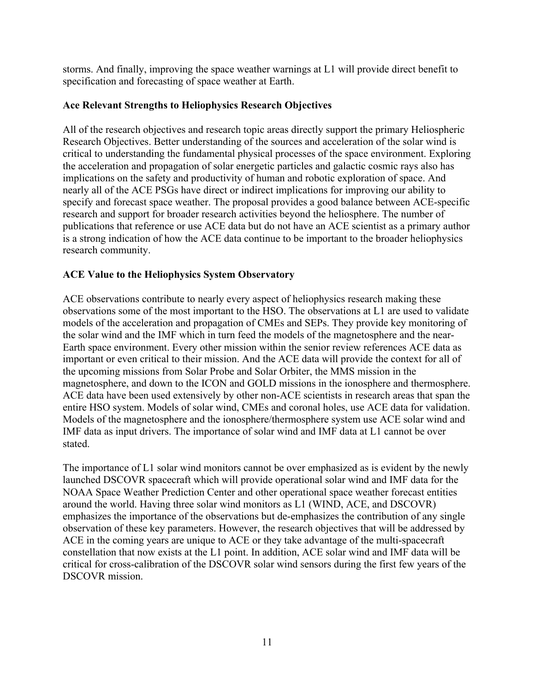storms. And finally, improving the space weather warnings at L1 will provide direct benefit to specification and forecasting of space weather at Earth.

#### **Ace Relevant Strengths to Heliophysics Research Objectives**

All of the research objectives and research topic areas directly support the primary Heliospheric Research Objectives. Better understanding of the sources and acceleration of the solar wind is critical to understanding the fundamental physical processes of the space environment. Exploring the acceleration and propagation of solar energetic particles and galactic cosmic rays also has implications on the safety and productivity of human and robotic exploration of space. And nearly all of the ACE PSGs have direct or indirect implications for improving our ability to specify and forecast space weather. The proposal provides a good balance between ACE-specific research and support for broader research activities beyond the heliosphere. The number of publications that reference or use ACE data but do not have an ACE scientist as a primary author is a strong indication of how the ACE data continue to be important to the broader heliophysics research community.

#### **ACE Value to the Heliophysics System Observatory**

ACE observations contribute to nearly every aspect of heliophysics research making these observations some of the most important to the HSO. The observations at L1 are used to validate models of the acceleration and propagation of CMEs and SEPs. They provide key monitoring of the solar wind and the IMF which in turn feed the models of the magnetosphere and the near-Earth space environment. Every other mission within the senior review references ACE data as important or even critical to their mission. And the ACE data will provide the context for all of the upcoming missions from Solar Probe and Solar Orbiter, the MMS mission in the magnetosphere, and down to the ICON and GOLD missions in the ionosphere and thermosphere. ACE data have been used extensively by other non-ACE scientists in research areas that span the entire HSO system. Models of solar wind, CMEs and coronal holes, use ACE data for validation. Models of the magnetosphere and the ionosphere/thermosphere system use ACE solar wind and IMF data as input drivers. The importance of solar wind and IMF data at L1 cannot be over stated.

The importance of L1 solar wind monitors cannot be over emphasized as is evident by the newly launched DSCOVR spacecraft which will provide operational solar wind and IMF data for the NOAA Space Weather Prediction Center and other operational space weather forecast entities around the world. Having three solar wind monitors as L1 (WIND, ACE, and DSCOVR) emphasizes the importance of the observations but de-emphasizes the contribution of any single observation of these key parameters. However, the research objectives that will be addressed by ACE in the coming years are unique to ACE or they take advantage of the multi-spacecraft constellation that now exists at the L1 point. In addition, ACE solar wind and IMF data will be critical for cross-calibration of the DSCOVR solar wind sensors during the first few years of the DSCOVR mission.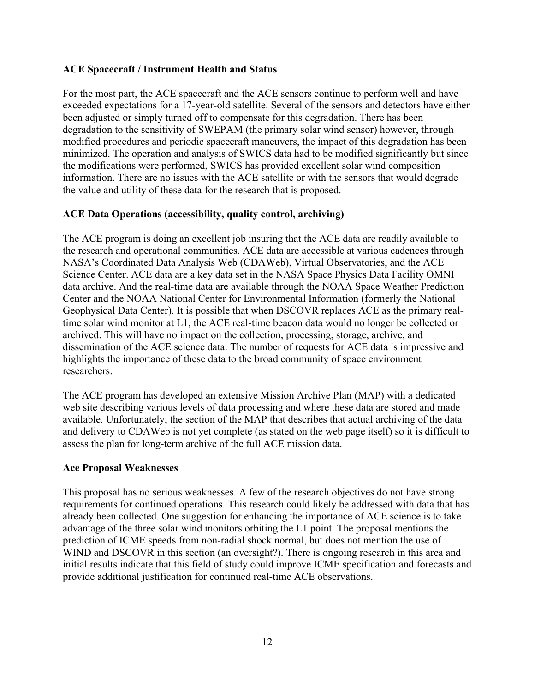#### **ACE Spacecraft / Instrument Health and Status**

For the most part, the ACE spacecraft and the ACE sensors continue to perform well and have exceeded expectations for a 17-year-old satellite. Several of the sensors and detectors have either been adjusted or simply turned off to compensate for this degradation. There has been degradation to the sensitivity of SWEPAM (the primary solar wind sensor) however, through modified procedures and periodic spacecraft maneuvers, the impact of this degradation has been minimized. The operation and analysis of SWICS data had to be modified significantly but since the modifications were performed, SWICS has provided excellent solar wind composition information. There are no issues with the ACE satellite or with the sensors that would degrade the value and utility of these data for the research that is proposed.

#### **ACE Data Operations (accessibility, quality control, archiving)**

The ACE program is doing an excellent job insuring that the ACE data are readily available to the research and operational communities. ACE data are accessible at various cadences through NASA's Coordinated Data Analysis Web (CDAWeb), Virtual Observatories, and the ACE Science Center. ACE data are a key data set in the NASA Space Physics Data Facility OMNI data archive. And the real-time data are available through the NOAA Space Weather Prediction Center and the NOAA National Center for Environmental Information (formerly the National Geophysical Data Center). It is possible that when DSCOVR replaces ACE as the primary realtime solar wind monitor at L1, the ACE real-time beacon data would no longer be collected or archived. This will have no impact on the collection, processing, storage, archive, and dissemination of the ACE science data. The number of requests for ACE data is impressive and highlights the importance of these data to the broad community of space environment researchers.

The ACE program has developed an extensive Mission Archive Plan (MAP) with a dedicated web site describing various levels of data processing and where these data are stored and made available. Unfortunately, the section of the MAP that describes that actual archiving of the data and delivery to CDAWeb is not yet complete (as stated on the web page itself) so it is difficult to assess the plan for long-term archive of the full ACE mission data.

#### **Ace Proposal Weaknesses**

This proposal has no serious weaknesses. A few of the research objectives do not have strong requirements for continued operations. This research could likely be addressed with data that has already been collected. One suggestion for enhancing the importance of ACE science is to take advantage of the three solar wind monitors orbiting the L1 point. The proposal mentions the prediction of ICME speeds from non-radial shock normal, but does not mention the use of WIND and DSCOVR in this section (an oversight?). There is ongoing research in this area and initial results indicate that this field of study could improve ICME specification and forecasts and provide additional justification for continued real-time ACE observations.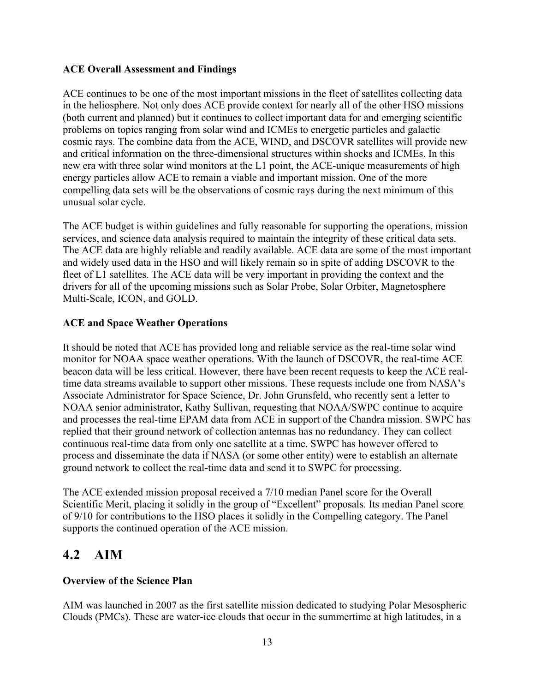#### **ACE Overall Assessment and Findings**

ACE continues to be one of the most important missions in the fleet of satellites collecting data in the heliosphere. Not only does ACE provide context for nearly all of the other HSO missions (both current and planned) but it continues to collect important data for and emerging scientific problems on topics ranging from solar wind and ICMEs to energetic particles and galactic cosmic rays. The combine data from the ACE, WIND, and DSCOVR satellites will provide new and critical information on the three-dimensional structures within shocks and ICMEs. In this new era with three solar wind monitors at the L1 point, the ACE-unique measurements of high energy particles allow ACE to remain a viable and important mission. One of the more compelling data sets will be the observations of cosmic rays during the next minimum of this unusual solar cycle.

The ACE budget is within guidelines and fully reasonable for supporting the operations, mission services, and science data analysis required to maintain the integrity of these critical data sets. The ACE data are highly reliable and readily available. ACE data are some of the most important and widely used data in the HSO and will likely remain so in spite of adding DSCOVR to the fleet of L1 satellites. The ACE data will be very important in providing the context and the drivers for all of the upcoming missions such as Solar Probe, Solar Orbiter, Magnetosphere Multi-Scale, ICON, and GOLD.

#### **ACE and Space Weather Operations**

It should be noted that ACE has provided long and reliable service as the real-time solar wind monitor for NOAA space weather operations. With the launch of DSCOVR, the real-time ACE beacon data will be less critical. However, there have been recent requests to keep the ACE realtime data streams available to support other missions. These requests include one from NASA's Associate Administrator for Space Science, Dr. John Grunsfeld, who recently sent a letter to NOAA senior administrator, Kathy Sullivan, requesting that NOAA/SWPC continue to acquire and processes the real-time EPAM data from ACE in support of the Chandra mission. SWPC has replied that their ground network of collection antennas has no redundancy. They can collect continuous real-time data from only one satellite at a time. SWPC has however offered to process and disseminate the data if NASA (or some other entity) were to establish an alternate ground network to collect the real-time data and send it to SWPC for processing.

The ACE extended mission proposal received a 7/10 median Panel score for the Overall Scientific Merit, placing it solidly in the group of "Excellent" proposals. Its median Panel score of 9/10 for contributions to the HSO places it solidly in the Compelling category. The Panel supports the continued operation of the ACE mission.

### **4.2 AIM**

#### **Overview of the Science Plan**

AIM was launched in 2007 as the first satellite mission dedicated to studying Polar Mesospheric Clouds (PMCs). These are water-ice clouds that occur in the summertime at high latitudes, in a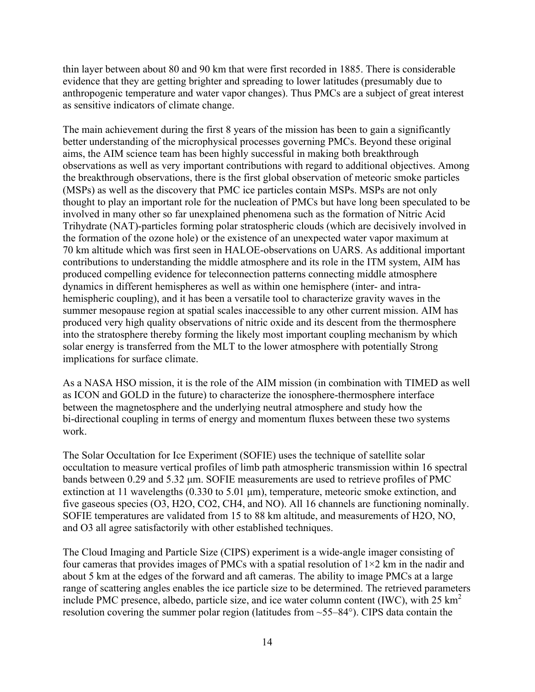thin layer between about 80 and 90 km that were first recorded in 1885. There is considerable evidence that they are getting brighter and spreading to lower latitudes (presumably due to anthropogenic temperature and water vapor changes). Thus PMCs are a subject of great interest as sensitive indicators of climate change.

The main achievement during the first 8 years of the mission has been to gain a significantly better understanding of the microphysical processes governing PMCs. Beyond these original aims, the AIM science team has been highly successful in making both breakthrough observations as well as very important contributions with regard to additional objectives. Among the breakthrough observations, there is the first global observation of meteoric smoke particles (MSPs) as well as the discovery that PMC ice particles contain MSPs. MSPs are not only thought to play an important role for the nucleation of PMCs but have long been speculated to be involved in many other so far unexplained phenomena such as the formation of Nitric Acid Trihydrate (NAT)-particles forming polar stratospheric clouds (which are decisively involved in the formation of the ozone hole) or the existence of an unexpected water vapor maximum at 70 km altitude which was first seen in HALOE-observations on UARS. As additional important contributions to understanding the middle atmosphere and its role in the ITM system, AIM has produced compelling evidence for teleconnection patterns connecting middle atmosphere dynamics in different hemispheres as well as within one hemisphere (inter- and intrahemispheric coupling), and it has been a versatile tool to characterize gravity waves in the summer mesopause region at spatial scales inaccessible to any other current mission. AIM has produced very high quality observations of nitric oxide and its descent from the thermosphere into the stratosphere thereby forming the likely most important coupling mechanism by which solar energy is transferred from the MLT to the lower atmosphere with potentially Strong implications for surface climate.

As a NASA HSO mission, it is the role of the AIM mission (in combination with TIMED as well as ICON and GOLD in the future) to characterize the ionosphere-thermosphere interface between the magnetosphere and the underlying neutral atmosphere and study how the bi-directional coupling in terms of energy and momentum fluxes between these two systems work.

The Solar Occultation for Ice Experiment (SOFIE) uses the technique of satellite solar occultation to measure vertical profiles of limb path atmospheric transmission within 16 spectral bands between 0.29 and 5.32 µm. SOFIE measurements are used to retrieve profiles of PMC extinction at 11 wavelengths  $(0.330 \text{ to } 5.01 \text{ µm})$ , temperature, meteoric smoke extinction, and five gaseous species (O3, H2O, CO2, CH4, and NO). All 16 channels are functioning nominally. SOFIE temperatures are validated from 15 to 88 km altitude, and measurements of H2O, NO, and O3 all agree satisfactorily with other established techniques.

The Cloud Imaging and Particle Size (CIPS) experiment is a wide-angle imager consisting of four cameras that provides images of PMCs with a spatial resolution of  $1\times 2$  km in the nadir and about 5 km at the edges of the forward and aft cameras. The ability to image PMCs at a large range of scattering angles enables the ice particle size to be determined. The retrieved parameters include PMC presence, albedo, particle size, and ice water column content (IWC), with  $25 \text{ km}^2$ resolution covering the summer polar region (latitudes from ~55–84°). CIPS data contain the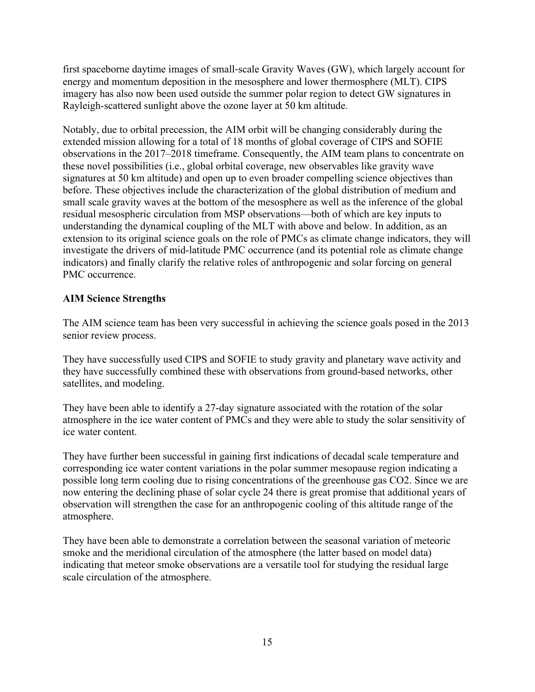first spaceborne daytime images of small-scale Gravity Waves (GW), which largely account for energy and momentum deposition in the mesosphere and lower thermosphere (MLT). CIPS imagery has also now been used outside the summer polar region to detect GW signatures in Rayleigh-scattered sunlight above the ozone layer at 50 km altitude.

Notably, due to orbital precession, the AIM orbit will be changing considerably during the extended mission allowing for a total of 18 months of global coverage of CIPS and SOFIE observations in the 2017–2018 timeframe. Consequently, the AIM team plans to concentrate on these novel possibilities (i.e., global orbital coverage, new observables like gravity wave signatures at 50 km altitude) and open up to even broader compelling science objectives than before. These objectives include the characterization of the global distribution of medium and small scale gravity waves at the bottom of the mesosphere as well as the inference of the global residual mesospheric circulation from MSP observations—both of which are key inputs to understanding the dynamical coupling of the MLT with above and below. In addition, as an extension to its original science goals on the role of PMCs as climate change indicators, they will investigate the drivers of mid-latitude PMC occurrence (and its potential role as climate change indicators) and finally clarify the relative roles of anthropogenic and solar forcing on general PMC occurrence.

#### **AIM Science Strengths**

The AIM science team has been very successful in achieving the science goals posed in the 2013 senior review process.

They have successfully used CIPS and SOFIE to study gravity and planetary wave activity and they have successfully combined these with observations from ground-based networks, other satellites, and modeling.

They have been able to identify a 27-day signature associated with the rotation of the solar atmosphere in the ice water content of PMCs and they were able to study the solar sensitivity of ice water content.

They have further been successful in gaining first indications of decadal scale temperature and corresponding ice water content variations in the polar summer mesopause region indicating a possible long term cooling due to rising concentrations of the greenhouse gas CO2. Since we are now entering the declining phase of solar cycle 24 there is great promise that additional years of observation will strengthen the case for an anthropogenic cooling of this altitude range of the atmosphere.

They have been able to demonstrate a correlation between the seasonal variation of meteoric smoke and the meridional circulation of the atmosphere (the latter based on model data) indicating that meteor smoke observations are a versatile tool for studying the residual large scale circulation of the atmosphere.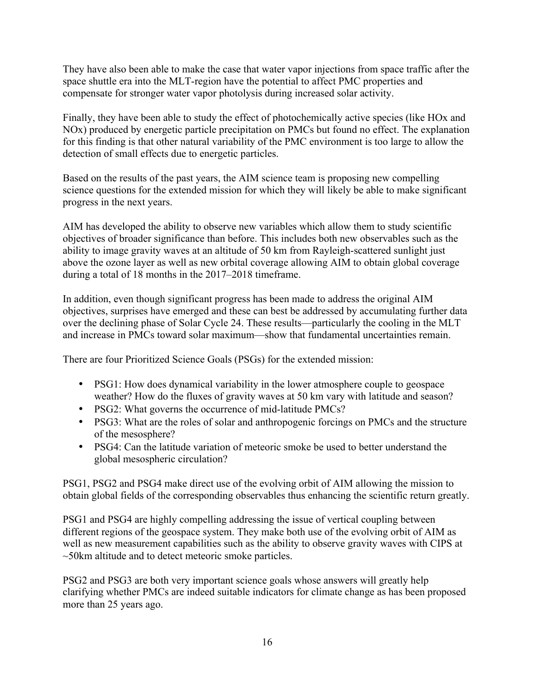They have also been able to make the case that water vapor injections from space traffic after the space shuttle era into the MLT-region have the potential to affect PMC properties and compensate for stronger water vapor photolysis during increased solar activity.

Finally, they have been able to study the effect of photochemically active species (like HOx and NOx) produced by energetic particle precipitation on PMCs but found no effect. The explanation for this finding is that other natural variability of the PMC environment is too large to allow the detection of small effects due to energetic particles.

Based on the results of the past years, the AIM science team is proposing new compelling science questions for the extended mission for which they will likely be able to make significant progress in the next years.

AIM has developed the ability to observe new variables which allow them to study scientific objectives of broader significance than before. This includes both new observables such as the ability to image gravity waves at an altitude of 50 km from Rayleigh-scattered sunlight just above the ozone layer as well as new orbital coverage allowing AIM to obtain global coverage during a total of 18 months in the 2017–2018 timeframe.

In addition, even though significant progress has been made to address the original AIM objectives, surprises have emerged and these can best be addressed by accumulating further data over the declining phase of Solar Cycle 24. These results—particularly the cooling in the MLT and increase in PMCs toward solar maximum—show that fundamental uncertainties remain.

There are four Prioritized Science Goals (PSGs) for the extended mission:

- PSG1: How does dynamical variability in the lower atmosphere couple to geospace weather? How do the fluxes of gravity waves at 50 km vary with latitude and season?
- PSG2: What governs the occurrence of mid-latitude PMCs?
- PSG3: What are the roles of solar and anthropogenic forcings on PMCs and the structure of the mesosphere?
- PSG4: Can the latitude variation of meteoric smoke be used to better understand the global mesospheric circulation?

PSG1, PSG2 and PSG4 make direct use of the evolving orbit of AIM allowing the mission to obtain global fields of the corresponding observables thus enhancing the scientific return greatly.

PSG1 and PSG4 are highly compelling addressing the issue of vertical coupling between different regions of the geospace system. They make both use of the evolving orbit of AIM as well as new measurement capabilities such as the ability to observe gravity waves with CIPS at ~50km altitude and to detect meteoric smoke particles.

PSG2 and PSG3 are both very important science goals whose answers will greatly help clarifying whether PMCs are indeed suitable indicators for climate change as has been proposed more than 25 years ago.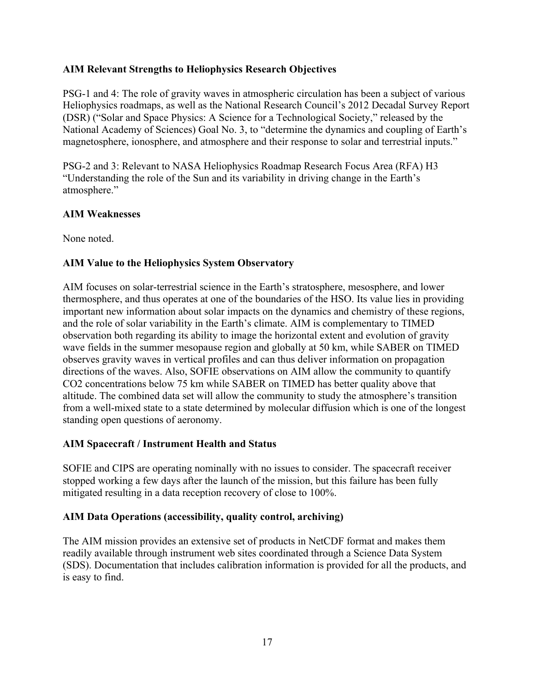#### **AIM Relevant Strengths to Heliophysics Research Objectives**

PSG-1 and 4: The role of gravity waves in atmospheric circulation has been a subject of various Heliophysics roadmaps, as well as the National Research Council's 2012 Decadal Survey Report (DSR) ("Solar and Space Physics: A Science for a Technological Society," released by the National Academy of Sciences) Goal No. 3, to "determine the dynamics and coupling of Earth's magnetosphere, ionosphere, and atmosphere and their response to solar and terrestrial inputs."

PSG-2 and 3: Relevant to NASA Heliophysics Roadmap Research Focus Area (RFA) H3 "Understanding the role of the Sun and its variability in driving change in the Earth's atmosphere."

#### **AIM Weaknesses**

None noted.

#### **AIM Value to the Heliophysics System Observatory**

AIM focuses on solar-terrestrial science in the Earth's stratosphere, mesosphere, and lower thermosphere, and thus operates at one of the boundaries of the HSO. Its value lies in providing important new information about solar impacts on the dynamics and chemistry of these regions, and the role of solar variability in the Earth's climate. AIM is complementary to TIMED observation both regarding its ability to image the horizontal extent and evolution of gravity wave fields in the summer mesopause region and globally at 50 km, while SABER on TIMED observes gravity waves in vertical profiles and can thus deliver information on propagation directions of the waves. Also, SOFIE observations on AIM allow the community to quantify CO2 concentrations below 75 km while SABER on TIMED has better quality above that altitude. The combined data set will allow the community to study the atmosphere's transition from a well-mixed state to a state determined by molecular diffusion which is one of the longest standing open questions of aeronomy.

#### **AIM Spacecraft / Instrument Health and Status**

SOFIE and CIPS are operating nominally with no issues to consider. The spacecraft receiver stopped working a few days after the launch of the mission, but this failure has been fully mitigated resulting in a data reception recovery of close to 100%.

#### **AIM Data Operations (accessibility, quality control, archiving)**

The AIM mission provides an extensive set of products in NetCDF format and makes them readily available through instrument web sites coordinated through a Science Data System (SDS). Documentation that includes calibration information is provided for all the products, and is easy to find.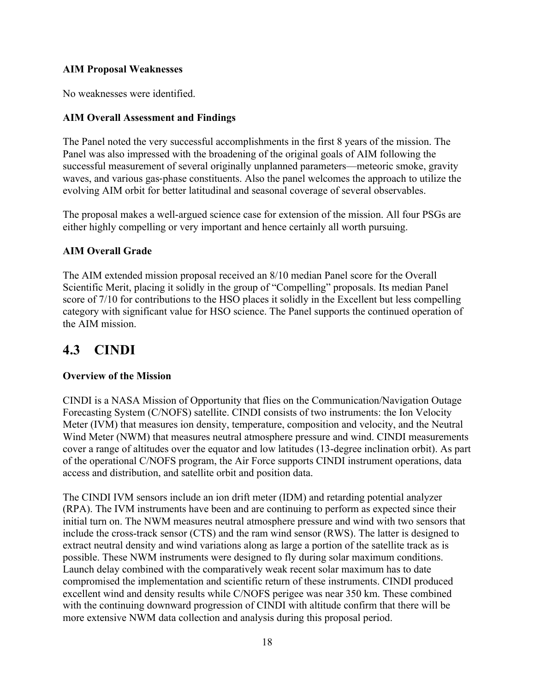#### **AIM Proposal Weaknesses**

No weaknesses were identified.

#### **AIM Overall Assessment and Findings**

The Panel noted the very successful accomplishments in the first 8 years of the mission. The Panel was also impressed with the broadening of the original goals of AIM following the successful measurement of several originally unplanned parameters—meteoric smoke, gravity waves, and various gas-phase constituents. Also the panel welcomes the approach to utilize the evolving AIM orbit for better latitudinal and seasonal coverage of several observables.

The proposal makes a well-argued science case for extension of the mission. All four PSGs are either highly compelling or very important and hence certainly all worth pursuing.

#### **AIM Overall Grade**

The AIM extended mission proposal received an 8/10 median Panel score for the Overall Scientific Merit, placing it solidly in the group of "Compelling" proposals. Its median Panel score of 7/10 for contributions to the HSO places it solidly in the Excellent but less compelling category with significant value for HSO science. The Panel supports the continued operation of the AIM mission.

# **4.3 CINDI**

#### **Overview of the Mission**

CINDI is a NASA Mission of Opportunity that flies on the Communication/Navigation Outage Forecasting System (C/NOFS) satellite. CINDI consists of two instruments: the Ion Velocity Meter (IVM) that measures ion density, temperature, composition and velocity, and the Neutral Wind Meter (NWM) that measures neutral atmosphere pressure and wind. CINDI measurements cover a range of altitudes over the equator and low latitudes (13-degree inclination orbit). As part of the operational C/NOFS program, the Air Force supports CINDI instrument operations, data access and distribution, and satellite orbit and position data.

The CINDI IVM sensors include an ion drift meter (IDM) and retarding potential analyzer (RPA). The IVM instruments have been and are continuing to perform as expected since their initial turn on. The NWM measures neutral atmosphere pressure and wind with two sensors that include the cross-track sensor (CTS) and the ram wind sensor (RWS). The latter is designed to extract neutral density and wind variations along as large a portion of the satellite track as is possible. These NWM instruments were designed to fly during solar maximum conditions. Launch delay combined with the comparatively weak recent solar maximum has to date compromised the implementation and scientific return of these instruments. CINDI produced excellent wind and density results while C/NOFS perigee was near 350 km. These combined with the continuing downward progression of CINDI with altitude confirm that there will be more extensive NWM data collection and analysis during this proposal period.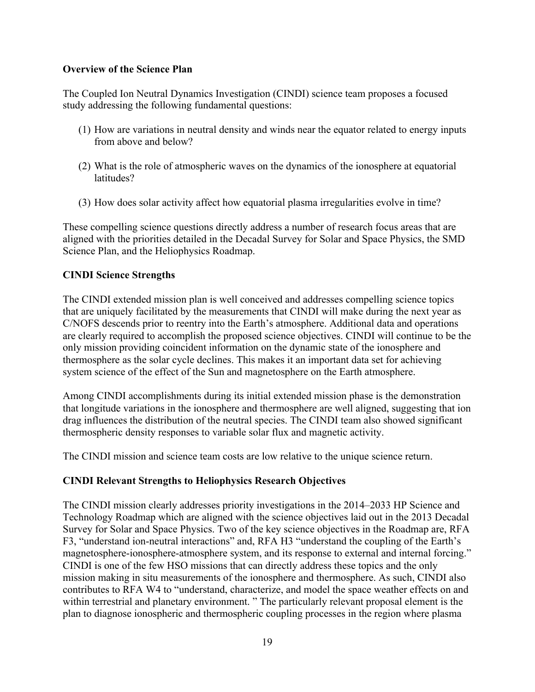#### **Overview of the Science Plan**

The Coupled Ion Neutral Dynamics Investigation (CINDI) science team proposes a focused study addressing the following fundamental questions:

- (1) How are variations in neutral density and winds near the equator related to energy inputs from above and below?
- (2) What is the role of atmospheric waves on the dynamics of the ionosphere at equatorial latitudes?
- (3) How does solar activity affect how equatorial plasma irregularities evolve in time?

These compelling science questions directly address a number of research focus areas that are aligned with the priorities detailed in the Decadal Survey for Solar and Space Physics, the SMD Science Plan, and the Heliophysics Roadmap.

#### **CINDI Science Strengths**

The CINDI extended mission plan is well conceived and addresses compelling science topics that are uniquely facilitated by the measurements that CINDI will make during the next year as C/NOFS descends prior to reentry into the Earth's atmosphere. Additional data and operations are clearly required to accomplish the proposed science objectives. CINDI will continue to be the only mission providing coincident information on the dynamic state of the ionosphere and thermosphere as the solar cycle declines. This makes it an important data set for achieving system science of the effect of the Sun and magnetosphere on the Earth atmosphere.

Among CINDI accomplishments during its initial extended mission phase is the demonstration that longitude variations in the ionosphere and thermosphere are well aligned, suggesting that ion drag influences the distribution of the neutral species. The CINDI team also showed significant thermospheric density responses to variable solar flux and magnetic activity.

The CINDI mission and science team costs are low relative to the unique science return.

#### **CINDI Relevant Strengths to Heliophysics Research Objectives**

The CINDI mission clearly addresses priority investigations in the 2014–2033 HP Science and Technology Roadmap which are aligned with the science objectives laid out in the 2013 Decadal Survey for Solar and Space Physics. Two of the key science objectives in the Roadmap are, RFA F3, "understand ion-neutral interactions" and, RFA H3 "understand the coupling of the Earth's magnetosphere-ionosphere-atmosphere system, and its response to external and internal forcing." CINDI is one of the few HSO missions that can directly address these topics and the only mission making in situ measurements of the ionosphere and thermosphere. As such, CINDI also contributes to RFA W4 to "understand, characterize, and model the space weather effects on and within terrestrial and planetary environment. " The particularly relevant proposal element is the plan to diagnose ionospheric and thermospheric coupling processes in the region where plasma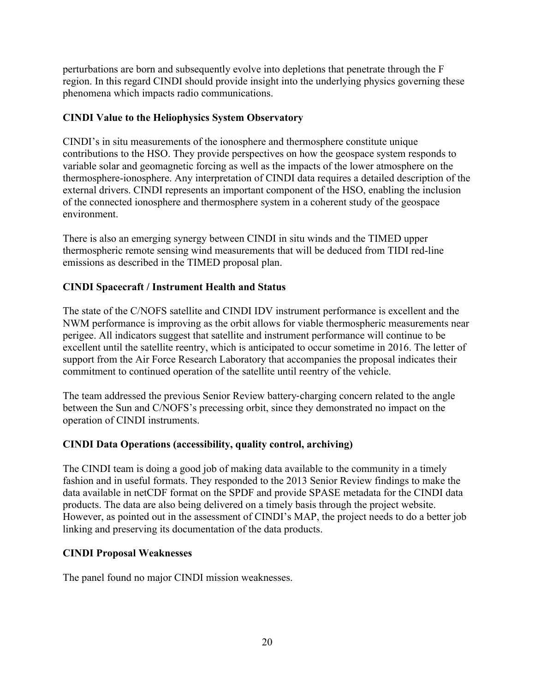perturbations are born and subsequently evolve into depletions that penetrate through the F region. In this regard CINDI should provide insight into the underlying physics governing these phenomena which impacts radio communications.

#### **CINDI Value to the Heliophysics System Observatory**

CINDI's in situ measurements of the ionosphere and thermosphere constitute unique contributions to the HSO. They provide perspectives on how the geospace system responds to variable solar and geomagnetic forcing as well as the impacts of the lower atmosphere on the thermosphere-ionosphere. Any interpretation of CINDI data requires a detailed description of the external drivers. CINDI represents an important component of the HSO, enabling the inclusion of the connected ionosphere and thermosphere system in a coherent study of the geospace environment.

There is also an emerging synergy between CINDI in situ winds and the TIMED upper thermospheric remote sensing wind measurements that will be deduced from TIDI red-line emissions as described in the TIMED proposal plan.

#### **CINDI Spacecraft / Instrument Health and Status**

The state of the C/NOFS satellite and CINDI IDV instrument performance is excellent and the NWM performance is improving as the orbit allows for viable thermospheric measurements near perigee. All indicators suggest that satellite and instrument performance will continue to be excellent until the satellite reentry, which is anticipated to occur sometime in 2016. The letter of support from the Air Force Research Laboratory that accompanies the proposal indicates their commitment to continued operation of the satellite until reentry of the vehicle.

The team addressed the previous Senior Review battery-charging concern related to the angle between the Sun and C/NOFS's precessing orbit, since they demonstrated no impact on the operation of CINDI instruments.

#### **CINDI Data Operations (accessibility, quality control, archiving)**

The CINDI team is doing a good job of making data available to the community in a timely fashion and in useful formats. They responded to the 2013 Senior Review findings to make the data available in netCDF format on the SPDF and provide SPASE metadata for the CINDI data products. The data are also being delivered on a timely basis through the project website. However, as pointed out in the assessment of CINDI's MAP, the project needs to do a better job linking and preserving its documentation of the data products.

#### **CINDI Proposal Weaknesses**

The panel found no major CINDI mission weaknesses.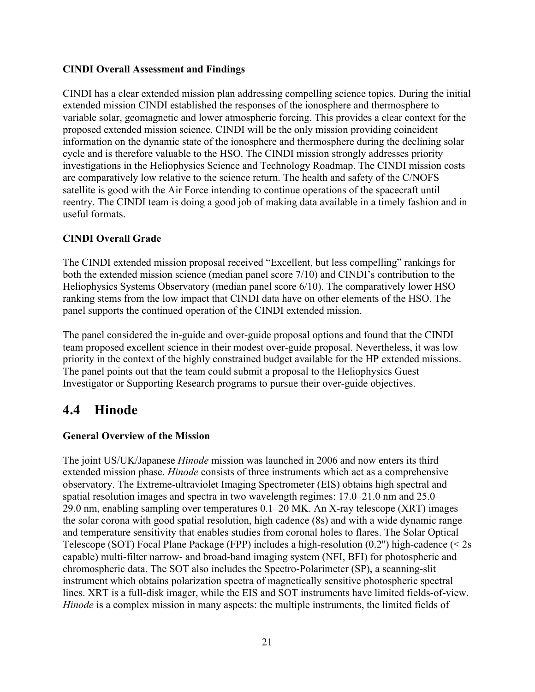#### **CINDI Overall Assessment and Findings**

CINDI has a clear extended mission plan addressing compelling science topics. During the initial extended mission CINDI established the responses of the ionosphere and thermosphere to variable solar, geomagnetic and lower atmospheric forcing. This provides a clear context for the proposed extended mission science. CINDI will be the only mission providing coincident information on the dynamic state of the ionosphere and thermosphere during the declining solar cycle and is therefore valuable to the HSO. The CINDI mission strongly addresses priority investigations in the Heliophysics Science and Technology Roadmap. The CINDI mission costs are comparatively low relative to the science return. The health and safety of the C/NOFS satellite is good with the Air Force intending to continue operations of the spacecraft until reentry. The CINDI team is doing a good job of making data available in a timely fashion and in useful formats.

#### **CINDI Overall Grade**

The CINDI extended mission proposal received "Excellent, but less compelling" rankings for both the extended mission science (median panel score 7/10) and CINDI's contribution to the Heliophysics Systems Observatory (median panel score 6/10). The comparatively lower HSO ranking stems from the low impact that CINDI data have on other elements of the HSO. The panel supports the continued operation of the CINDI extended mission.

The panel considered the in-guide and over-guide proposal options and found that the CINDI team proposed excellent science in their modest over-guide proposal. Nevertheless, it was low priority in the context of the highly constrained budget available for the HP extended missions. The panel points out that the team could submit a proposal to the Heliophysics Guest Investigator or Supporting Research programs to pursue their over-guide objectives.

### **4.4 Hinode**

#### **General Overview of the Mission**

The joint US/UK/Japanese *Hinode* mission was launched in 2006 and now enters its third extended mission phase. *Hinode* consists of three instruments which act as a comprehensive observatory. The Extreme-ultraviolet Imaging Spectrometer (EIS) obtains high spectral and spatial resolution images and spectra in two wavelength regimes: 17.0–21.0 nm and 25.0– 29.0 nm, enabling sampling over temperatures 0.1–20 MK. An X-ray telescope (XRT) images the solar corona with good spatial resolution, high cadence (8s) and with a wide dynamic range and temperature sensitivity that enables studies from coronal holes to flares. The Solar Optical Telescope (SOT) Focal Plane Package (FPP) includes a high-resolution (0.2'') high-cadence (< 2s capable) multi-filter narrow- and broad-band imaging system (NFI, BFI) for photospheric and chromospheric data. The SOT also includes the Spectro-Polarimeter (SP), a scanning-slit instrument which obtains polarization spectra of magnetically sensitive photospheric spectral lines. XRT is a full-disk imager, while the EIS and SOT instruments have limited fields-of-view. *Hinode* is a complex mission in many aspects: the multiple instruments, the limited fields of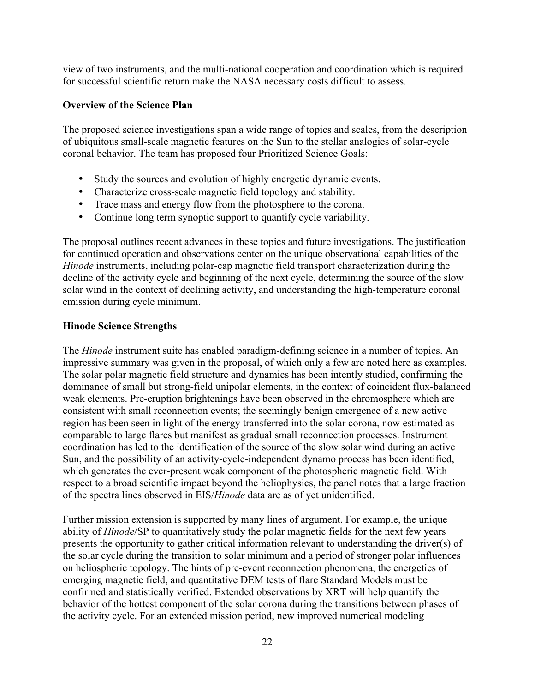view of two instruments, and the multi-national cooperation and coordination which is required for successful scientific return make the NASA necessary costs difficult to assess.

#### **Overview of the Science Plan**

The proposed science investigations span a wide range of topics and scales, from the description of ubiquitous small-scale magnetic features on the Sun to the stellar analogies of solar-cycle coronal behavior. The team has proposed four Prioritized Science Goals:

- Study the sources and evolution of highly energetic dynamic events.
- Characterize cross-scale magnetic field topology and stability.
- Trace mass and energy flow from the photosphere to the corona.
- Continue long term synoptic support to quantify cycle variability.

The proposal outlines recent advances in these topics and future investigations. The justification for continued operation and observations center on the unique observational capabilities of the *Hinode* instruments, including polar-cap magnetic field transport characterization during the decline of the activity cycle and beginning of the next cycle, determining the source of the slow solar wind in the context of declining activity, and understanding the high-temperature coronal emission during cycle minimum.

#### **Hinode Science Strengths**

The *Hinode* instrument suite has enabled paradigm-defining science in a number of topics. An impressive summary was given in the proposal, of which only a few are noted here as examples. The solar polar magnetic field structure and dynamics has been intently studied, confirming the dominance of small but strong-field unipolar elements, in the context of coincident flux-balanced weak elements. Pre-eruption brightenings have been observed in the chromosphere which are consistent with small reconnection events; the seemingly benign emergence of a new active region has been seen in light of the energy transferred into the solar corona, now estimated as comparable to large flares but manifest as gradual small reconnection processes. Instrument coordination has led to the identification of the source of the slow solar wind during an active Sun, and the possibility of an activity-cycle-independent dynamo process has been identified, which generates the ever-present weak component of the photospheric magnetic field. With respect to a broad scientific impact beyond the heliophysics, the panel notes that a large fraction of the spectra lines observed in EIS/*Hinode* data are as of yet unidentified.

Further mission extension is supported by many lines of argument. For example, the unique ability of *Hinode*/SP to quantitatively study the polar magnetic fields for the next few years presents the opportunity to gather critical information relevant to understanding the driver(s) of the solar cycle during the transition to solar minimum and a period of stronger polar influences on heliospheric topology. The hints of pre-event reconnection phenomena, the energetics of emerging magnetic field, and quantitative DEM tests of flare Standard Models must be confirmed and statistically verified. Extended observations by XRT will help quantify the behavior of the hottest component of the solar corona during the transitions between phases of the activity cycle. For an extended mission period, new improved numerical modeling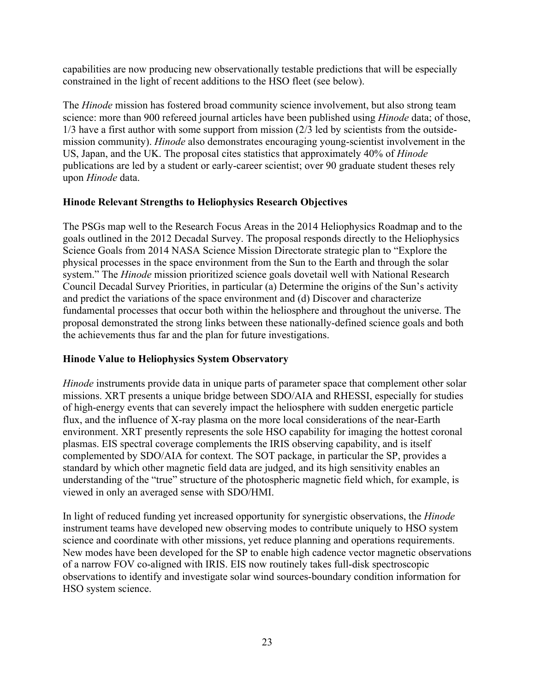capabilities are now producing new observationally testable predictions that will be especially constrained in the light of recent additions to the HSO fleet (see below).

The *Hinode* mission has fostered broad community science involvement, but also strong team science: more than 900 refereed journal articles have been published using *Hinode* data; of those, 1/3 have a first author with some support from mission (2/3 led by scientists from the outsidemission community). *Hinode* also demonstrates encouraging young-scientist involvement in the US, Japan, and the UK. The proposal cites statistics that approximately 40% of *Hinode* publications are led by a student or early-career scientist; over 90 graduate student theses rely upon *Hinode* data.

#### **Hinode Relevant Strengths to Heliophysics Research Objectives**

The PSGs map well to the Research Focus Areas in the 2014 Heliophysics Roadmap and to the goals outlined in the 2012 Decadal Survey. The proposal responds directly to the Heliophysics Science Goals from 2014 NASA Science Mission Directorate strategic plan to "Explore the physical processes in the space environment from the Sun to the Earth and through the solar system." The *Hinode* mission prioritized science goals dovetail well with National Research Council Decadal Survey Priorities, in particular (a) Determine the origins of the Sun's activity and predict the variations of the space environment and (d) Discover and characterize fundamental processes that occur both within the heliosphere and throughout the universe. The proposal demonstrated the strong links between these nationally-defined science goals and both the achievements thus far and the plan for future investigations.

#### **Hinode Value to Heliophysics System Observatory**

*Hinode* instruments provide data in unique parts of parameter space that complement other solar missions. XRT presents a unique bridge between SDO/AIA and RHESSI, especially for studies of high-energy events that can severely impact the heliosphere with sudden energetic particle flux, and the influence of X-ray plasma on the more local considerations of the near-Earth environment. XRT presently represents the sole HSO capability for imaging the hottest coronal plasmas. EIS spectral coverage complements the IRIS observing capability, and is itself complemented by SDO/AIA for context. The SOT package, in particular the SP, provides a standard by which other magnetic field data are judged, and its high sensitivity enables an understanding of the "true" structure of the photospheric magnetic field which, for example, is viewed in only an averaged sense with SDO/HMI.

In light of reduced funding yet increased opportunity for synergistic observations, the *Hinode* instrument teams have developed new observing modes to contribute uniquely to HSO system science and coordinate with other missions, yet reduce planning and operations requirements. New modes have been developed for the SP to enable high cadence vector magnetic observations of a narrow FOV co-aligned with IRIS. EIS now routinely takes full-disk spectroscopic observations to identify and investigate solar wind sources-boundary condition information for HSO system science.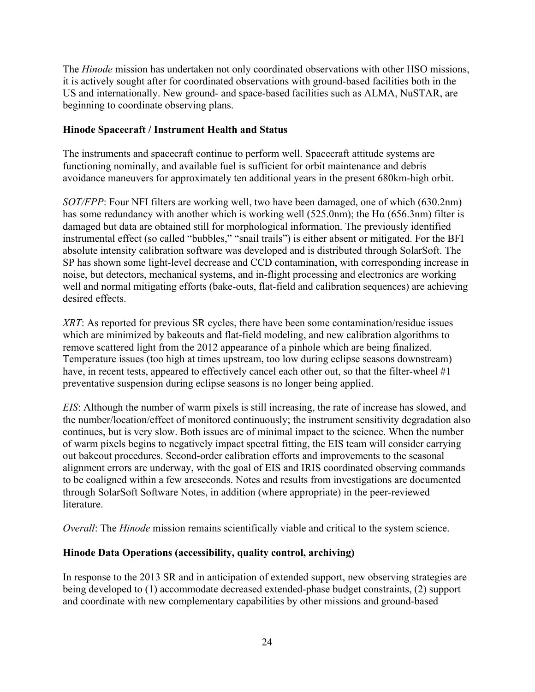The *Hinode* mission has undertaken not only coordinated observations with other HSO missions, it is actively sought after for coordinated observations with ground-based facilities both in the US and internationally. New ground- and space-based facilities such as ALMA, NuSTAR, are beginning to coordinate observing plans.

#### **Hinode Spacecraft / Instrument Health and Status**

The instruments and spacecraft continue to perform well. Spacecraft attitude systems are functioning nominally, and available fuel is sufficient for orbit maintenance and debris avoidance maneuvers for approximately ten additional years in the present 680km-high orbit.

*SOT/FPP*: Four NFI filters are working well, two have been damaged, one of which (630.2nm) has some redundancy with another which is working well (525.0nm); the H $\alpha$  (656.3nm) filter is damaged but data are obtained still for morphological information. The previously identified instrumental effect (so called "bubbles," "snail trails") is either absent or mitigated. For the BFI absolute intensity calibration software was developed and is distributed through SolarSoft. The SP has shown some light-level decrease and CCD contamination, with corresponding increase in noise, but detectors, mechanical systems, and in-flight processing and electronics are working well and normal mitigating efforts (bake-outs, flat-field and calibration sequences) are achieving desired effects.

*XRT*: As reported for previous SR cycles, there have been some contamination/residue issues which are minimized by bakeouts and flat-field modeling, and new calibration algorithms to remove scattered light from the 2012 appearance of a pinhole which are being finalized. Temperature issues (too high at times upstream, too low during eclipse seasons downstream) have, in recent tests, appeared to effectively cancel each other out, so that the filter-wheel #1 preventative suspension during eclipse seasons is no longer being applied.

*EIS*: Although the number of warm pixels is still increasing, the rate of increase has slowed, and the number/location/effect of monitored continuously; the instrument sensitivity degradation also continues, but is very slow. Both issues are of minimal impact to the science. When the number of warm pixels begins to negatively impact spectral fitting, the EIS team will consider carrying out bakeout procedures. Second-order calibration efforts and improvements to the seasonal alignment errors are underway, with the goal of EIS and IRIS coordinated observing commands to be coaligned within a few arcseconds. Notes and results from investigations are documented through SolarSoft Software Notes, in addition (where appropriate) in the peer-reviewed **literature** 

*Overall*: The *Hinode* mission remains scientifically viable and critical to the system science.

#### **Hinode Data Operations (accessibility, quality control, archiving)**

In response to the 2013 SR and in anticipation of extended support, new observing strategies are being developed to (1) accommodate decreased extended-phase budget constraints, (2) support and coordinate with new complementary capabilities by other missions and ground-based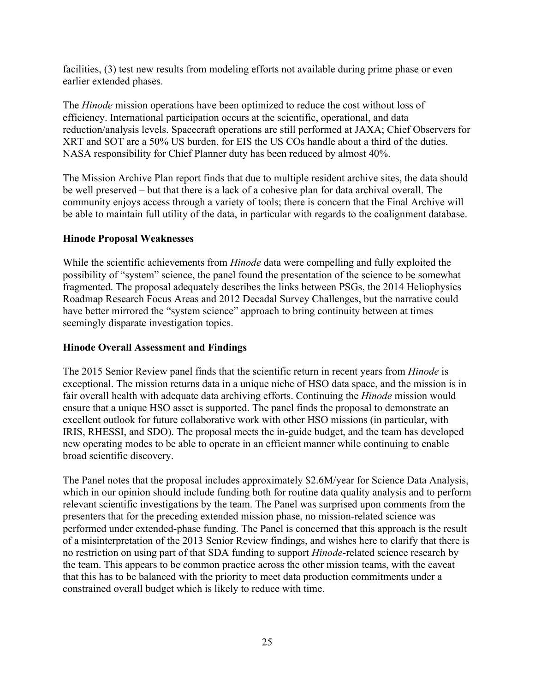facilities, (3) test new results from modeling efforts not available during prime phase or even earlier extended phases.

The *Hinode* mission operations have been optimized to reduce the cost without loss of efficiency. International participation occurs at the scientific, operational, and data reduction/analysis levels. Spacecraft operations are still performed at JAXA; Chief Observers for XRT and SOT are a 50% US burden, for EIS the US COs handle about a third of the duties. NASA responsibility for Chief Planner duty has been reduced by almost 40%.

The Mission Archive Plan report finds that due to multiple resident archive sites, the data should be well preserved – but that there is a lack of a cohesive plan for data archival overall. The community enjoys access through a variety of tools; there is concern that the Final Archive will be able to maintain full utility of the data, in particular with regards to the coalignment database.

#### **Hinode Proposal Weaknesses**

While the scientific achievements from *Hinode* data were compelling and fully exploited the possibility of "system" science, the panel found the presentation of the science to be somewhat fragmented. The proposal adequately describes the links between PSGs, the 2014 Heliophysics Roadmap Research Focus Areas and 2012 Decadal Survey Challenges, but the narrative could have better mirrored the "system science" approach to bring continuity between at times seemingly disparate investigation topics.

#### **Hinode Overall Assessment and Findings**

The 2015 Senior Review panel finds that the scientific return in recent years from *Hinode* is exceptional. The mission returns data in a unique niche of HSO data space, and the mission is in fair overall health with adequate data archiving efforts. Continuing the *Hinode* mission would ensure that a unique HSO asset is supported. The panel finds the proposal to demonstrate an excellent outlook for future collaborative work with other HSO missions (in particular, with IRIS, RHESSI, and SDO). The proposal meets the in-guide budget, and the team has developed new operating modes to be able to operate in an efficient manner while continuing to enable broad scientific discovery.

The Panel notes that the proposal includes approximately \$2.6M/year for Science Data Analysis, which in our opinion should include funding both for routine data quality analysis and to perform relevant scientific investigations by the team. The Panel was surprised upon comments from the presenters that for the preceding extended mission phase, no mission-related science was performed under extended-phase funding. The Panel is concerned that this approach is the result of a misinterpretation of the 2013 Senior Review findings, and wishes here to clarify that there is no restriction on using part of that SDA funding to support *Hinode*-related science research by the team. This appears to be common practice across the other mission teams, with the caveat that this has to be balanced with the priority to meet data production commitments under a constrained overall budget which is likely to reduce with time.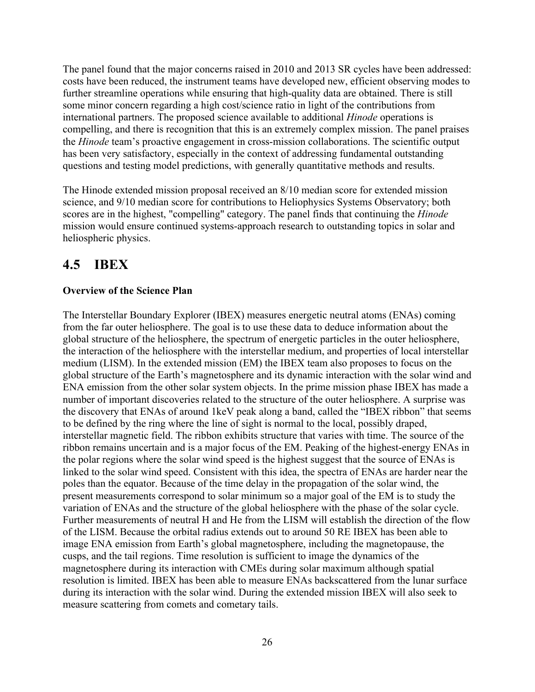The panel found that the major concerns raised in 2010 and 2013 SR cycles have been addressed: costs have been reduced, the instrument teams have developed new, efficient observing modes to further streamline operations while ensuring that high-quality data are obtained. There is still some minor concern regarding a high cost/science ratio in light of the contributions from international partners. The proposed science available to additional *Hinode* operations is compelling, and there is recognition that this is an extremely complex mission. The panel praises the *Hinode* team's proactive engagement in cross-mission collaborations. The scientific output has been very satisfactory, especially in the context of addressing fundamental outstanding questions and testing model predictions, with generally quantitative methods and results.

The Hinode extended mission proposal received an 8/10 median score for extended mission science, and 9/10 median score for contributions to Heliophysics Systems Observatory; both scores are in the highest, "compelling" category. The panel finds that continuing the *Hinode* mission would ensure continued systems-approach research to outstanding topics in solar and heliospheric physics.

# **4.5 IBEX**

#### **Overview of the Science Plan**

The Interstellar Boundary Explorer (IBEX) measures energetic neutral atoms (ENAs) coming from the far outer heliosphere. The goal is to use these data to deduce information about the global structure of the heliosphere, the spectrum of energetic particles in the outer heliosphere, the interaction of the heliosphere with the interstellar medium, and properties of local interstellar medium (LISM). In the extended mission (EM) the IBEX team also proposes to focus on the global structure of the Earth's magnetosphere and its dynamic interaction with the solar wind and ENA emission from the other solar system objects. In the prime mission phase IBEX has made a number of important discoveries related to the structure of the outer heliosphere. A surprise was the discovery that ENAs of around 1keV peak along a band, called the "IBEX ribbon" that seems to be defined by the ring where the line of sight is normal to the local, possibly draped, interstellar magnetic field. The ribbon exhibits structure that varies with time. The source of the ribbon remains uncertain and is a major focus of the EM. Peaking of the highest-energy ENAs in the polar regions where the solar wind speed is the highest suggest that the source of ENAs is linked to the solar wind speed. Consistent with this idea, the spectra of ENAs are harder near the poles than the equator. Because of the time delay in the propagation of the solar wind, the present measurements correspond to solar minimum so a major goal of the EM is to study the variation of ENAs and the structure of the global heliosphere with the phase of the solar cycle. Further measurements of neutral H and He from the LISM will establish the direction of the flow of the LISM. Because the orbital radius extends out to around 50 RE IBEX has been able to image ENA emission from Earth's global magnetosphere, including the magnetopause, the cusps, and the tail regions. Time resolution is sufficient to image the dynamics of the magnetosphere during its interaction with CMEs during solar maximum although spatial resolution is limited. IBEX has been able to measure ENAs backscattered from the lunar surface during its interaction with the solar wind. During the extended mission IBEX will also seek to measure scattering from comets and cometary tails.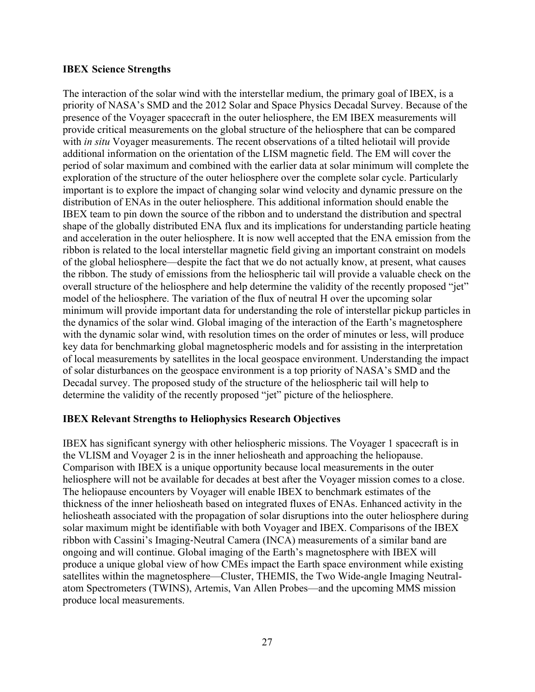#### **IBEX Science Strengths**

The interaction of the solar wind with the interstellar medium, the primary goal of IBEX, is a priority of NASA's SMD and the 2012 Solar and Space Physics Decadal Survey. Because of the presence of the Voyager spacecraft in the outer heliosphere, the EM IBEX measurements will provide critical measurements on the global structure of the heliosphere that can be compared with *in situ* Voyager measurements. The recent observations of a tilted heliotail will provide additional information on the orientation of the LISM magnetic field. The EM will cover the period of solar maximum and combined with the earlier data at solar minimum will complete the exploration of the structure of the outer heliosphere over the complete solar cycle. Particularly important is to explore the impact of changing solar wind velocity and dynamic pressure on the distribution of ENAs in the outer heliosphere. This additional information should enable the IBEX team to pin down the source of the ribbon and to understand the distribution and spectral shape of the globally distributed ENA flux and its implications for understanding particle heating and acceleration in the outer heliosphere. It is now well accepted that the ENA emission from the ribbon is related to the local interstellar magnetic field giving an important constraint on models of the global heliosphere—despite the fact that we do not actually know, at present, what causes the ribbon. The study of emissions from the heliospheric tail will provide a valuable check on the overall structure of the heliosphere and help determine the validity of the recently proposed "jet" model of the heliosphere. The variation of the flux of neutral H over the upcoming solar minimum will provide important data for understanding the role of interstellar pickup particles in the dynamics of the solar wind. Global imaging of the interaction of the Earth's magnetosphere with the dynamic solar wind, with resolution times on the order of minutes or less, will produce key data for benchmarking global magnetospheric models and for assisting in the interpretation of local measurements by satellites in the local geospace environment. Understanding the impact of solar disturbances on the geospace environment is a top priority of NASA's SMD and the Decadal survey. The proposed study of the structure of the heliospheric tail will help to determine the validity of the recently proposed "jet" picture of the heliosphere.

#### **IBEX Relevant Strengths to Heliophysics Research Objectives**

IBEX has significant synergy with other heliospheric missions. The Voyager 1 spacecraft is in the VLISM and Voyager 2 is in the inner heliosheath and approaching the heliopause. Comparison with IBEX is a unique opportunity because local measurements in the outer heliosphere will not be available for decades at best after the Voyager mission comes to a close. The heliopause encounters by Voyager will enable IBEX to benchmark estimates of the thickness of the inner heliosheath based on integrated fluxes of ENAs. Enhanced activity in the heliosheath associated with the propagation of solar disruptions into the outer heliosphere during solar maximum might be identifiable with both Voyager and IBEX. Comparisons of the IBEX ribbon with Cassini's Imaging-Neutral Camera (INCA) measurements of a similar band are ongoing and will continue. Global imaging of the Earth's magnetosphere with IBEX will produce a unique global view of how CMEs impact the Earth space environment while existing satellites within the magnetosphere—Cluster, THEMIS, the Two Wide-angle Imaging Neutralatom Spectrometers (TWINS), Artemis, Van Allen Probes—and the upcoming MMS mission produce local measurements.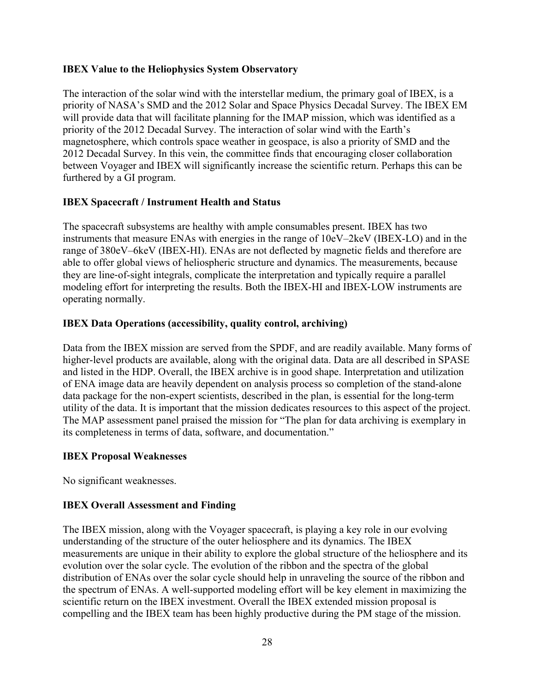#### **IBEX Value to the Heliophysics System Observatory**

The interaction of the solar wind with the interstellar medium, the primary goal of IBEX, is a priority of NASA's SMD and the 2012 Solar and Space Physics Decadal Survey. The IBEX EM will provide data that will facilitate planning for the IMAP mission, which was identified as a priority of the 2012 Decadal Survey. The interaction of solar wind with the Earth's magnetosphere, which controls space weather in geospace, is also a priority of SMD and the 2012 Decadal Survey. In this vein, the committee finds that encouraging closer collaboration between Voyager and IBEX will significantly increase the scientific return. Perhaps this can be furthered by a GI program.

#### **IBEX Spacecraft / Instrument Health and Status**

The spacecraft subsystems are healthy with ample consumables present. IBEX has two instruments that measure ENAs with energies in the range of 10eV–2keV (IBEX-LO) and in the range of 380eV–6keV (IBEX-HI). ENAs are not deflected by magnetic fields and therefore are able to offer global views of heliospheric structure and dynamics. The measurements, because they are line-of-sight integrals, complicate the interpretation and typically require a parallel modeling effort for interpreting the results. Both the IBEX-HI and IBEX-LOW instruments are operating normally.

#### **IBEX Data Operations (accessibility, quality control, archiving)**

Data from the IBEX mission are served from the SPDF, and are readily available. Many forms of higher-level products are available, along with the original data. Data are all described in SPASE and listed in the HDP. Overall, the IBEX archive is in good shape. Interpretation and utilization of ENA image data are heavily dependent on analysis process so completion of the stand-alone data package for the non-expert scientists, described in the plan, is essential for the long-term utility of the data. It is important that the mission dedicates resources to this aspect of the project. The MAP assessment panel praised the mission for "The plan for data archiving is exemplary in its completeness in terms of data, software, and documentation."

#### **IBEX Proposal Weaknesses**

No significant weaknesses.

#### **IBEX Overall Assessment and Finding**

The IBEX mission, along with the Voyager spacecraft, is playing a key role in our evolving understanding of the structure of the outer heliosphere and its dynamics. The IBEX measurements are unique in their ability to explore the global structure of the heliosphere and its evolution over the solar cycle. The evolution of the ribbon and the spectra of the global distribution of ENAs over the solar cycle should help in unraveling the source of the ribbon and the spectrum of ENAs. A well-supported modeling effort will be key element in maximizing the scientific return on the IBEX investment. Overall the IBEX extended mission proposal is compelling and the IBEX team has been highly productive during the PM stage of the mission.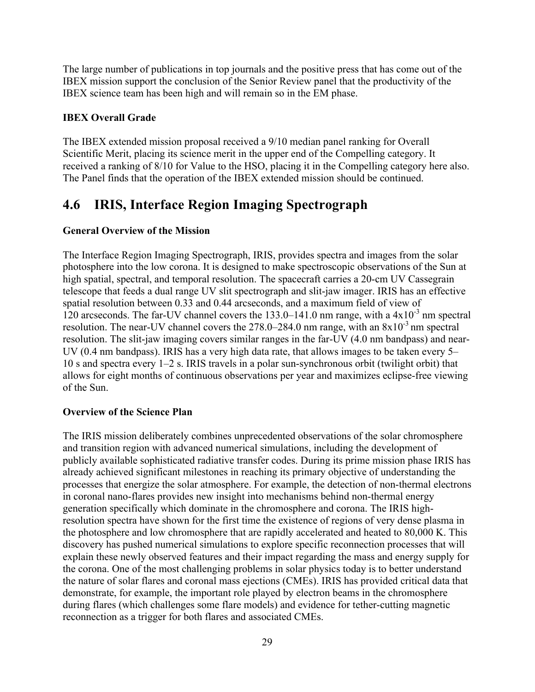The large number of publications in top journals and the positive press that has come out of the IBEX mission support the conclusion of the Senior Review panel that the productivity of the IBEX science team has been high and will remain so in the EM phase.

#### **IBEX Overall Grade**

The IBEX extended mission proposal received a 9/10 median panel ranking for Overall Scientific Merit, placing its science merit in the upper end of the Compelling category. It received a ranking of 8/10 for Value to the HSO, placing it in the Compelling category here also. The Panel finds that the operation of the IBEX extended mission should be continued.

# **4.6 IRIS, Interface Region Imaging Spectrograph**

#### **General Overview of the Mission**

The Interface Region Imaging Spectrograph, IRIS, provides spectra and images from the solar photosphere into the low corona. It is designed to make spectroscopic observations of the Sun at high spatial, spectral, and temporal resolution. The spacecraft carries a 20-cm UV Cassegrain telescope that feeds a dual range UV slit spectrograph and slit-jaw imager. IRIS has an effective spatial resolution between 0.33 and 0.44 arcseconds, and a maximum field of view of 120 arcseconds. The far-UV channel covers the  $133.0-141.0$  nm range, with a  $4x10^{-3}$  nm spectral resolution. The near-UV channel covers the  $278.0-284.0$  nm range, with an  $8x10^{-3}$  nm spectral resolution. The slit-jaw imaging covers similar ranges in the far-UV (4.0 nm bandpass) and near-UV (0.4 nm bandpass). IRIS has a very high data rate, that allows images to be taken every 5– 10 s and spectra every 1–2 s. IRIS travels in a polar sun-synchronous orbit (twilight orbit) that allows for eight months of continuous observations per year and maximizes eclipse-free viewing of the Sun.

#### **Overview of the Science Plan**

The IRIS mission deliberately combines unprecedented observations of the solar chromosphere and transition region with advanced numerical simulations, including the development of publicly available sophisticated radiative transfer codes. During its prime mission phase IRIS has already achieved significant milestones in reaching its primary objective of understanding the processes that energize the solar atmosphere. For example, the detection of non-thermal electrons in coronal nano-flares provides new insight into mechanisms behind non-thermal energy generation specifically which dominate in the chromosphere and corona. The IRIS highresolution spectra have shown for the first time the existence of regions of very dense plasma in the photosphere and low chromosphere that are rapidly accelerated and heated to 80,000 K. This discovery has pushed numerical simulations to explore specific reconnection processes that will explain these newly observed features and their impact regarding the mass and energy supply for the corona. One of the most challenging problems in solar physics today is to better understand the nature of solar flares and coronal mass ejections (CMEs). IRIS has provided critical data that demonstrate, for example, the important role played by electron beams in the chromosphere during flares (which challenges some flare models) and evidence for tether-cutting magnetic reconnection as a trigger for both flares and associated CMEs.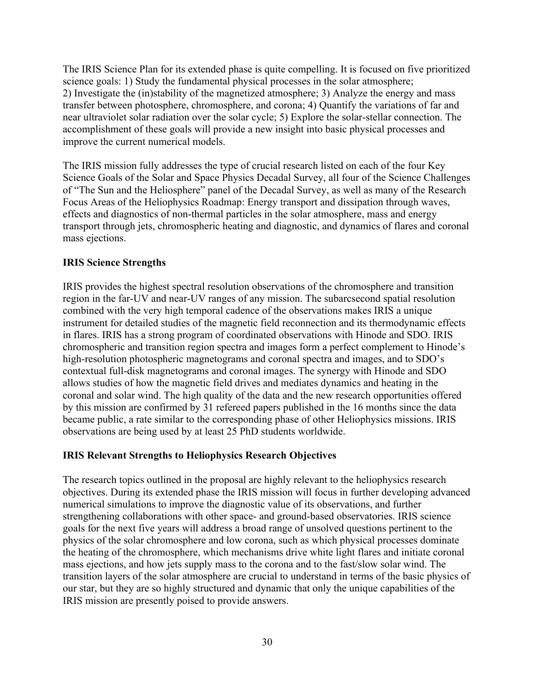The IRIS Science Plan for its extended phase is quite compelling. It is focused on five prioritized science goals: 1) Study the fundamental physical processes in the solar atmosphere; 2) Investigate the (in)stability of the magnetized atmosphere; 3) Analyze the energy and mass transfer between photosphere, chromosphere, and corona; 4) Quantify the variations of far and near ultraviolet solar radiation over the solar cycle; 5) Explore the solar-stellar connection. The accomplishment of these goals will provide a new insight into basic physical processes and improve the current numerical models.

The IRIS mission fully addresses the type of crucial research listed on each of the four Key Science Goals of the Solar and Space Physics Decadal Survey, all four of the Science Challenges of "The Sun and the Heliosphere" panel of the Decadal Survey, as well as many of the Research Focus Areas of the Heliophysics Roadmap: Energy transport and dissipation through waves, effects and diagnostics of non-thermal particles in the solar atmosphere, mass and energy transport through jets, chromospheric heating and diagnostic, and dynamics of flares and coronal mass ejections.

#### **IRIS Science Strengths**

IRIS provides the highest spectral resolution observations of the chromosphere and transition region in the far-UV and near-UV ranges of any mission. The subarcsecond spatial resolution combined with the very high temporal cadence of the observations makes IRIS a unique instrument for detailed studies of the magnetic field reconnection and its thermodynamic effects in flares. IRIS has a strong program of coordinated observations with Hinode and SDO. IRIS chromospheric and transition region spectra and images form a perfect complement to Hinode's high-resolution photospheric magnetograms and coronal spectra and images, and to SDO's contextual full-disk magnetograms and coronal images. The synergy with Hinode and SDO allows studies of how the magnetic field drives and mediates dynamics and heating in the coronal and solar wind. The high quality of the data and the new research opportunities offered by this mission are confirmed by 31 refereed papers published in the 16 months since the data became public, a rate similar to the corresponding phase of other Heliophysics missions. IRIS observations are being used by at least 25 PhD students worldwide.

#### **IRIS Relevant Strengths to Heliophysics Research Objectives**

The research topics outlined in the proposal are highly relevant to the heliophysics research objectives. During its extended phase the IRIS mission will focus in further developing advanced numerical simulations to improve the diagnostic value of its observations, and further strengthening collaborations with other space- and ground-based observatories. IRIS science goals for the next five years will address a broad range of unsolved questions pertinent to the physics of the solar chromosphere and low corona, such as which physical processes dominate the heating of the chromosphere, which mechanisms drive white light flares and initiate coronal mass ejections, and how jets supply mass to the corona and to the fast/slow solar wind. The transition layers of the solar atmosphere are crucial to understand in terms of the basic physics of our star, but they are so highly structured and dynamic that only the unique capabilities of the IRIS mission are presently poised to provide answers.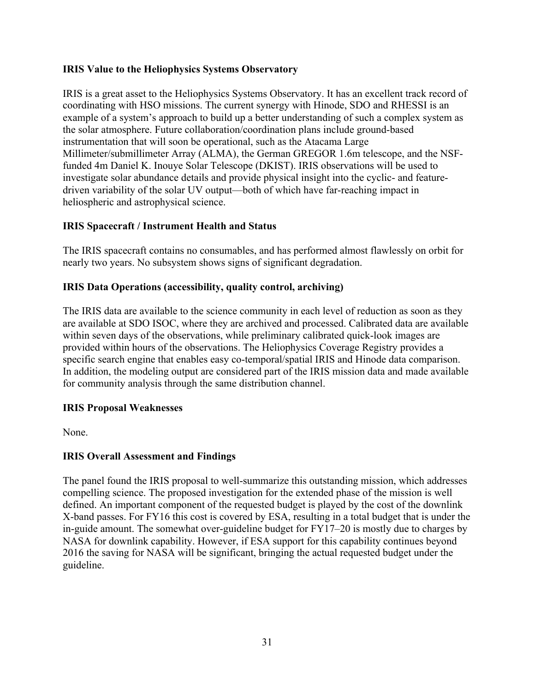#### **IRIS Value to the Heliophysics Systems Observatory**

IRIS is a great asset to the Heliophysics Systems Observatory. It has an excellent track record of coordinating with HSO missions. The current synergy with Hinode, SDO and RHESSI is an example of a system's approach to build up a better understanding of such a complex system as the solar atmosphere. Future collaboration/coordination plans include ground-based instrumentation that will soon be operational, such as the Atacama Large Millimeter/submillimeter Array (ALMA), the German GREGOR 1.6m telescope, and the NSFfunded 4m Daniel K. Inouye Solar Telescope (DKIST). IRIS observations will be used to investigate solar abundance details and provide physical insight into the cyclic- and featuredriven variability of the solar UV output—both of which have far-reaching impact in heliospheric and astrophysical science.

#### **IRIS Spacecraft / Instrument Health and Status**

The IRIS spacecraft contains no consumables, and has performed almost flawlessly on orbit for nearly two years. No subsystem shows signs of significant degradation.

#### **IRIS Data Operations (accessibility, quality control, archiving)**

The IRIS data are available to the science community in each level of reduction as soon as they are available at SDO ISOC, where they are archived and processed. Calibrated data are available within seven days of the observations, while preliminary calibrated quick-look images are provided within hours of the observations. The Heliophysics Coverage Registry provides a specific search engine that enables easy co-temporal/spatial IRIS and Hinode data comparison. In addition, the modeling output are considered part of the IRIS mission data and made available for community analysis through the same distribution channel.

#### **IRIS Proposal Weaknesses**

None.

#### **IRIS Overall Assessment and Findings**

The panel found the IRIS proposal to well-summarize this outstanding mission, which addresses compelling science. The proposed investigation for the extended phase of the mission is well defined. An important component of the requested budget is played by the cost of the downlink X-band passes. For FY16 this cost is covered by ESA, resulting in a total budget that is under the in-guide amount. The somewhat over-guideline budget for FY17–20 is mostly due to charges by NASA for downlink capability. However, if ESA support for this capability continues beyond 2016 the saving for NASA will be significant, bringing the actual requested budget under the guideline.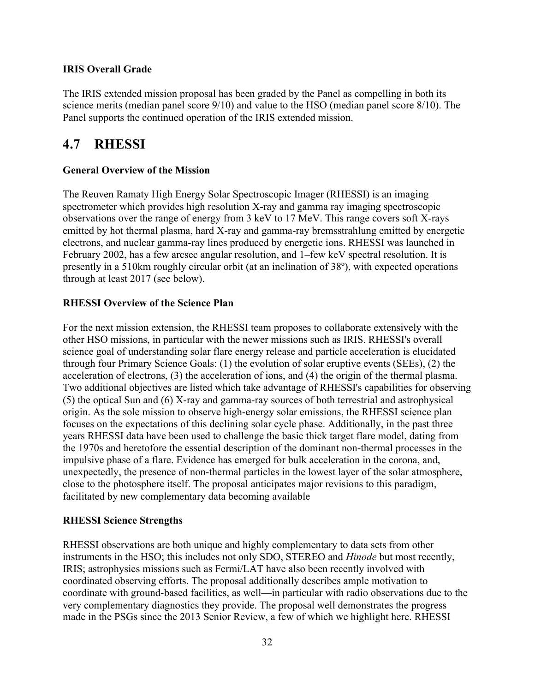#### **IRIS Overall Grade**

The IRIS extended mission proposal has been graded by the Panel as compelling in both its science merits (median panel score 9/10) and value to the HSO (median panel score 8/10). The Panel supports the continued operation of the IRIS extended mission.

## **4.7 RHESSI**

#### **General Overview of the Mission**

The Reuven Ramaty High Energy Solar Spectroscopic Imager (RHESSI) is an imaging spectrometer which provides high resolution X-ray and gamma ray imaging spectroscopic observations over the range of energy from 3 keV to 17 MeV. This range covers soft X-rays emitted by hot thermal plasma, hard X-ray and gamma-ray bremsstrahlung emitted by energetic electrons, and nuclear gamma-ray lines produced by energetic ions. RHESSI was launched in February 2002, has a few arcsec angular resolution, and 1–few keV spectral resolution. It is presently in a 510km roughly circular orbit (at an inclination of 38º), with expected operations through at least 2017 (see below).

#### **RHESSI Overview of the Science Plan**

For the next mission extension, the RHESSI team proposes to collaborate extensively with the other HSO missions, in particular with the newer missions such as IRIS. RHESSI's overall science goal of understanding solar flare energy release and particle acceleration is elucidated through four Primary Science Goals: (1) the evolution of solar eruptive events (SEEs), (2) the acceleration of electrons, (3) the acceleration of ions, and (4) the origin of the thermal plasma. Two additional objectives are listed which take advantage of RHESSI's capabilities for observing (5) the optical Sun and (6) X-ray and gamma-ray sources of both terrestrial and astrophysical origin. As the sole mission to observe high-energy solar emissions, the RHESSI science plan focuses on the expectations of this declining solar cycle phase. Additionally, in the past three years RHESSI data have been used to challenge the basic thick target flare model, dating from the 1970s and heretofore the essential description of the dominant non-thermal processes in the impulsive phase of a flare. Evidence has emerged for bulk acceleration in the corona, and, unexpectedly, the presence of non-thermal particles in the lowest layer of the solar atmosphere, close to the photosphere itself. The proposal anticipates major revisions to this paradigm, facilitated by new complementary data becoming available

#### **RHESSI Science Strengths**

RHESSI observations are both unique and highly complementary to data sets from other instruments in the HSO; this includes not only SDO, STEREO and *Hinode* but most recently, IRIS; astrophysics missions such as Fermi/LAT have also been recently involved with coordinated observing efforts. The proposal additionally describes ample motivation to coordinate with ground-based facilities, as well—in particular with radio observations due to the very complementary diagnostics they provide. The proposal well demonstrates the progress made in the PSGs since the 2013 Senior Review, a few of which we highlight here. RHESSI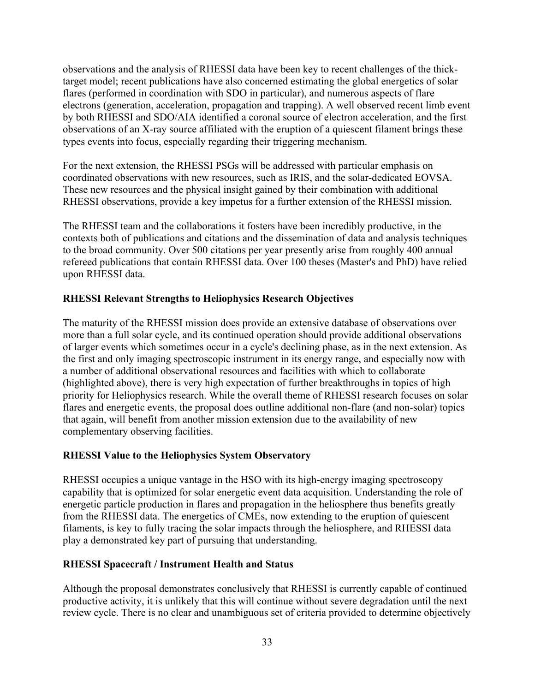observations and the analysis of RHESSI data have been key to recent challenges of the thicktarget model; recent publications have also concerned estimating the global energetics of solar flares (performed in coordination with SDO in particular), and numerous aspects of flare electrons (generation, acceleration, propagation and trapping). A well observed recent limb event by both RHESSI and SDO/AIA identified a coronal source of electron acceleration, and the first observations of an X-ray source affiliated with the eruption of a quiescent filament brings these types events into focus, especially regarding their triggering mechanism.

For the next extension, the RHESSI PSGs will be addressed with particular emphasis on coordinated observations with new resources, such as IRIS, and the solar-dedicated EOVSA. These new resources and the physical insight gained by their combination with additional RHESSI observations, provide a key impetus for a further extension of the RHESSI mission.

The RHESSI team and the collaborations it fosters have been incredibly productive, in the contexts both of publications and citations and the dissemination of data and analysis techniques to the broad community. Over 500 citations per year presently arise from roughly 400 annual refereed publications that contain RHESSI data. Over 100 theses (Master's and PhD) have relied upon RHESSI data.

# **RHESSI Relevant Strengths to Heliophysics Research Objectives**

The maturity of the RHESSI mission does provide an extensive database of observations over more than a full solar cycle, and its continued operation should provide additional observations of larger events which sometimes occur in a cycle's declining phase, as in the next extension. As the first and only imaging spectroscopic instrument in its energy range, and especially now with a number of additional observational resources and facilities with which to collaborate (highlighted above), there is very high expectation of further breakthroughs in topics of high priority for Heliophysics research. While the overall theme of RHESSI research focuses on solar flares and energetic events, the proposal does outline additional non-flare (and non-solar) topics that again, will benefit from another mission extension due to the availability of new complementary observing facilities.

# **RHESSI Value to the Heliophysics System Observatory**

RHESSI occupies a unique vantage in the HSO with its high-energy imaging spectroscopy capability that is optimized for solar energetic event data acquisition. Understanding the role of energetic particle production in flares and propagation in the heliosphere thus benefits greatly from the RHESSI data. The energetics of CMEs, now extending to the eruption of quiescent filaments, is key to fully tracing the solar impacts through the heliosphere, and RHESSI data play a demonstrated key part of pursuing that understanding.

# **RHESSI Spacecraft / Instrument Health and Status**

Although the proposal demonstrates conclusively that RHESSI is currently capable of continued productive activity, it is unlikely that this will continue without severe degradation until the next review cycle. There is no clear and unambiguous set of criteria provided to determine objectively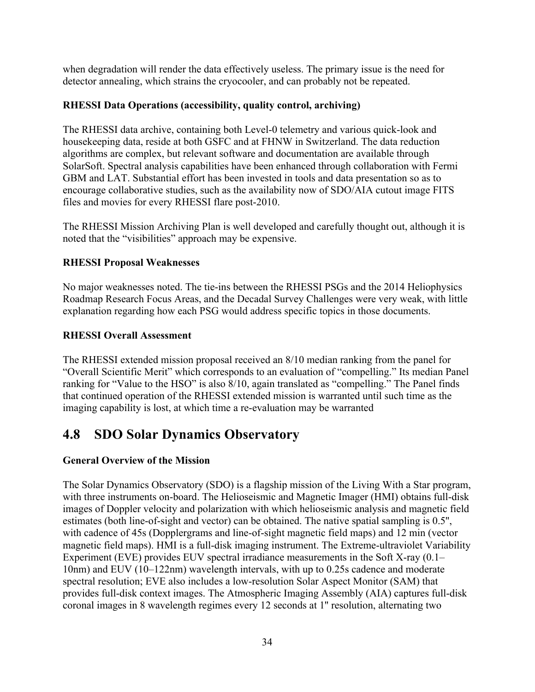when degradation will render the data effectively useless. The primary issue is the need for detector annealing, which strains the cryocooler, and can probably not be repeated.

# **RHESSI Data Operations (accessibility, quality control, archiving)**

The RHESSI data archive, containing both Level-0 telemetry and various quick-look and housekeeping data, reside at both GSFC and at FHNW in Switzerland. The data reduction algorithms are complex, but relevant software and documentation are available through SolarSoft. Spectral analysis capabilities have been enhanced through collaboration with Fermi GBM and LAT. Substantial effort has been invested in tools and data presentation so as to encourage collaborative studies, such as the availability now of SDO/AIA cutout image FITS files and movies for every RHESSI flare post-2010.

The RHESSI Mission Archiving Plan is well developed and carefully thought out, although it is noted that the "visibilities" approach may be expensive.

# **RHESSI Proposal Weaknesses**

No major weaknesses noted. The tie-ins between the RHESSI PSGs and the 2014 Heliophysics Roadmap Research Focus Areas, and the Decadal Survey Challenges were very weak, with little explanation regarding how each PSG would address specific topics in those documents.

# **RHESSI Overall Assessment**

The RHESSI extended mission proposal received an 8/10 median ranking from the panel for "Overall Scientific Merit" which corresponds to an evaluation of "compelling." Its median Panel ranking for "Value to the HSO" is also 8/10, again translated as "compelling." The Panel finds that continued operation of the RHESSI extended mission is warranted until such time as the imaging capability is lost, at which time a re-evaluation may be warranted

# **4.8 SDO Solar Dynamics Observatory**

# **General Overview of the Mission**

The Solar Dynamics Observatory (SDO) is a flagship mission of the Living With a Star program, with three instruments on-board. The Helioseismic and Magnetic Imager (HMI) obtains full-disk images of Doppler velocity and polarization with which helioseismic analysis and magnetic field estimates (both line-of-sight and vector) can be obtained. The native spatial sampling is 0.5'', with cadence of 45s (Dopplergrams and line-of-sight magnetic field maps) and 12 min (vector magnetic field maps). HMI is a full-disk imaging instrument. The Extreme-ultraviolet Variability Experiment (EVE) provides EUV spectral irradiance measurements in the Soft X-ray (0.1– 10nm) and EUV (10–122nm) wavelength intervals, with up to 0.25s cadence and moderate spectral resolution; EVE also includes a low-resolution Solar Aspect Monitor (SAM) that provides full-disk context images. The Atmospheric Imaging Assembly (AIA) captures full-disk coronal images in 8 wavelength regimes every 12 seconds at 1'' resolution, alternating two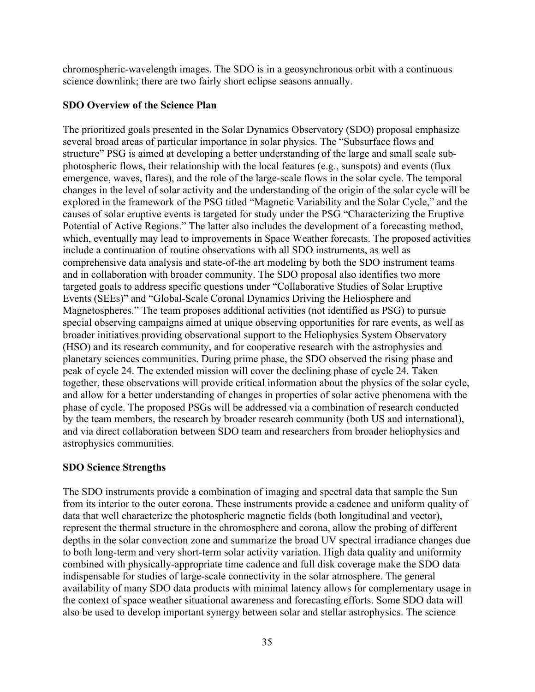chromospheric-wavelength images. The SDO is in a geosynchronous orbit with a continuous science downlink; there are two fairly short eclipse seasons annually.

## **SDO Overview of the Science Plan**

The prioritized goals presented in the Solar Dynamics Observatory (SDO) proposal emphasize several broad areas of particular importance in solar physics. The "Subsurface flows and structure" PSG is aimed at developing a better understanding of the large and small scale subphotospheric flows, their relationship with the local features (e.g., sunspots) and events (flux emergence, waves, flares), and the role of the large-scale flows in the solar cycle. The temporal changes in the level of solar activity and the understanding of the origin of the solar cycle will be explored in the framework of the PSG titled "Magnetic Variability and the Solar Cycle," and the causes of solar eruptive events is targeted for study under the PSG "Characterizing the Eruptive Potential of Active Regions." The latter also includes the development of a forecasting method, which, eventually may lead to improvements in Space Weather forecasts. The proposed activities include a continuation of routine observations with all SDO instruments, as well as comprehensive data analysis and state-of-the art modeling by both the SDO instrument teams and in collaboration with broader community. The SDO proposal also identifies two more targeted goals to address specific questions under "Collaborative Studies of Solar Eruptive Events (SEEs)" and "Global-Scale Coronal Dynamics Driving the Heliosphere and Magnetospheres." The team proposes additional activities (not identified as PSG) to pursue special observing campaigns aimed at unique observing opportunities for rare events, as well as broader initiatives providing observational support to the Heliophysics System Observatory (HSO) and its research community, and for cooperative research with the astrophysics and planetary sciences communities. During prime phase, the SDO observed the rising phase and peak of cycle 24. The extended mission will cover the declining phase of cycle 24. Taken together, these observations will provide critical information about the physics of the solar cycle, and allow for a better understanding of changes in properties of solar active phenomena with the phase of cycle. The proposed PSGs will be addressed via a combination of research conducted by the team members, the research by broader research community (both US and international), and via direct collaboration between SDO team and researchers from broader heliophysics and astrophysics communities.

# **SDO Science Strengths**

The SDO instruments provide a combination of imaging and spectral data that sample the Sun from its interior to the outer corona. These instruments provide a cadence and uniform quality of data that well characterize the photospheric magnetic fields (both longitudinal and vector), represent the thermal structure in the chromosphere and corona, allow the probing of different depths in the solar convection zone and summarize the broad UV spectral irradiance changes due to both long-term and very short-term solar activity variation. High data quality and uniformity combined with physically-appropriate time cadence and full disk coverage make the SDO data indispensable for studies of large-scale connectivity in the solar atmosphere. The general availability of many SDO data products with minimal latency allows for complementary usage in the context of space weather situational awareness and forecasting efforts. Some SDO data will also be used to develop important synergy between solar and stellar astrophysics. The science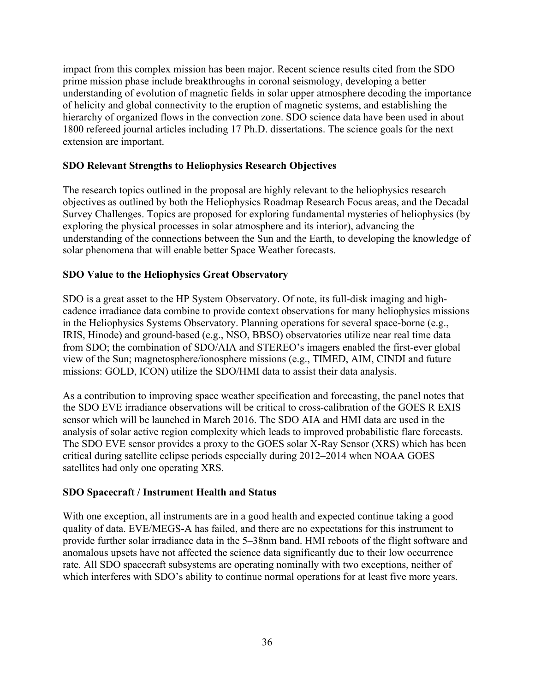impact from this complex mission has been major. Recent science results cited from the SDO prime mission phase include breakthroughs in coronal seismology, developing a better understanding of evolution of magnetic fields in solar upper atmosphere decoding the importance of helicity and global connectivity to the eruption of magnetic systems, and establishing the hierarchy of organized flows in the convection zone. SDO science data have been used in about 1800 refereed journal articles including 17 Ph.D. dissertations. The science goals for the next extension are important.

# **SDO Relevant Strengths to Heliophysics Research Objectives**

The research topics outlined in the proposal are highly relevant to the heliophysics research objectives as outlined by both the Heliophysics Roadmap Research Focus areas, and the Decadal Survey Challenges. Topics are proposed for exploring fundamental mysteries of heliophysics (by exploring the physical processes in solar atmosphere and its interior), advancing the understanding of the connections between the Sun and the Earth, to developing the knowledge of solar phenomena that will enable better Space Weather forecasts.

# **SDO Value to the Heliophysics Great Observatory**

SDO is a great asset to the HP System Observatory. Of note, its full-disk imaging and highcadence irradiance data combine to provide context observations for many heliophysics missions in the Heliophysics Systems Observatory. Planning operations for several space-borne (e.g., IRIS, Hinode) and ground-based (e.g., NSO, BBSO) observatories utilize near real time data from SDO; the combination of SDO/AIA and STEREO's imagers enabled the first-ever global view of the Sun; magnetosphere/ionosphere missions (e.g., TIMED, AIM, CINDI and future missions: GOLD, ICON) utilize the SDO/HMI data to assist their data analysis.

As a contribution to improving space weather specification and forecasting, the panel notes that the SDO EVE irradiance observations will be critical to cross-calibration of the GOES R EXIS sensor which will be launched in March 2016. The SDO AIA and HMI data are used in the analysis of solar active region complexity which leads to improved probabilistic flare forecasts. The SDO EVE sensor provides a proxy to the GOES solar X-Ray Sensor (XRS) which has been critical during satellite eclipse periods especially during 2012–2014 when NOAA GOES satellites had only one operating XRS.

# **SDO Spacecraft / Instrument Health and Status**

With one exception, all instruments are in a good health and expected continue taking a good quality of data. EVE/MEGS-A has failed, and there are no expectations for this instrument to provide further solar irradiance data in the 5–38nm band. HMI reboots of the flight software and anomalous upsets have not affected the science data significantly due to their low occurrence rate. All SDO spacecraft subsystems are operating nominally with two exceptions, neither of which interferes with SDO's ability to continue normal operations for at least five more years.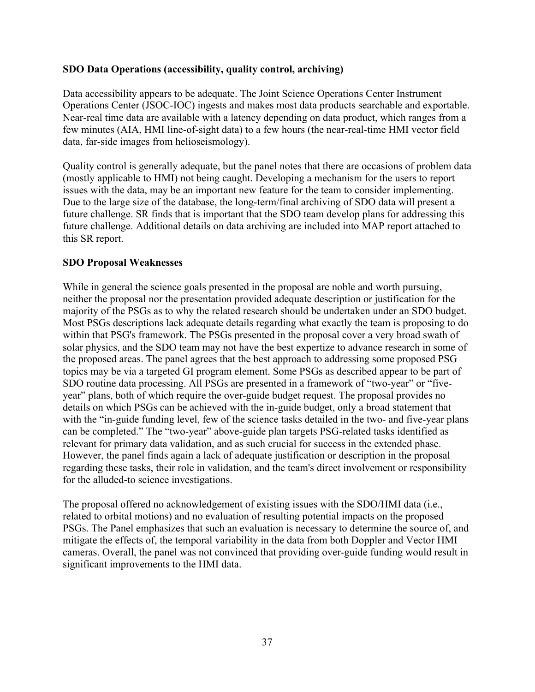### **SDO Data Operations (accessibility, quality control, archiving)**

Data accessibility appears to be adequate. The Joint Science Operations Center Instrument Operations Center (JSOC-IOC) ingests and makes most data products searchable and exportable. Near-real time data are available with a latency depending on data product, which ranges from a few minutes (AIA, HMI line-of-sight data) to a few hours (the near-real-time HMI vector field data, far-side images from helioseismology).

Quality control is generally adequate, but the panel notes that there are occasions of problem data (mostly applicable to HMI) not being caught. Developing a mechanism for the users to report issues with the data, may be an important new feature for the team to consider implementing. Due to the large size of the database, the long-term/final archiving of SDO data will present a future challenge. SR finds that is important that the SDO team develop plans for addressing this future challenge. Additional details on data archiving are included into MAP report attached to this SR report.

### **SDO Proposal Weaknesses**

While in general the science goals presented in the proposal are noble and worth pursuing, neither the proposal nor the presentation provided adequate description or justification for the majority of the PSGs as to why the related research should be undertaken under an SDO budget. Most PSGs descriptions lack adequate details regarding what exactly the team is proposing to do within that PSG's framework. The PSGs presented in the proposal cover a very broad swath of solar physics, and the SDO team may not have the best expertize to advance research in some of the proposed areas. The panel agrees that the best approach to addressing some proposed PSG topics may be via a targeted GI program element. Some PSGs as described appear to be part of SDO routine data processing. All PSGs are presented in a framework of "two-year" or "fiveyear" plans, both of which require the over-guide budget request. The proposal provides no details on which PSGs can be achieved with the in-guide budget, only a broad statement that with the "in-guide funding level, few of the science tasks detailed in the two- and five-year plans can be completed." The "two-year" above-guide plan targets PSG-related tasks identified as relevant for primary data validation, and as such crucial for success in the extended phase. However, the panel finds again a lack of adequate justification or description in the proposal regarding these tasks, their role in validation, and the team's direct involvement or responsibility for the alluded-to science investigations.

The proposal offered no acknowledgement of existing issues with the SDO/HMI data (i.e., related to orbital motions) and no evaluation of resulting potential impacts on the proposed PSGs. The Panel emphasizes that such an evaluation is necessary to determine the source of, and mitigate the effects of, the temporal variability in the data from both Doppler and Vector HMI cameras. Overall, the panel was not convinced that providing over-guide funding would result in significant improvements to the HMI data.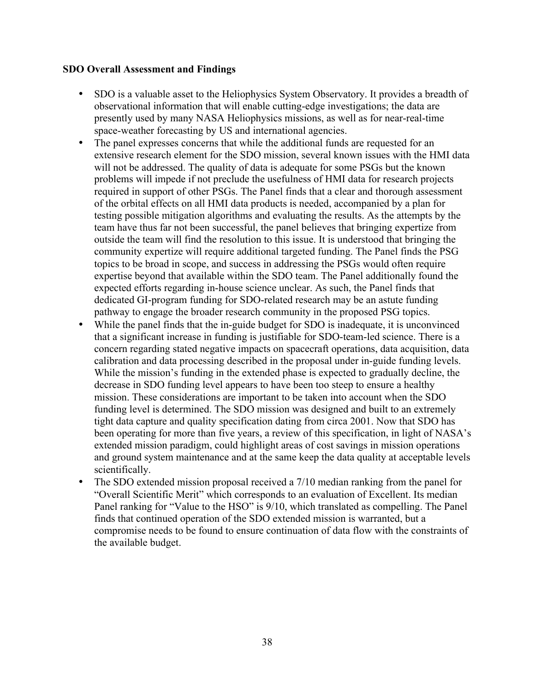### **SDO Overall Assessment and Findings**

- SDO is a valuable asset to the Heliophysics System Observatory. It provides a breadth of observational information that will enable cutting-edge investigations; the data are presently used by many NASA Heliophysics missions, as well as for near-real-time space-weather forecasting by US and international agencies.
- The panel expresses concerns that while the additional funds are requested for an extensive research element for the SDO mission, several known issues with the HMI data will not be addressed. The quality of data is adequate for some PSGs but the known problems will impede if not preclude the usefulness of HMI data for research projects required in support of other PSGs. The Panel finds that a clear and thorough assessment of the orbital effects on all HMI data products is needed, accompanied by a plan for testing possible mitigation algorithms and evaluating the results. As the attempts by the team have thus far not been successful, the panel believes that bringing expertize from outside the team will find the resolution to this issue. It is understood that bringing the community expertize will require additional targeted funding. The Panel finds the PSG topics to be broad in scope, and success in addressing the PSGs would often require expertise beyond that available within the SDO team. The Panel additionally found the expected efforts regarding in-house science unclear. As such, the Panel finds that dedicated GI-program funding for SDO-related research may be an astute funding pathway to engage the broader research community in the proposed PSG topics.
- While the panel finds that the in-guide budget for SDO is inadequate, it is unconvinced that a significant increase in funding is justifiable for SDO-team-led science. There is a concern regarding stated negative impacts on spacecraft operations, data acquisition, data calibration and data processing described in the proposal under in-guide funding levels. While the mission's funding in the extended phase is expected to gradually decline, the decrease in SDO funding level appears to have been too steep to ensure a healthy mission. These considerations are important to be taken into account when the SDO funding level is determined. The SDO mission was designed and built to an extremely tight data capture and quality specification dating from circa 2001. Now that SDO has been operating for more than five years, a review of this specification, in light of NASA's extended mission paradigm, could highlight areas of cost savings in mission operations and ground system maintenance and at the same keep the data quality at acceptable levels scientifically.
- The SDO extended mission proposal received a 7/10 median ranking from the panel for "Overall Scientific Merit" which corresponds to an evaluation of Excellent. Its median Panel ranking for "Value to the HSO" is 9/10, which translated as compelling. The Panel finds that continued operation of the SDO extended mission is warranted, but a compromise needs to be found to ensure continuation of data flow with the constraints of the available budget.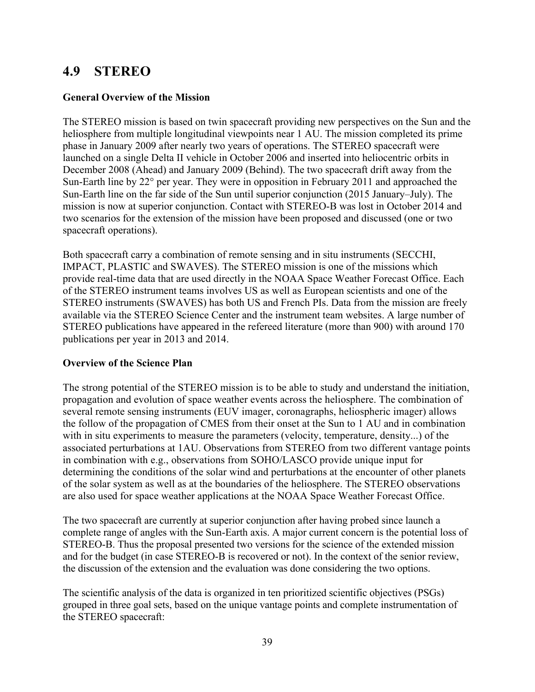# **4.9 STEREO**

### **General Overview of the Mission**

The STEREO mission is based on twin spacecraft providing new perspectives on the Sun and the heliosphere from multiple longitudinal viewpoints near 1 AU. The mission completed its prime phase in January 2009 after nearly two years of operations. The STEREO spacecraft were launched on a single Delta II vehicle in October 2006 and inserted into heliocentric orbits in December 2008 (Ahead) and January 2009 (Behind). The two spacecraft drift away from the Sun-Earth line by 22° per year. They were in opposition in February 2011 and approached the Sun-Earth line on the far side of the Sun until superior conjunction (2015 January–July). The mission is now at superior conjunction. Contact with STEREO-B was lost in October 2014 and two scenarios for the extension of the mission have been proposed and discussed (one or two spacecraft operations).

Both spacecraft carry a combination of remote sensing and in situ instruments (SECCHI, IMPACT, PLASTIC and SWAVES). The STEREO mission is one of the missions which provide real-time data that are used directly in the NOAA Space Weather Forecast Office. Each of the STEREO instrument teams involves US as well as European scientists and one of the STEREO instruments (SWAVES) has both US and French PIs. Data from the mission are freely available via the STEREO Science Center and the instrument team websites. A large number of STEREO publications have appeared in the refereed literature (more than 900) with around 170 publications per year in 2013 and 2014.

# **Overview of the Science Plan**

The strong potential of the STEREO mission is to be able to study and understand the initiation, propagation and evolution of space weather events across the heliosphere. The combination of several remote sensing instruments (EUV imager, coronagraphs, heliospheric imager) allows the follow of the propagation of CMES from their onset at the Sun to 1 AU and in combination with in situ experiments to measure the parameters (velocity, temperature, density...) of the associated perturbations at 1AU. Observations from STEREO from two different vantage points in combination with e.g., observations from SOHO/LASCO provide unique input for determining the conditions of the solar wind and perturbations at the encounter of other planets of the solar system as well as at the boundaries of the heliosphere. The STEREO observations are also used for space weather applications at the NOAA Space Weather Forecast Office.

The two spacecraft are currently at superior conjunction after having probed since launch a complete range of angles with the Sun-Earth axis. A major current concern is the potential loss of STEREO-B. Thus the proposal presented two versions for the science of the extended mission and for the budget (in case STEREO-B is recovered or not). In the context of the senior review, the discussion of the extension and the evaluation was done considering the two options.

The scientific analysis of the data is organized in ten prioritized scientific objectives (PSGs) grouped in three goal sets, based on the unique vantage points and complete instrumentation of the STEREO spacecraft: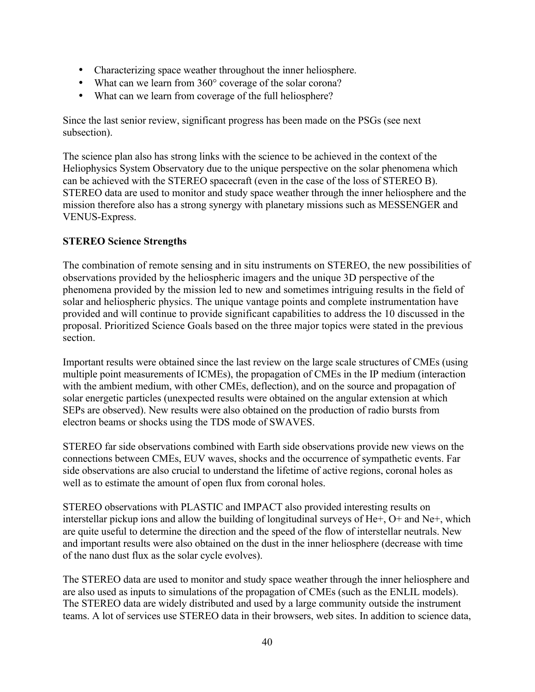- Characterizing space weather throughout the inner heliosphere.
- What can we learn from 360° coverage of the solar corona?
- What can we learn from coverage of the full heliosphere?

Since the last senior review, significant progress has been made on the PSGs (see next subsection).

The science plan also has strong links with the science to be achieved in the context of the Heliophysics System Observatory due to the unique perspective on the solar phenomena which can be achieved with the STEREO spacecraft (even in the case of the loss of STEREO B). STEREO data are used to monitor and study space weather through the inner heliosphere and the mission therefore also has a strong synergy with planetary missions such as MESSENGER and VENUS-Express.

# **STEREO Science Strengths**

The combination of remote sensing and in situ instruments on STEREO, the new possibilities of observations provided by the heliospheric imagers and the unique 3D perspective of the phenomena provided by the mission led to new and sometimes intriguing results in the field of solar and heliospheric physics. The unique vantage points and complete instrumentation have provided and will continue to provide significant capabilities to address the 10 discussed in the proposal. Prioritized Science Goals based on the three major topics were stated in the previous section.

Important results were obtained since the last review on the large scale structures of CMEs (using multiple point measurements of ICMEs), the propagation of CMEs in the IP medium (interaction with the ambient medium, with other CMEs, deflection), and on the source and propagation of solar energetic particles (unexpected results were obtained on the angular extension at which SEPs are observed). New results were also obtained on the production of radio bursts from electron beams or shocks using the TDS mode of SWAVES.

STEREO far side observations combined with Earth side observations provide new views on the connections between CMEs, EUV waves, shocks and the occurrence of sympathetic events. Far side observations are also crucial to understand the lifetime of active regions, coronal holes as well as to estimate the amount of open flux from coronal holes.

STEREO observations with PLASTIC and IMPACT also provided interesting results on interstellar pickup ions and allow the building of longitudinal surveys of He+, O+ and Ne+, which are quite useful to determine the direction and the speed of the flow of interstellar neutrals. New and important results were also obtained on the dust in the inner heliosphere (decrease with time of the nano dust flux as the solar cycle evolves).

The STEREO data are used to monitor and study space weather through the inner heliosphere and are also used as inputs to simulations of the propagation of CMEs (such as the ENLIL models). The STEREO data are widely distributed and used by a large community outside the instrument teams. A lot of services use STEREO data in their browsers, web sites. In addition to science data,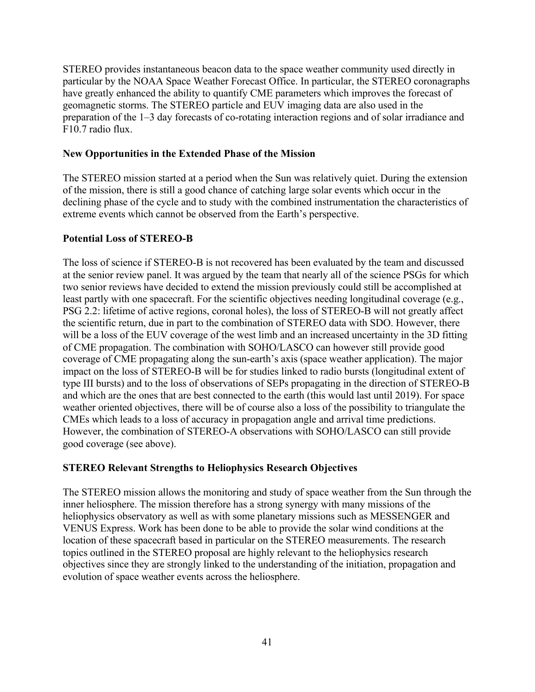STEREO provides instantaneous beacon data to the space weather community used directly in particular by the NOAA Space Weather Forecast Office. In particular, the STEREO coronagraphs have greatly enhanced the ability to quantify CME parameters which improves the forecast of geomagnetic storms. The STEREO particle and EUV imaging data are also used in the preparation of the 1–3 day forecasts of co-rotating interaction regions and of solar irradiance and F10.7 radio flux.

### **New Opportunities in the Extended Phase of the Mission**

The STEREO mission started at a period when the Sun was relatively quiet. During the extension of the mission, there is still a good chance of catching large solar events which occur in the declining phase of the cycle and to study with the combined instrumentation the characteristics of extreme events which cannot be observed from the Earth's perspective.

# **Potential Loss of STEREO-B**

The loss of science if STEREO-B is not recovered has been evaluated by the team and discussed at the senior review panel. It was argued by the team that nearly all of the science PSGs for which two senior reviews have decided to extend the mission previously could still be accomplished at least partly with one spacecraft. For the scientific objectives needing longitudinal coverage (e.g., PSG 2.2: lifetime of active regions, coronal holes), the loss of STEREO-B will not greatly affect the scientific return, due in part to the combination of STEREO data with SDO. However, there will be a loss of the EUV coverage of the west limb and an increased uncertainty in the 3D fitting of CME propagation. The combination with SOHO/LASCO can however still provide good coverage of CME propagating along the sun-earth's axis (space weather application). The major impact on the loss of STEREO-B will be for studies linked to radio bursts (longitudinal extent of type III bursts) and to the loss of observations of SEPs propagating in the direction of STEREO-B and which are the ones that are best connected to the earth (this would last until 2019). For space weather oriented objectives, there will be of course also a loss of the possibility to triangulate the CMEs which leads to a loss of accuracy in propagation angle and arrival time predictions. However, the combination of STEREO-A observations with SOHO/LASCO can still provide good coverage (see above).

# **STEREO Relevant Strengths to Heliophysics Research Objectives**

The STEREO mission allows the monitoring and study of space weather from the Sun through the inner heliosphere. The mission therefore has a strong synergy with many missions of the heliophysics observatory as well as with some planetary missions such as MESSENGER and VENUS Express. Work has been done to be able to provide the solar wind conditions at the location of these spacecraft based in particular on the STEREO measurements. The research topics outlined in the STEREO proposal are highly relevant to the heliophysics research objectives since they are strongly linked to the understanding of the initiation, propagation and evolution of space weather events across the heliosphere.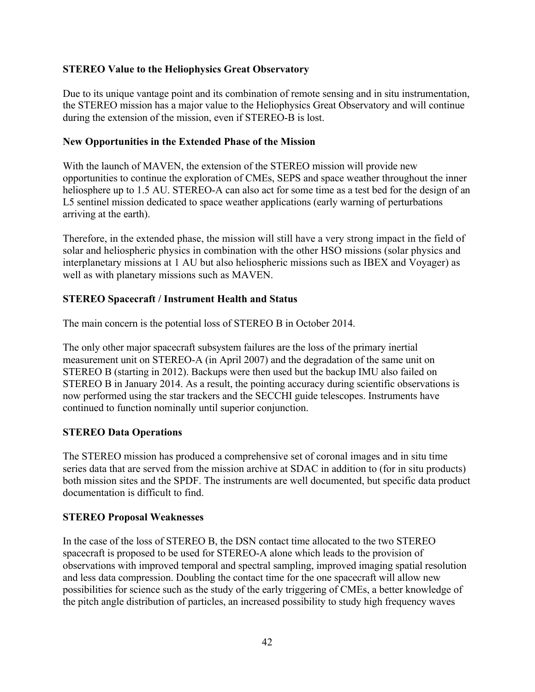# **STEREO Value to the Heliophysics Great Observatory**

Due to its unique vantage point and its combination of remote sensing and in situ instrumentation, the STEREO mission has a major value to the Heliophysics Great Observatory and will continue during the extension of the mission, even if STEREO-B is lost.

#### **New Opportunities in the Extended Phase of the Mission**

With the launch of MAVEN, the extension of the STEREO mission will provide new opportunities to continue the exploration of CMEs, SEPS and space weather throughout the inner heliosphere up to 1.5 AU. STEREO-A can also act for some time as a test bed for the design of an L5 sentinel mission dedicated to space weather applications (early warning of perturbations arriving at the earth).

Therefore, in the extended phase, the mission will still have a very strong impact in the field of solar and heliospheric physics in combination with the other HSO missions (solar physics and interplanetary missions at 1 AU but also heliospheric missions such as IBEX and Voyager) as well as with planetary missions such as MAVEN.

# **STEREO Spacecraft / Instrument Health and Status**

The main concern is the potential loss of STEREO B in October 2014.

The only other major spacecraft subsystem failures are the loss of the primary inertial measurement unit on STEREO-A (in April 2007) and the degradation of the same unit on STEREO B (starting in 2012). Backups were then used but the backup IMU also failed on STEREO B in January 2014. As a result, the pointing accuracy during scientific observations is now performed using the star trackers and the SECCHI guide telescopes. Instruments have continued to function nominally until superior conjunction.

# **STEREO Data Operations**

The STEREO mission has produced a comprehensive set of coronal images and in situ time series data that are served from the mission archive at SDAC in addition to (for in situ products) both mission sites and the SPDF. The instruments are well documented, but specific data product documentation is difficult to find.

#### **STEREO Proposal Weaknesses**

In the case of the loss of STEREO B, the DSN contact time allocated to the two STEREO spacecraft is proposed to be used for STEREO-A alone which leads to the provision of observations with improved temporal and spectral sampling, improved imaging spatial resolution and less data compression. Doubling the contact time for the one spacecraft will allow new possibilities for science such as the study of the early triggering of CMEs, a better knowledge of the pitch angle distribution of particles, an increased possibility to study high frequency waves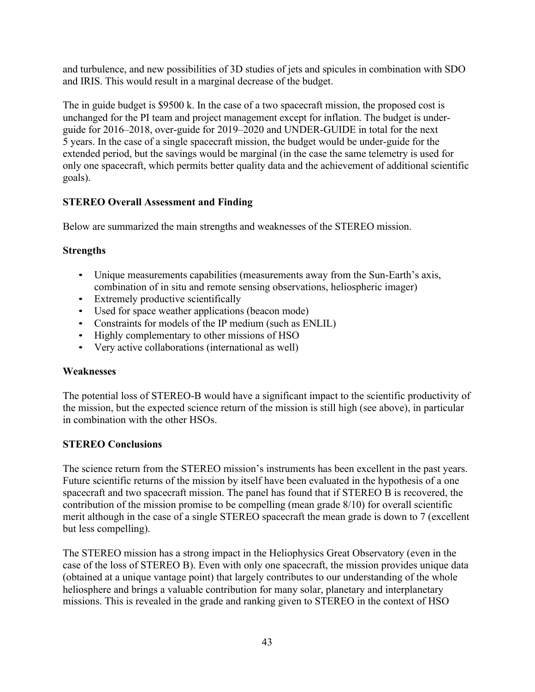and turbulence, and new possibilities of 3D studies of jets and spicules in combination with SDO and IRIS. This would result in a marginal decrease of the budget.

The in guide budget is \$9500 k. In the case of a two spacecraft mission, the proposed cost is unchanged for the PI team and project management except for inflation. The budget is underguide for 2016–2018, over-guide for 2019–2020 and UNDER-GUIDE in total for the next 5 years. In the case of a single spacecraft mission, the budget would be under-guide for the extended period, but the savings would be marginal (in the case the same telemetry is used for only one spacecraft, which permits better quality data and the achievement of additional scientific goals).

# **STEREO Overall Assessment and Finding**

Below are summarized the main strengths and weaknesses of the STEREO mission.

# **Strengths**

- Unique measurements capabilities (measurements away from the Sun-Earth's axis, combination of in situ and remote sensing observations, heliospheric imager)
- Extremely productive scientifically
- Used for space weather applications (beacon mode)
- Constraints for models of the IP medium (such as ENLIL)
- Highly complementary to other missions of HSO
- Very active collaborations (international as well)

# **Weaknesses**

The potential loss of STEREO-B would have a significant impact to the scientific productivity of the mission, but the expected science return of the mission is still high (see above), in particular in combination with the other HSOs.

# **STEREO Conclusions**

The science return from the STEREO mission's instruments has been excellent in the past years. Future scientific returns of the mission by itself have been evaluated in the hypothesis of a one spacecraft and two spacecraft mission. The panel has found that if STEREO B is recovered, the contribution of the mission promise to be compelling (mean grade 8/10) for overall scientific merit although in the case of a single STEREO spacecraft the mean grade is down to 7 (excellent but less compelling).

The STEREO mission has a strong impact in the Heliophysics Great Observatory (even in the case of the loss of STEREO B). Even with only one spacecraft, the mission provides unique data (obtained at a unique vantage point) that largely contributes to our understanding of the whole heliosphere and brings a valuable contribution for many solar, planetary and interplanetary missions. This is revealed in the grade and ranking given to STEREO in the context of HSO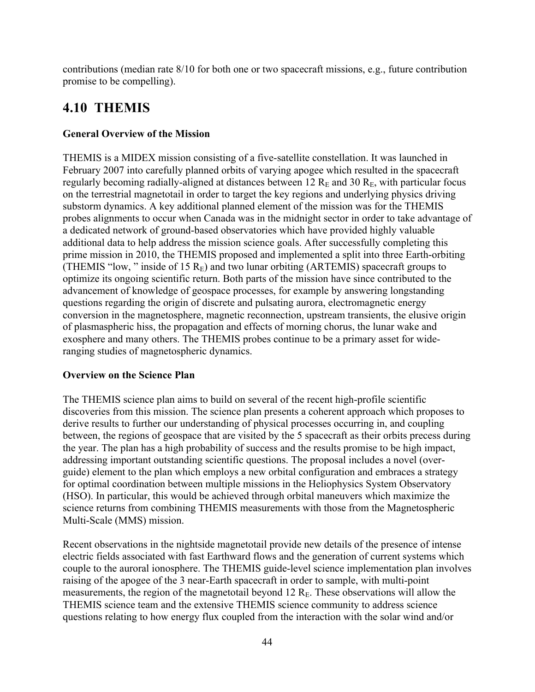contributions (median rate 8/10 for both one or two spacecraft missions, e.g., future contribution promise to be compelling).

# **4.10 THEMIS**

# **General Overview of the Mission**

THEMIS is a MIDEX mission consisting of a five-satellite constellation. It was launched in February 2007 into carefully planned orbits of varying apogee which resulted in the spacecraft regularly becoming radially-aligned at distances between 12  $R<sub>E</sub>$  and 30  $R<sub>E</sub>$ , with particular focus on the terrestrial magnetotail in order to target the key regions and underlying physics driving substorm dynamics. A key additional planned element of the mission was for the THEMIS probes alignments to occur when Canada was in the midnight sector in order to take advantage of a dedicated network of ground-based observatories which have provided highly valuable additional data to help address the mission science goals. After successfully completing this prime mission in 2010, the THEMIS proposed and implemented a split into three Earth-orbiting (THEMIS "low, " inside of 15  $R_E$ ) and two lunar orbiting (ARTEMIS) spacecraft groups to optimize its ongoing scientific return. Both parts of the mission have since contributed to the advancement of knowledge of geospace processes, for example by answering longstanding questions regarding the origin of discrete and pulsating aurora, electromagnetic energy conversion in the magnetosphere, magnetic reconnection, upstream transients, the elusive origin of plasmaspheric hiss, the propagation and effects of morning chorus, the lunar wake and exosphere and many others. The THEMIS probes continue to be a primary asset for wideranging studies of magnetospheric dynamics.

# **Overview on the Science Plan**

The THEMIS science plan aims to build on several of the recent high-profile scientific discoveries from this mission. The science plan presents a coherent approach which proposes to derive results to further our understanding of physical processes occurring in, and coupling between, the regions of geospace that are visited by the 5 spacecraft as their orbits precess during the year. The plan has a high probability of success and the results promise to be high impact, addressing important outstanding scientific questions. The proposal includes a novel (overguide) element to the plan which employs a new orbital configuration and embraces a strategy for optimal coordination between multiple missions in the Heliophysics System Observatory (HSO). In particular, this would be achieved through orbital maneuvers which maximize the science returns from combining THEMIS measurements with those from the Magnetospheric Multi-Scale (MMS) mission.

Recent observations in the nightside magnetotail provide new details of the presence of intense electric fields associated with fast Earthward flows and the generation of current systems which couple to the auroral ionosphere. The THEMIS guide-level science implementation plan involves raising of the apogee of the 3 near-Earth spacecraft in order to sample, with multi-point measurements, the region of the magnetotail beyond 12  $R<sub>E</sub>$ . These observations will allow the THEMIS science team and the extensive THEMIS science community to address science questions relating to how energy flux coupled from the interaction with the solar wind and/or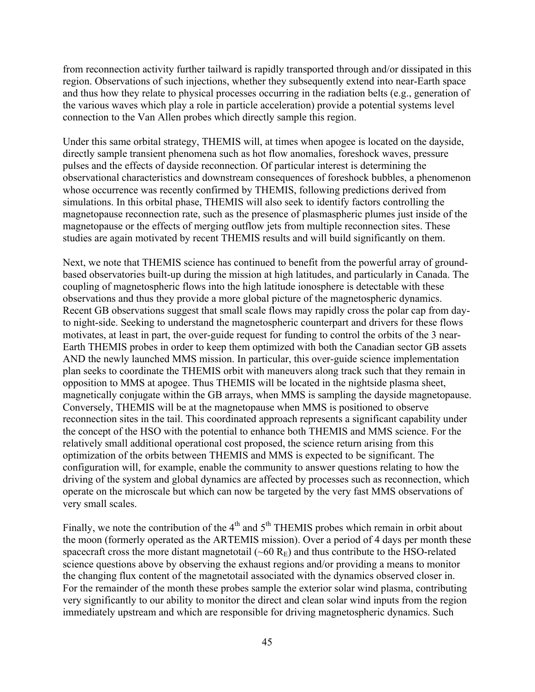from reconnection activity further tailward is rapidly transported through and/or dissipated in this region. Observations of such injections, whether they subsequently extend into near-Earth space and thus how they relate to physical processes occurring in the radiation belts (e.g., generation of the various waves which play a role in particle acceleration) provide a potential systems level connection to the Van Allen probes which directly sample this region.

Under this same orbital strategy, THEMIS will, at times when apogee is located on the dayside, directly sample transient phenomena such as hot flow anomalies, foreshock waves, pressure pulses and the effects of dayside reconnection. Of particular interest is determining the observational characteristics and downstream consequences of foreshock bubbles, a phenomenon whose occurrence was recently confirmed by THEMIS, following predictions derived from simulations. In this orbital phase, THEMIS will also seek to identify factors controlling the magnetopause reconnection rate, such as the presence of plasmaspheric plumes just inside of the magnetopause or the effects of merging outflow jets from multiple reconnection sites. These studies are again motivated by recent THEMIS results and will build significantly on them.

Next, we note that THEMIS science has continued to benefit from the powerful array of groundbased observatories built-up during the mission at high latitudes, and particularly in Canada. The coupling of magnetospheric flows into the high latitude ionosphere is detectable with these observations and thus they provide a more global picture of the magnetospheric dynamics. Recent GB observations suggest that small scale flows may rapidly cross the polar cap from dayto night-side. Seeking to understand the magnetospheric counterpart and drivers for these flows motivates, at least in part, the over-guide request for funding to control the orbits of the 3 near-Earth THEMIS probes in order to keep them optimized with both the Canadian sector GB assets AND the newly launched MMS mission. In particular, this over-guide science implementation plan seeks to coordinate the THEMIS orbit with maneuvers along track such that they remain in opposition to MMS at apogee. Thus THEMIS will be located in the nightside plasma sheet, magnetically conjugate within the GB arrays, when MMS is sampling the dayside magnetopause. Conversely, THEMIS will be at the magnetopause when MMS is positioned to observe reconnection sites in the tail. This coordinated approach represents a significant capability under the concept of the HSO with the potential to enhance both THEMIS and MMS science. For the relatively small additional operational cost proposed, the science return arising from this optimization of the orbits between THEMIS and MMS is expected to be significant. The configuration will, for example, enable the community to answer questions relating to how the driving of the system and global dynamics are affected by processes such as reconnection, which operate on the microscale but which can now be targeted by the very fast MMS observations of very small scales.

Finally, we note the contribution of the  $4<sup>th</sup>$  and  $5<sup>th</sup>$  THEMIS probes which remain in orbit about the moon (formerly operated as the ARTEMIS mission). Over a period of 4 days per month these spacecraft cross the more distant magnetotail ( $\sim 60 \text{ R}_{\text{E}}$ ) and thus contribute to the HSO-related science questions above by observing the exhaust regions and/or providing a means to monitor the changing flux content of the magnetotail associated with the dynamics observed closer in. For the remainder of the month these probes sample the exterior solar wind plasma, contributing very significantly to our ability to monitor the direct and clean solar wind inputs from the region immediately upstream and which are responsible for driving magnetospheric dynamics. Such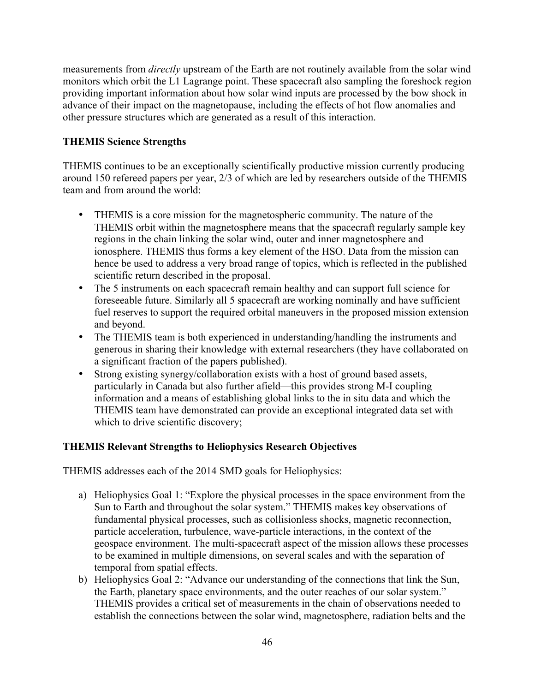measurements from *directly* upstream of the Earth are not routinely available from the solar wind monitors which orbit the L1 Lagrange point. These spacecraft also sampling the foreshock region providing important information about how solar wind inputs are processed by the bow shock in advance of their impact on the magnetopause, including the effects of hot flow anomalies and other pressure structures which are generated as a result of this interaction.

# **THEMIS Science Strengths**

THEMIS continues to be an exceptionally scientifically productive mission currently producing around 150 refereed papers per year, 2/3 of which are led by researchers outside of the THEMIS team and from around the world:

- THEMIS is a core mission for the magnetospheric community. The nature of the THEMIS orbit within the magnetosphere means that the spacecraft regularly sample key regions in the chain linking the solar wind, outer and inner magnetosphere and ionosphere. THEMIS thus forms a key element of the HSO. Data from the mission can hence be used to address a very broad range of topics, which is reflected in the published scientific return described in the proposal.
- The 5 instruments on each spacecraft remain healthy and can support full science for foreseeable future. Similarly all 5 spacecraft are working nominally and have sufficient fuel reserves to support the required orbital maneuvers in the proposed mission extension and beyond.
- The THEMIS team is both experienced in understanding/handling the instruments and generous in sharing their knowledge with external researchers (they have collaborated on a significant fraction of the papers published).
- Strong existing synergy/collaboration exists with a host of ground based assets, particularly in Canada but also further afield—this provides strong M-I coupling information and a means of establishing global links to the in situ data and which the THEMIS team have demonstrated can provide an exceptional integrated data set with which to drive scientific discovery;

# **THEMIS Relevant Strengths to Heliophysics Research Objectives**

THEMIS addresses each of the 2014 SMD goals for Heliophysics:

- a) Heliophysics Goal 1: "Explore the physical processes in the space environment from the Sun to Earth and throughout the solar system." THEMIS makes key observations of fundamental physical processes, such as collisionless shocks, magnetic reconnection, particle acceleration, turbulence, wave-particle interactions, in the context of the geospace environment. The multi-spacecraft aspect of the mission allows these processes to be examined in multiple dimensions, on several scales and with the separation of temporal from spatial effects.
- b) Heliophysics Goal 2: "Advance our understanding of the connections that link the Sun, the Earth, planetary space environments, and the outer reaches of our solar system." THEMIS provides a critical set of measurements in the chain of observations needed to establish the connections between the solar wind, magnetosphere, radiation belts and the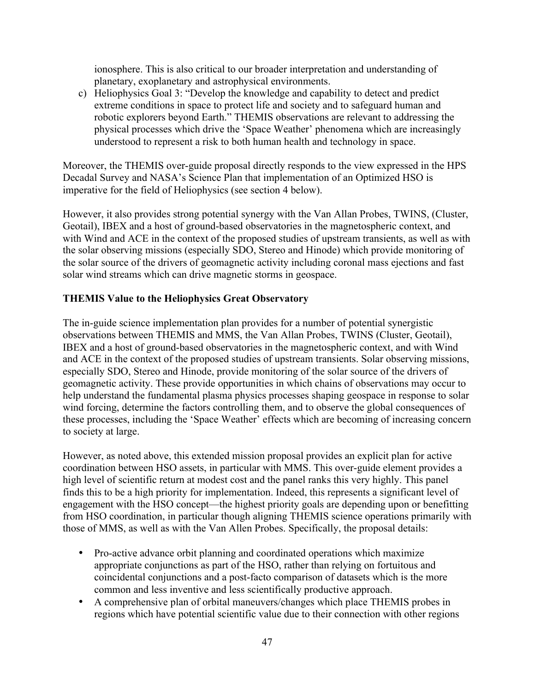ionosphere. This is also critical to our broader interpretation and understanding of planetary, exoplanetary and astrophysical environments.

c) Heliophysics Goal 3: "Develop the knowledge and capability to detect and predict extreme conditions in space to protect life and society and to safeguard human and robotic explorers beyond Earth." THEMIS observations are relevant to addressing the physical processes which drive the 'Space Weather' phenomena which are increasingly understood to represent a risk to both human health and technology in space.

Moreover, the THEMIS over-guide proposal directly responds to the view expressed in the HPS Decadal Survey and NASA's Science Plan that implementation of an Optimized HSO is imperative for the field of Heliophysics (see section 4 below).

However, it also provides strong potential synergy with the Van Allan Probes, TWINS, (Cluster, Geotail), IBEX and a host of ground-based observatories in the magnetospheric context, and with Wind and ACE in the context of the proposed studies of upstream transients, as well as with the solar observing missions (especially SDO, Stereo and Hinode) which provide monitoring of the solar source of the drivers of geomagnetic activity including coronal mass ejections and fast solar wind streams which can drive magnetic storms in geospace.

# **THEMIS Value to the Heliophysics Great Observatory**

The in-guide science implementation plan provides for a number of potential synergistic observations between THEMIS and MMS, the Van Allan Probes, TWINS (Cluster, Geotail), IBEX and a host of ground-based observatories in the magnetospheric context, and with Wind and ACE in the context of the proposed studies of upstream transients. Solar observing missions, especially SDO, Stereo and Hinode, provide monitoring of the solar source of the drivers of geomagnetic activity. These provide opportunities in which chains of observations may occur to help understand the fundamental plasma physics processes shaping geospace in response to solar wind forcing, determine the factors controlling them, and to observe the global consequences of these processes, including the 'Space Weather' effects which are becoming of increasing concern to society at large.

However, as noted above, this extended mission proposal provides an explicit plan for active coordination between HSO assets, in particular with MMS. This over-guide element provides a high level of scientific return at modest cost and the panel ranks this very highly. This panel finds this to be a high priority for implementation. Indeed, this represents a significant level of engagement with the HSO concept—the highest priority goals are depending upon or benefitting from HSO coordination, in particular though aligning THEMIS science operations primarily with those of MMS, as well as with the Van Allen Probes. Specifically, the proposal details:

- Pro-active advance orbit planning and coordinated operations which maximize appropriate conjunctions as part of the HSO, rather than relying on fortuitous and coincidental conjunctions and a post-facto comparison of datasets which is the more common and less inventive and less scientifically productive approach.
- A comprehensive plan of orbital maneuvers/changes which place THEMIS probes in regions which have potential scientific value due to their connection with other regions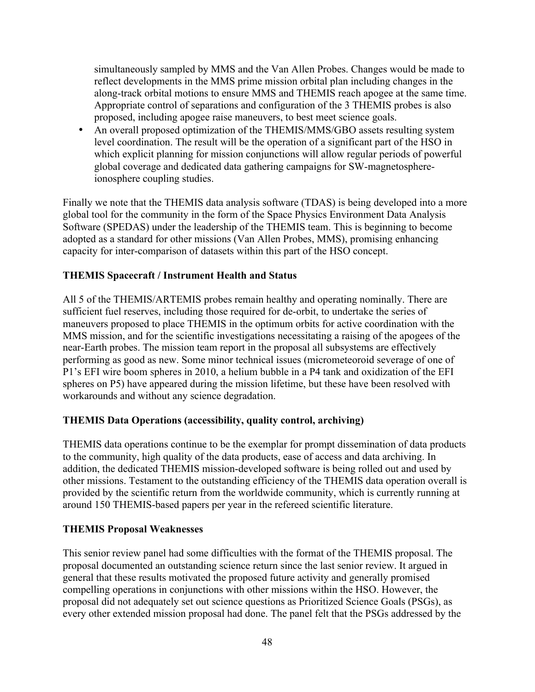simultaneously sampled by MMS and the Van Allen Probes. Changes would be made to reflect developments in the MMS prime mission orbital plan including changes in the along-track orbital motions to ensure MMS and THEMIS reach apogee at the same time. Appropriate control of separations and configuration of the 3 THEMIS probes is also proposed, including apogee raise maneuvers, to best meet science goals.

• An overall proposed optimization of the THEMIS/MMS/GBO assets resulting system level coordination. The result will be the operation of a significant part of the HSO in which explicit planning for mission conjunctions will allow regular periods of powerful global coverage and dedicated data gathering campaigns for SW-magnetosphereionosphere coupling studies.

Finally we note that the THEMIS data analysis software (TDAS) is being developed into a more global tool for the community in the form of the Space Physics Environment Data Analysis Software (SPEDAS) under the leadership of the THEMIS team. This is beginning to become adopted as a standard for other missions (Van Allen Probes, MMS), promising enhancing capacity for inter-comparison of datasets within this part of the HSO concept.

# **THEMIS Spacecraft / Instrument Health and Status**

All 5 of the THEMIS/ARTEMIS probes remain healthy and operating nominally. There are sufficient fuel reserves, including those required for de-orbit, to undertake the series of maneuvers proposed to place THEMIS in the optimum orbits for active coordination with the MMS mission, and for the scientific investigations necessitating a raising of the apogees of the near-Earth probes. The mission team report in the proposal all subsystems are effectively performing as good as new. Some minor technical issues (micrometeoroid severage of one of P1's EFI wire boom spheres in 2010, a helium bubble in a P4 tank and oxidization of the EFI spheres on P5) have appeared during the mission lifetime, but these have been resolved with workarounds and without any science degradation.

# **THEMIS Data Operations (accessibility, quality control, archiving)**

THEMIS data operations continue to be the exemplar for prompt dissemination of data products to the community, high quality of the data products, ease of access and data archiving. In addition, the dedicated THEMIS mission-developed software is being rolled out and used by other missions. Testament to the outstanding efficiency of the THEMIS data operation overall is provided by the scientific return from the worldwide community, which is currently running at around 150 THEMIS-based papers per year in the refereed scientific literature.

# **THEMIS Proposal Weaknesses**

This senior review panel had some difficulties with the format of the THEMIS proposal. The proposal documented an outstanding science return since the last senior review. It argued in general that these results motivated the proposed future activity and generally promised compelling operations in conjunctions with other missions within the HSO. However, the proposal did not adequately set out science questions as Prioritized Science Goals (PSGs), as every other extended mission proposal had done. The panel felt that the PSGs addressed by the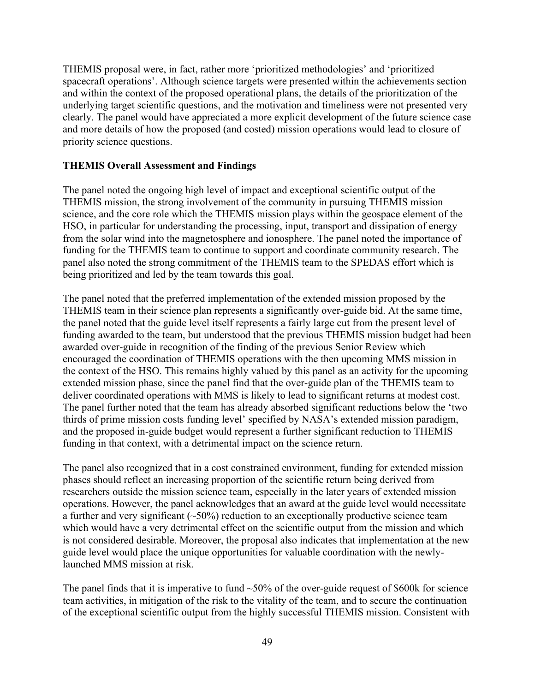THEMIS proposal were, in fact, rather more 'prioritized methodologies' and 'prioritized spacecraft operations'. Although science targets were presented within the achievements section and within the context of the proposed operational plans, the details of the prioritization of the underlying target scientific questions, and the motivation and timeliness were not presented very clearly. The panel would have appreciated a more explicit development of the future science case and more details of how the proposed (and costed) mission operations would lead to closure of priority science questions.

# **THEMIS Overall Assessment and Findings**

The panel noted the ongoing high level of impact and exceptional scientific output of the THEMIS mission, the strong involvement of the community in pursuing THEMIS mission science, and the core role which the THEMIS mission plays within the geospace element of the HSO, in particular for understanding the processing, input, transport and dissipation of energy from the solar wind into the magnetosphere and ionosphere. The panel noted the importance of funding for the THEMIS team to continue to support and coordinate community research. The panel also noted the strong commitment of the THEMIS team to the SPEDAS effort which is being prioritized and led by the team towards this goal.

The panel noted that the preferred implementation of the extended mission proposed by the THEMIS team in their science plan represents a significantly over-guide bid. At the same time, the panel noted that the guide level itself represents a fairly large cut from the present level of funding awarded to the team, but understood that the previous THEMIS mission budget had been awarded over-guide in recognition of the finding of the previous Senior Review which encouraged the coordination of THEMIS operations with the then upcoming MMS mission in the context of the HSO. This remains highly valued by this panel as an activity for the upcoming extended mission phase, since the panel find that the over-guide plan of the THEMIS team to deliver coordinated operations with MMS is likely to lead to significant returns at modest cost. The panel further noted that the team has already absorbed significant reductions below the 'two thirds of prime mission costs funding level' specified by NASA's extended mission paradigm, and the proposed in-guide budget would represent a further significant reduction to THEMIS funding in that context, with a detrimental impact on the science return.

The panel also recognized that in a cost constrained environment, funding for extended mission phases should reflect an increasing proportion of the scientific return being derived from researchers outside the mission science team, especially in the later years of extended mission operations. However, the panel acknowledges that an award at the guide level would necessitate a further and very significant  $(-50\%)$  reduction to an exceptionally productive science team which would have a very detrimental effect on the scientific output from the mission and which is not considered desirable. Moreover, the proposal also indicates that implementation at the new guide level would place the unique opportunities for valuable coordination with the newlylaunched MMS mission at risk.

The panel finds that it is imperative to fund  $\sim$ 50% of the over-guide request of \$600k for science team activities, in mitigation of the risk to the vitality of the team, and to secure the continuation of the exceptional scientific output from the highly successful THEMIS mission. Consistent with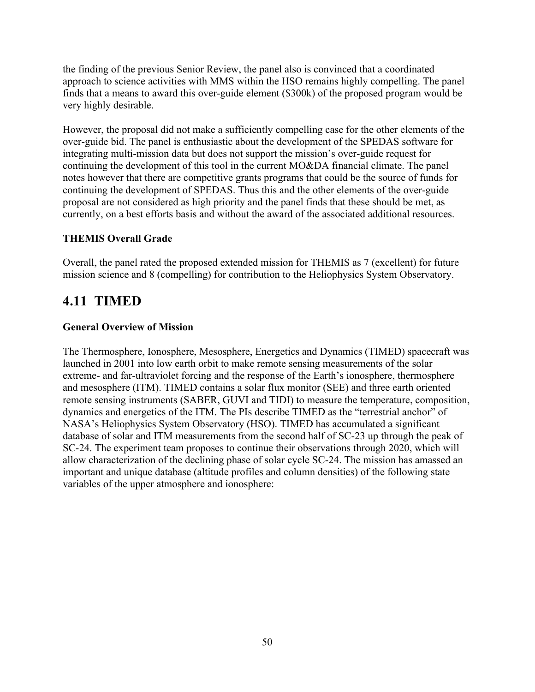the finding of the previous Senior Review, the panel also is convinced that a coordinated approach to science activities with MMS within the HSO remains highly compelling. The panel finds that a means to award this over-guide element (\$300k) of the proposed program would be very highly desirable.

However, the proposal did not make a sufficiently compelling case for the other elements of the over-guide bid. The panel is enthusiastic about the development of the SPEDAS software for integrating multi-mission data but does not support the mission's over-guide request for continuing the development of this tool in the current MO&DA financial climate. The panel notes however that there are competitive grants programs that could be the source of funds for continuing the development of SPEDAS. Thus this and the other elements of the over-guide proposal are not considered as high priority and the panel finds that these should be met, as currently, on a best efforts basis and without the award of the associated additional resources.

# **THEMIS Overall Grade**

Overall, the panel rated the proposed extended mission for THEMIS as 7 (excellent) for future mission science and 8 (compelling) for contribution to the Heliophysics System Observatory.

# **4.11 TIMED**

# **General Overview of Mission**

The Thermosphere, Ionosphere, Mesosphere, Energetics and Dynamics (TIMED) spacecraft was launched in 2001 into low earth orbit to make remote sensing measurements of the solar extreme- and far-ultraviolet forcing and the response of the Earth's ionosphere, thermosphere and mesosphere (ITM). TIMED contains a solar flux monitor (SEE) and three earth oriented remote sensing instruments (SABER, GUVI and TIDI) to measure the temperature, composition, dynamics and energetics of the ITM. The PIs describe TIMED as the "terrestrial anchor" of NASA's Heliophysics System Observatory (HSO). TIMED has accumulated a significant database of solar and ITM measurements from the second half of SC-23 up through the peak of SC-24. The experiment team proposes to continue their observations through 2020, which will allow characterization of the declining phase of solar cycle SC-24. The mission has amassed an important and unique database (altitude profiles and column densities) of the following state variables of the upper atmosphere and ionosphere: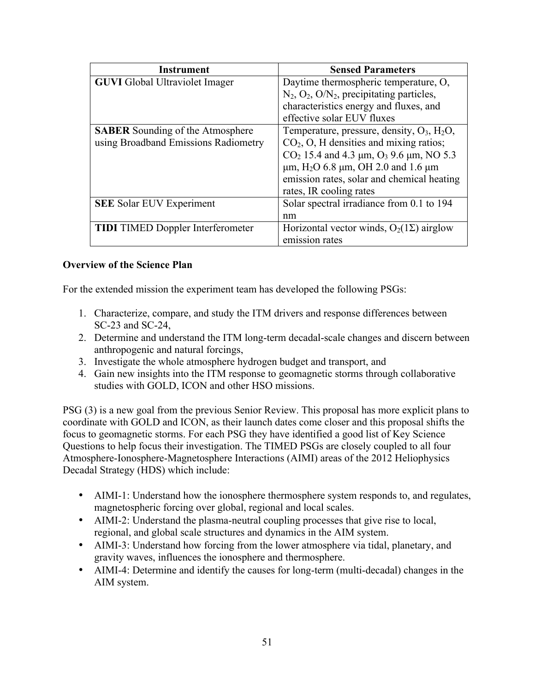| Instrument                               | <b>Sensed Parameters</b>                                      |
|------------------------------------------|---------------------------------------------------------------|
| <b>GUVI</b> Global Ultraviolet Imager    | Daytime thermospheric temperature, O.                         |
|                                          | $N_2$ , $O_2$ , $O/N_2$ , precipitating particles,            |
|                                          | characteristics energy and fluxes, and                        |
|                                          | effective solar EUV fluxes                                    |
| <b>SABER</b> Sounding of the Atmosphere  | Temperature, pressure, density, $O_3$ , $H_2O$ ,              |
| using Broadband Emissions Radiometry     | $CO2$ , O, H densities and mixing ratios;                     |
|                                          | $CO2$ 15.4 and 4.3 µm, $O3$ 9.6 µm, NO 5.3                    |
|                                          | $\mu$ m, H <sub>2</sub> O 6.8 $\mu$ m, OH 2.0 and 1.6 $\mu$ m |
|                                          | emission rates, solar and chemical heating                    |
|                                          | rates, IR cooling rates                                       |
| <b>SEE Solar EUV Experiment</b>          | Solar spectral irradiance from 0.1 to 194                     |
|                                          | nm                                                            |
| <b>TIDI</b> TIMED Doppler Interferometer | Horizontal vector winds, $O_2(1\Sigma)$ airglow               |
|                                          | emission rates                                                |

### **Overview of the Science Plan**

For the extended mission the experiment team has developed the following PSGs:

- 1. Characterize, compare, and study the ITM drivers and response differences between SC-23 and SC-24,
- 2. Determine and understand the ITM long-term decadal-scale changes and discern between anthropogenic and natural forcings,
- 3. Investigate the whole atmosphere hydrogen budget and transport, and
- 4. Gain new insights into the ITM response to geomagnetic storms through collaborative studies with GOLD, ICON and other HSO missions.

PSG (3) is a new goal from the previous Senior Review. This proposal has more explicit plans to coordinate with GOLD and ICON, as their launch dates come closer and this proposal shifts the focus to geomagnetic storms. For each PSG they have identified a good list of Key Science Questions to help focus their investigation. The TIMED PSGs are closely coupled to all four Atmosphere-Ionosphere-Magnetosphere Interactions (AIMI) areas of the 2012 Heliophysics Decadal Strategy (HDS) which include:

- AIMI-1: Understand how the ionosphere thermosphere system responds to, and regulates, magnetospheric forcing over global, regional and local scales.
- AIMI-2: Understand the plasma-neutral coupling processes that give rise to local, regional, and global scale structures and dynamics in the AIM system.
- AIMI-3: Understand how forcing from the lower atmosphere via tidal, planetary, and gravity waves, influences the ionosphere and thermosphere.
- AIMI-4: Determine and identify the causes for long-term (multi-decadal) changes in the AIM system.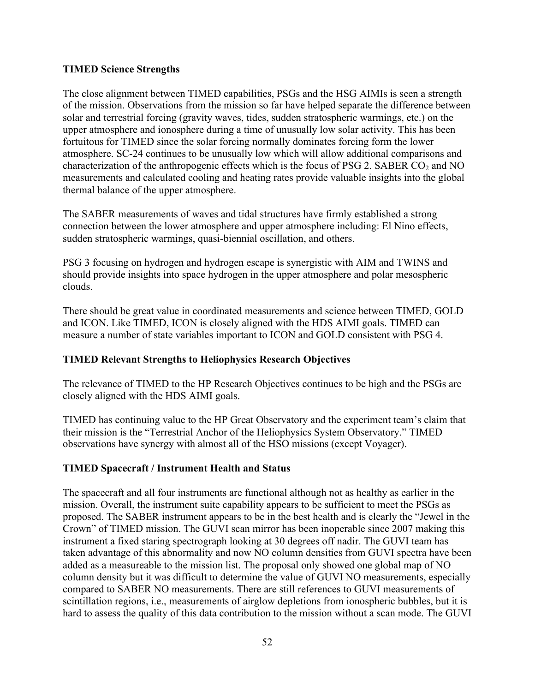### **TIMED Science Strengths**

The close alignment between TIMED capabilities, PSGs and the HSG AIMIs is seen a strength of the mission. Observations from the mission so far have helped separate the difference between solar and terrestrial forcing (gravity waves, tides, sudden stratospheric warmings, etc.) on the upper atmosphere and ionosphere during a time of unusually low solar activity. This has been fortuitous for TIMED since the solar forcing normally dominates forcing form the lower atmosphere. SC-24 continues to be unusually low which will allow additional comparisons and characterization of the anthropogenic effects which is the focus of PSG 2. SABER  $CO<sub>2</sub>$  and NO measurements and calculated cooling and heating rates provide valuable insights into the global thermal balance of the upper atmosphere.

The SABER measurements of waves and tidal structures have firmly established a strong connection between the lower atmosphere and upper atmosphere including: El Nino effects, sudden stratospheric warmings, quasi-biennial oscillation, and others.

PSG 3 focusing on hydrogen and hydrogen escape is synergistic with AIM and TWINS and should provide insights into space hydrogen in the upper atmosphere and polar mesospheric clouds.

There should be great value in coordinated measurements and science between TIMED, GOLD and ICON. Like TIMED, ICON is closely aligned with the HDS AIMI goals. TIMED can measure a number of state variables important to ICON and GOLD consistent with PSG 4.

# **TIMED Relevant Strengths to Heliophysics Research Objectives**

The relevance of TIMED to the HP Research Objectives continues to be high and the PSGs are closely aligned with the HDS AIMI goals.

TIMED has continuing value to the HP Great Observatory and the experiment team's claim that their mission is the "Terrestrial Anchor of the Heliophysics System Observatory." TIMED observations have synergy with almost all of the HSO missions (except Voyager).

# **TIMED Spacecraft / Instrument Health and Status**

The spacecraft and all four instruments are functional although not as healthy as earlier in the mission. Overall, the instrument suite capability appears to be sufficient to meet the PSGs as proposed. The SABER instrument appears to be in the best health and is clearly the "Jewel in the Crown" of TIMED mission. The GUVI scan mirror has been inoperable since 2007 making this instrument a fixed staring spectrograph looking at 30 degrees off nadir. The GUVI team has taken advantage of this abnormality and now NO column densities from GUVI spectra have been added as a measureable to the mission list. The proposal only showed one global map of NO column density but it was difficult to determine the value of GUVI NO measurements, especially compared to SABER NO measurements. There are still references to GUVI measurements of scintillation regions, i.e., measurements of airglow depletions from ionospheric bubbles, but it is hard to assess the quality of this data contribution to the mission without a scan mode. The GUVI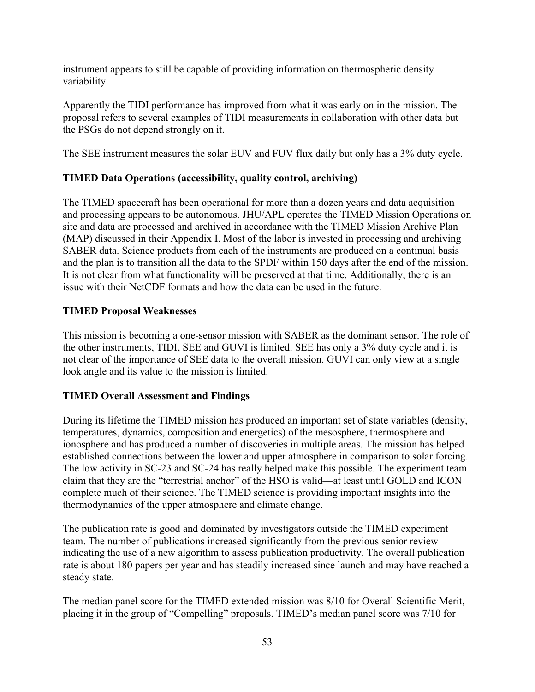instrument appears to still be capable of providing information on thermospheric density variability.

Apparently the TIDI performance has improved from what it was early on in the mission. The proposal refers to several examples of TIDI measurements in collaboration with other data but the PSGs do not depend strongly on it.

The SEE instrument measures the solar EUV and FUV flux daily but only has a 3% duty cycle.

# **TIMED Data Operations (accessibility, quality control, archiving)**

The TIMED spacecraft has been operational for more than a dozen years and data acquisition and processing appears to be autonomous. JHU/APL operates the TIMED Mission Operations on site and data are processed and archived in accordance with the TIMED Mission Archive Plan (MAP) discussed in their Appendix I. Most of the labor is invested in processing and archiving SABER data. Science products from each of the instruments are produced on a continual basis and the plan is to transition all the data to the SPDF within 150 days after the end of the mission. It is not clear from what functionality will be preserved at that time. Additionally, there is an issue with their NetCDF formats and how the data can be used in the future.

# **TIMED Proposal Weaknesses**

This mission is becoming a one-sensor mission with SABER as the dominant sensor. The role of the other instruments, TIDI, SEE and GUVI is limited. SEE has only a 3% duty cycle and it is not clear of the importance of SEE data to the overall mission. GUVI can only view at a single look angle and its value to the mission is limited.

# **TIMED Overall Assessment and Findings**

During its lifetime the TIMED mission has produced an important set of state variables (density, temperatures, dynamics, composition and energetics) of the mesosphere, thermosphere and ionosphere and has produced a number of discoveries in multiple areas. The mission has helped established connections between the lower and upper atmosphere in comparison to solar forcing. The low activity in SC-23 and SC-24 has really helped make this possible. The experiment team claim that they are the "terrestrial anchor" of the HSO is valid—at least until GOLD and ICON complete much of their science. The TIMED science is providing important insights into the thermodynamics of the upper atmosphere and climate change.

The publication rate is good and dominated by investigators outside the TIMED experiment team. The number of publications increased significantly from the previous senior review indicating the use of a new algorithm to assess publication productivity. The overall publication rate is about 180 papers per year and has steadily increased since launch and may have reached a steady state.

The median panel score for the TIMED extended mission was 8/10 for Overall Scientific Merit, placing it in the group of "Compelling" proposals. TIMED's median panel score was 7/10 for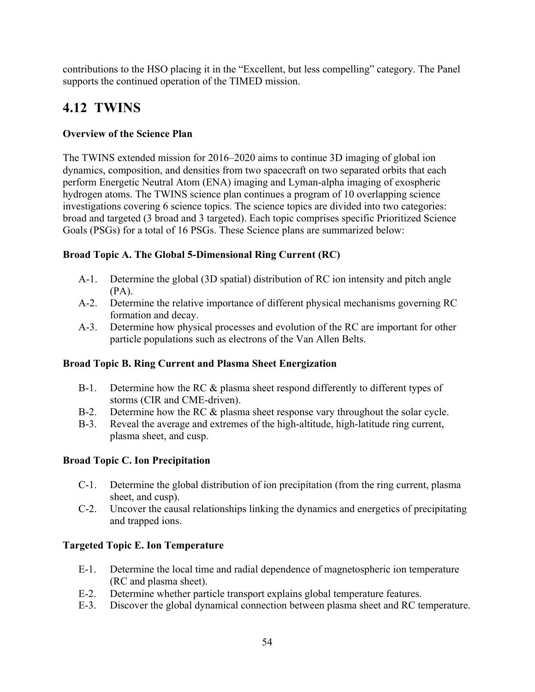contributions to the HSO placing it in the "Excellent, but less compelling" category. The Panel supports the continued operation of the TIMED mission.

# **4.12 TWINS**

# **Overview of the Science Plan**

The TWINS extended mission for 2016–2020 aims to continue 3D imaging of global ion dynamics, composition, and densities from two spacecraft on two separated orbits that each perform Energetic Neutral Atom (ENA) imaging and Lyman-alpha imaging of exospheric hydrogen atoms. The TWINS science plan continues a program of 10 overlapping science investigations covering 6 science topics. The science topics are divided into two categories: broad and targeted (3 broad and 3 targeted). Each topic comprises specific Prioritized Science Goals (PSGs) for a total of 16 PSGs. These Science plans are summarized below:

# **Broad Topic A. The Global 5-Dimensional Ring Current (RC)**

- A-1. Determine the global (3D spatial) distribution of RC ion intensity and pitch angle (PA).
- A-2. Determine the relative importance of different physical mechanisms governing RC formation and decay.
- A-3. Determine how physical processes and evolution of the RC are important for other particle populations such as electrons of the Van Allen Belts.

# **Broad Topic B. Ring Current and Plasma Sheet Energization**

- B-1. Determine how the RC & plasma sheet respond differently to different types of storms (CIR and CME-driven).
- B-2. Determine how the RC & plasma sheet response vary throughout the solar cycle.
- B-3. Reveal the average and extremes of the high-altitude, high-latitude ring current, plasma sheet, and cusp.

# **Broad Topic C. Ion Precipitation**

- C-1. Determine the global distribution of ion precipitation (from the ring current, plasma sheet, and cusp).
- C-2. Uncover the causal relationships linking the dynamics and energetics of precipitating and trapped ions.

# **Targeted Topic E. Ion Temperature**

- E-1. Determine the local time and radial dependence of magnetospheric ion temperature (RC and plasma sheet).
- E-2. Determine whether particle transport explains global temperature features.
- E-3. Discover the global dynamical connection between plasma sheet and RC temperature.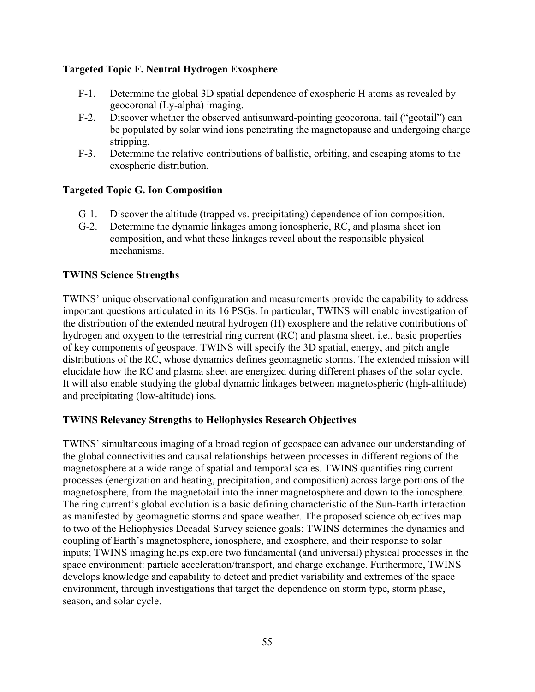# **Targeted Topic F. Neutral Hydrogen Exosphere**

- F-1. Determine the global 3D spatial dependence of exospheric H atoms as revealed by geocoronal (Ly-alpha) imaging.
- F-2. Discover whether the observed antisunward-pointing geocoronal tail ("geotail") can be populated by solar wind ions penetrating the magnetopause and undergoing charge stripping.
- F-3. Determine the relative contributions of ballistic, orbiting, and escaping atoms to the exospheric distribution.

# **Targeted Topic G. Ion Composition**

- G-1. Discover the altitude (trapped vs. precipitating) dependence of ion composition.
- G-2. Determine the dynamic linkages among ionospheric, RC, and plasma sheet ion composition, and what these linkages reveal about the responsible physical mechanisms.

# **TWINS Science Strengths**

TWINS' unique observational configuration and measurements provide the capability to address important questions articulated in its 16 PSGs. In particular, TWINS will enable investigation of the distribution of the extended neutral hydrogen (H) exosphere and the relative contributions of hydrogen and oxygen to the terrestrial ring current (RC) and plasma sheet, i.e., basic properties of key components of geospace. TWINS will specify the 3D spatial, energy, and pitch angle distributions of the RC, whose dynamics defines geomagnetic storms. The extended mission will elucidate how the RC and plasma sheet are energized during different phases of the solar cycle. It will also enable studying the global dynamic linkages between magnetospheric (high-altitude) and precipitating (low-altitude) ions.

# **TWINS Relevancy Strengths to Heliophysics Research Objectives**

TWINS' simultaneous imaging of a broad region of geospace can advance our understanding of the global connectivities and causal relationships between processes in different regions of the magnetosphere at a wide range of spatial and temporal scales. TWINS quantifies ring current processes (energization and heating, precipitation, and composition) across large portions of the magnetosphere, from the magnetotail into the inner magnetosphere and down to the ionosphere. The ring current's global evolution is a basic defining characteristic of the Sun-Earth interaction as manifested by geomagnetic storms and space weather. The proposed science objectives map to two of the Heliophysics Decadal Survey science goals: TWINS determines the dynamics and coupling of Earth's magnetosphere, ionosphere, and exosphere, and their response to solar inputs; TWINS imaging helps explore two fundamental (and universal) physical processes in the space environment: particle acceleration/transport, and charge exchange. Furthermore, TWINS develops knowledge and capability to detect and predict variability and extremes of the space environment, through investigations that target the dependence on storm type, storm phase, season, and solar cycle.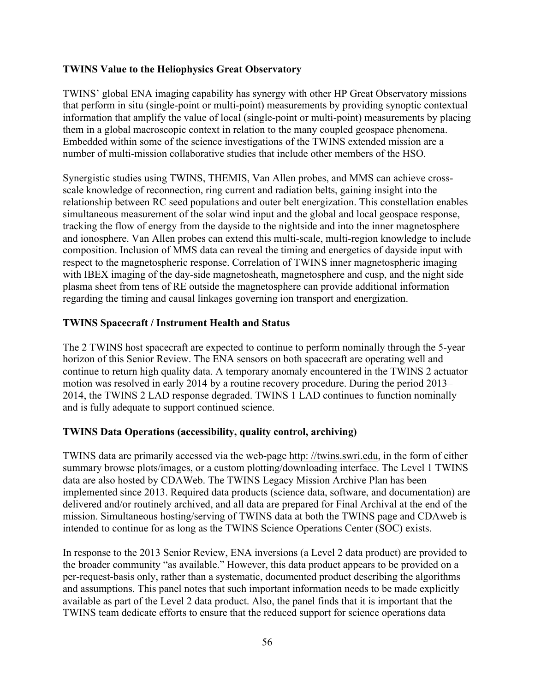### **TWINS Value to the Heliophysics Great Observatory**

TWINS' global ENA imaging capability has synergy with other HP Great Observatory missions that perform in situ (single-point or multi-point) measurements by providing synoptic contextual information that amplify the value of local (single-point or multi-point) measurements by placing them in a global macroscopic context in relation to the many coupled geospace phenomena. Embedded within some of the science investigations of the TWINS extended mission are a number of multi-mission collaborative studies that include other members of the HSO.

Synergistic studies using TWINS, THEMIS, Van Allen probes, and MMS can achieve crossscale knowledge of reconnection, ring current and radiation belts, gaining insight into the relationship between RC seed populations and outer belt energization. This constellation enables simultaneous measurement of the solar wind input and the global and local geospace response, tracking the flow of energy from the dayside to the nightside and into the inner magnetosphere and ionosphere. Van Allen probes can extend this multi-scale, multi-region knowledge to include composition. Inclusion of MMS data can reveal the timing and energetics of dayside input with respect to the magnetospheric response. Correlation of TWINS inner magnetospheric imaging with IBEX imaging of the day-side magnetosheath, magnetosphere and cusp, and the night side plasma sheet from tens of RE outside the magnetosphere can provide additional information regarding the timing and causal linkages governing ion transport and energization.

### **TWINS Spacecraft / Instrument Health and Status**

The 2 TWINS host spacecraft are expected to continue to perform nominally through the 5-year horizon of this Senior Review. The ENA sensors on both spacecraft are operating well and continue to return high quality data. A temporary anomaly encountered in the TWINS 2 actuator motion was resolved in early 2014 by a routine recovery procedure. During the period 2013– 2014, the TWINS 2 LAD response degraded. TWINS 1 LAD continues to function nominally and is fully adequate to support continued science.

# **TWINS Data Operations (accessibility, quality control, archiving)**

TWINS data are primarily accessed via the web-page http: //twins.swri.edu, in the form of either summary browse plots/images, or a custom plotting/downloading interface. The Level 1 TWINS data are also hosted by CDAWeb. The TWINS Legacy Mission Archive Plan has been implemented since 2013. Required data products (science data, software, and documentation) are delivered and/or routinely archived, and all data are prepared for Final Archival at the end of the mission. Simultaneous hosting/serving of TWINS data at both the TWINS page and CDAweb is intended to continue for as long as the TWINS Science Operations Center (SOC) exists.

In response to the 2013 Senior Review, ENA inversions (a Level 2 data product) are provided to the broader community "as available." However, this data product appears to be provided on a per-request-basis only, rather than a systematic, documented product describing the algorithms and assumptions. This panel notes that such important information needs to be made explicitly available as part of the Level 2 data product. Also, the panel finds that it is important that the TWINS team dedicate efforts to ensure that the reduced support for science operations data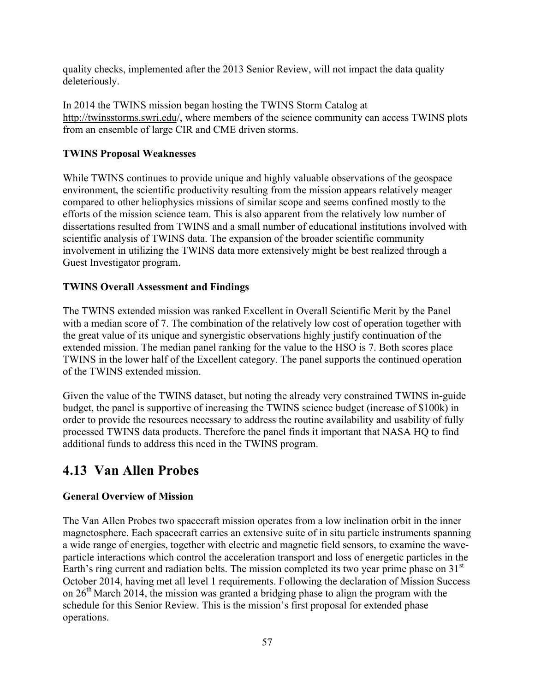quality checks, implemented after the 2013 Senior Review, will not impact the data quality deleteriously.

In 2014 the TWINS mission began hosting the TWINS Storm Catalog at http://twinsstorms.swri.edu/, where members of the science community can access TWINS plots from an ensemble of large CIR and CME driven storms.

# **TWINS Proposal Weaknesses**

While TWINS continues to provide unique and highly valuable observations of the geospace environment, the scientific productivity resulting from the mission appears relatively meager compared to other heliophysics missions of similar scope and seems confined mostly to the efforts of the mission science team. This is also apparent from the relatively low number of dissertations resulted from TWINS and a small number of educational institutions involved with scientific analysis of TWINS data. The expansion of the broader scientific community involvement in utilizing the TWINS data more extensively might be best realized through a Guest Investigator program.

# **TWINS Overall Assessment and Findings**

The TWINS extended mission was ranked Excellent in Overall Scientific Merit by the Panel with a median score of 7. The combination of the relatively low cost of operation together with the great value of its unique and synergistic observations highly justify continuation of the extended mission. The median panel ranking for the value to the HSO is 7. Both scores place TWINS in the lower half of the Excellent category. The panel supports the continued operation of the TWINS extended mission.

Given the value of the TWINS dataset, but noting the already very constrained TWINS in-guide budget, the panel is supportive of increasing the TWINS science budget (increase of \$100k) in order to provide the resources necessary to address the routine availability and usability of fully processed TWINS data products. Therefore the panel finds it important that NASA HQ to find additional funds to address this need in the TWINS program.

# **4.13 Van Allen Probes**

# **General Overview of Mission**

The Van Allen Probes two spacecraft mission operates from a low inclination orbit in the inner magnetosphere. Each spacecraft carries an extensive suite of in situ particle instruments spanning a wide range of energies, together with electric and magnetic field sensors, to examine the waveparticle interactions which control the acceleration transport and loss of energetic particles in the Earth's ring current and radiation belts. The mission completed its two year prime phase on  $31<sup>st</sup>$ October 2014, having met all level 1 requirements. Following the declaration of Mission Success on  $26<sup>th</sup>$  March 2014, the mission was granted a bridging phase to align the program with the schedule for this Senior Review. This is the mission's first proposal for extended phase operations.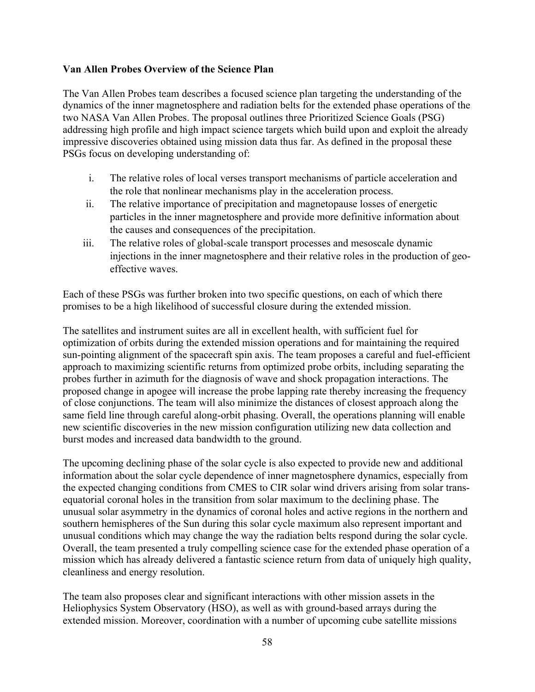### **Van Allen Probes Overview of the Science Plan**

The Van Allen Probes team describes a focused science plan targeting the understanding of the dynamics of the inner magnetosphere and radiation belts for the extended phase operations of the two NASA Van Allen Probes. The proposal outlines three Prioritized Science Goals (PSG) addressing high profile and high impact science targets which build upon and exploit the already impressive discoveries obtained using mission data thus far. As defined in the proposal these PSGs focus on developing understanding of:

- i. The relative roles of local verses transport mechanisms of particle acceleration and the role that nonlinear mechanisms play in the acceleration process.
- ii. The relative importance of precipitation and magnetopause losses of energetic particles in the inner magnetosphere and provide more definitive information about the causes and consequences of the precipitation.
- iii. The relative roles of global-scale transport processes and mesoscale dynamic injections in the inner magnetosphere and their relative roles in the production of geoeffective waves.

Each of these PSGs was further broken into two specific questions, on each of which there promises to be a high likelihood of successful closure during the extended mission.

The satellites and instrument suites are all in excellent health, with sufficient fuel for optimization of orbits during the extended mission operations and for maintaining the required sun-pointing alignment of the spacecraft spin axis. The team proposes a careful and fuel-efficient approach to maximizing scientific returns from optimized probe orbits, including separating the probes further in azimuth for the diagnosis of wave and shock propagation interactions. The proposed change in apogee will increase the probe lapping rate thereby increasing the frequency of close conjunctions. The team will also minimize the distances of closest approach along the same field line through careful along-orbit phasing. Overall, the operations planning will enable new scientific discoveries in the new mission configuration utilizing new data collection and burst modes and increased data bandwidth to the ground.

The upcoming declining phase of the solar cycle is also expected to provide new and additional information about the solar cycle dependence of inner magnetosphere dynamics, especially from the expected changing conditions from CMES to CIR solar wind drivers arising from solar transequatorial coronal holes in the transition from solar maximum to the declining phase. The unusual solar asymmetry in the dynamics of coronal holes and active regions in the northern and southern hemispheres of the Sun during this solar cycle maximum also represent important and unusual conditions which may change the way the radiation belts respond during the solar cycle. Overall, the team presented a truly compelling science case for the extended phase operation of a mission which has already delivered a fantastic science return from data of uniquely high quality, cleanliness and energy resolution.

The team also proposes clear and significant interactions with other mission assets in the Heliophysics System Observatory (HSO), as well as with ground-based arrays during the extended mission. Moreover, coordination with a number of upcoming cube satellite missions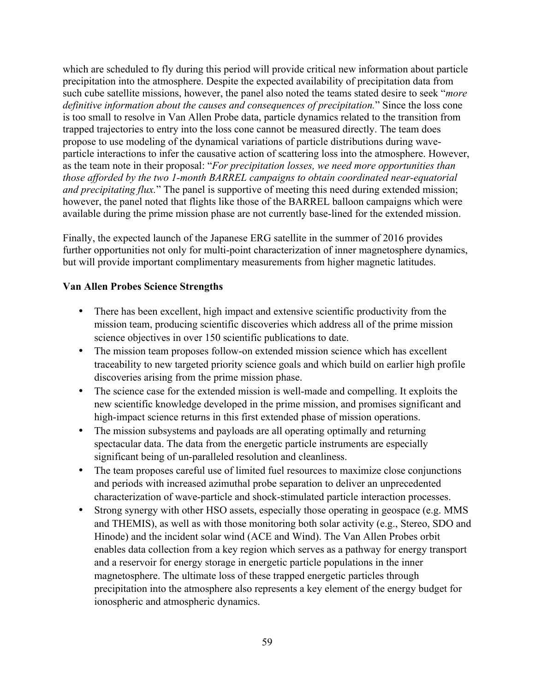which are scheduled to fly during this period will provide critical new information about particle precipitation into the atmosphere. Despite the expected availability of precipitation data from such cube satellite missions, however, the panel also noted the teams stated desire to seek "*more definitive information about the causes and consequences of precipitation.*" Since the loss cone is too small to resolve in Van Allen Probe data, particle dynamics related to the transition from trapped trajectories to entry into the loss cone cannot be measured directly. The team does propose to use modeling of the dynamical variations of particle distributions during waveparticle interactions to infer the causative action of scattering loss into the atmosphere. However, as the team note in their proposal: "*For precipitation losses, we need more opportunities than those afforded by the two 1-month BARREL campaigns to obtain coordinated near-equatorial and precipitating flux.*" The panel is supportive of meeting this need during extended mission; however, the panel noted that flights like those of the BARREL balloon campaigns which were available during the prime mission phase are not currently base-lined for the extended mission.

Finally, the expected launch of the Japanese ERG satellite in the summer of 2016 provides further opportunities not only for multi-point characterization of inner magnetosphere dynamics, but will provide important complimentary measurements from higher magnetic latitudes.

# **Van Allen Probes Science Strengths**

- There has been excellent, high impact and extensive scientific productivity from the mission team, producing scientific discoveries which address all of the prime mission science objectives in over 150 scientific publications to date.
- The mission team proposes follow-on extended mission science which has excellent traceability to new targeted priority science goals and which build on earlier high profile discoveries arising from the prime mission phase.
- The science case for the extended mission is well-made and compelling. It exploits the new scientific knowledge developed in the prime mission, and promises significant and high-impact science returns in this first extended phase of mission operations.
- The mission subsystems and payloads are all operating optimally and returning spectacular data. The data from the energetic particle instruments are especially significant being of un-paralleled resolution and cleanliness.
- The team proposes careful use of limited fuel resources to maximize close conjunctions and periods with increased azimuthal probe separation to deliver an unprecedented characterization of wave-particle and shock-stimulated particle interaction processes.
- Strong synergy with other HSO assets, especially those operating in geospace (e.g. MMS) and THEMIS), as well as with those monitoring both solar activity (e.g., Stereo, SDO and Hinode) and the incident solar wind (ACE and Wind). The Van Allen Probes orbit enables data collection from a key region which serves as a pathway for energy transport and a reservoir for energy storage in energetic particle populations in the inner magnetosphere. The ultimate loss of these trapped energetic particles through precipitation into the atmosphere also represents a key element of the energy budget for ionospheric and atmospheric dynamics.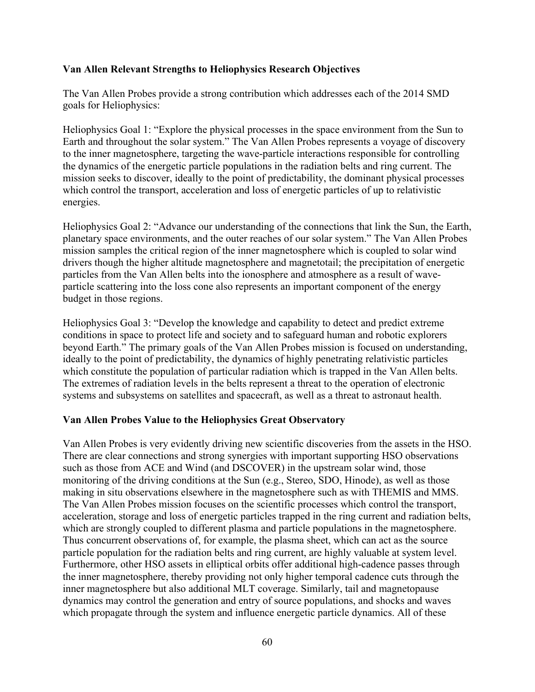## **Van Allen Relevant Strengths to Heliophysics Research Objectives**

The Van Allen Probes provide a strong contribution which addresses each of the 2014 SMD goals for Heliophysics:

Heliophysics Goal 1: "Explore the physical processes in the space environment from the Sun to Earth and throughout the solar system." The Van Allen Probes represents a voyage of discovery to the inner magnetosphere, targeting the wave-particle interactions responsible for controlling the dynamics of the energetic particle populations in the radiation belts and ring current. The mission seeks to discover, ideally to the point of predictability, the dominant physical processes which control the transport, acceleration and loss of energetic particles of up to relativistic energies.

Heliophysics Goal 2: "Advance our understanding of the connections that link the Sun, the Earth, planetary space environments, and the outer reaches of our solar system." The Van Allen Probes mission samples the critical region of the inner magnetosphere which is coupled to solar wind drivers though the higher altitude magnetosphere and magnetotail; the precipitation of energetic particles from the Van Allen belts into the ionosphere and atmosphere as a result of waveparticle scattering into the loss cone also represents an important component of the energy budget in those regions.

Heliophysics Goal 3: "Develop the knowledge and capability to detect and predict extreme conditions in space to protect life and society and to safeguard human and robotic explorers beyond Earth." The primary goals of the Van Allen Probes mission is focused on understanding, ideally to the point of predictability, the dynamics of highly penetrating relativistic particles which constitute the population of particular radiation which is trapped in the Van Allen belts. The extremes of radiation levels in the belts represent a threat to the operation of electronic systems and subsystems on satellites and spacecraft, as well as a threat to astronaut health.

# **Van Allen Probes Value to the Heliophysics Great Observatory**

Van Allen Probes is very evidently driving new scientific discoveries from the assets in the HSO. There are clear connections and strong synergies with important supporting HSO observations such as those from ACE and Wind (and DSCOVER) in the upstream solar wind, those monitoring of the driving conditions at the Sun (e.g., Stereo, SDO, Hinode), as well as those making in situ observations elsewhere in the magnetosphere such as with THEMIS and MMS. The Van Allen Probes mission focuses on the scientific processes which control the transport, acceleration, storage and loss of energetic particles trapped in the ring current and radiation belts, which are strongly coupled to different plasma and particle populations in the magnetosphere. Thus concurrent observations of, for example, the plasma sheet, which can act as the source particle population for the radiation belts and ring current, are highly valuable at system level. Furthermore, other HSO assets in elliptical orbits offer additional high-cadence passes through the inner magnetosphere, thereby providing not only higher temporal cadence cuts through the inner magnetosphere but also additional MLT coverage. Similarly, tail and magnetopause dynamics may control the generation and entry of source populations, and shocks and waves which propagate through the system and influence energetic particle dynamics. All of these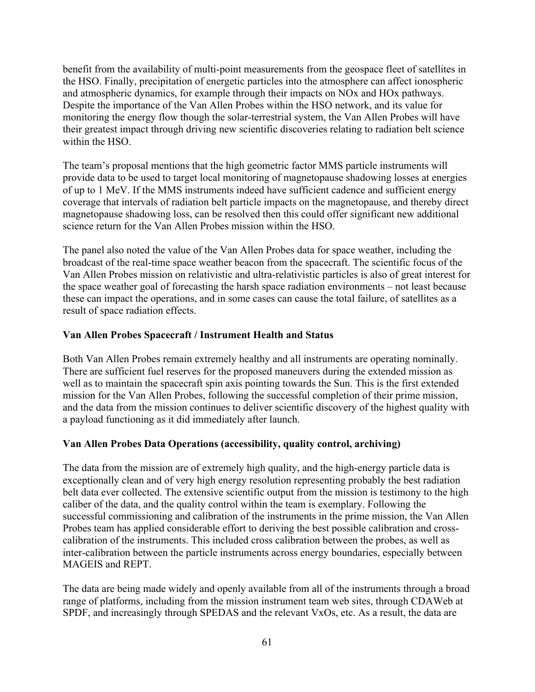benefit from the availability of multi-point measurements from the geospace fleet of satellites in the HSO. Finally, precipitation of energetic particles into the atmosphere can affect ionospheric and atmospheric dynamics, for example through their impacts on NOx and HOx pathways. Despite the importance of the Van Allen Probes within the HSO network, and its value for monitoring the energy flow though the solar-terrestrial system, the Van Allen Probes will have their greatest impact through driving new scientific discoveries relating to radiation belt science within the HSO.

The team's proposal mentions that the high geometric factor MMS particle instruments will provide data to be used to target local monitoring of magnetopause shadowing losses at energies of up to 1 MeV. If the MMS instruments indeed have sufficient cadence and sufficient energy coverage that intervals of radiation belt particle impacts on the magnetopause, and thereby direct magnetopause shadowing loss, can be resolved then this could offer significant new additional science return for the Van Allen Probes mission within the HSO.

The panel also noted the value of the Van Allen Probes data for space weather, including the broadcast of the real-time space weather beacon from the spacecraft. The scientific focus of the Van Allen Probes mission on relativistic and ultra-relativistic particles is also of great interest for the space weather goal of forecasting the harsh space radiation environments – not least because these can impact the operations, and in some cases can cause the total failure, of satellites as a result of space radiation effects.

# **Van Allen Probes Spacecraft / Instrument Health and Status**

Both Van Allen Probes remain extremely healthy and all instruments are operating nominally. There are sufficient fuel reserves for the proposed maneuvers during the extended mission as well as to maintain the spacecraft spin axis pointing towards the Sun. This is the first extended mission for the Van Allen Probes, following the successful completion of their prime mission, and the data from the mission continues to deliver scientific discovery of the highest quality with a payload functioning as it did immediately after launch.

# **Van Allen Probes Data Operations (accessibility, quality control, archiving)**

The data from the mission are of extremely high quality, and the high-energy particle data is exceptionally clean and of very high energy resolution representing probably the best radiation belt data ever collected. The extensive scientific output from the mission is testimony to the high caliber of the data, and the quality control within the team is exemplary. Following the successful commissioning and calibration of the instruments in the prime mission, the Van Allen Probes team has applied considerable effort to deriving the best possible calibration and crosscalibration of the instruments. This included cross calibration between the probes, as well as inter-calibration between the particle instruments across energy boundaries, especially between MAGEIS and REPT.

The data are being made widely and openly available from all of the instruments through a broad range of platforms, including from the mission instrument team web sites, through CDAWeb at SPDF, and increasingly through SPEDAS and the relevant VxOs, etc. As a result, the data are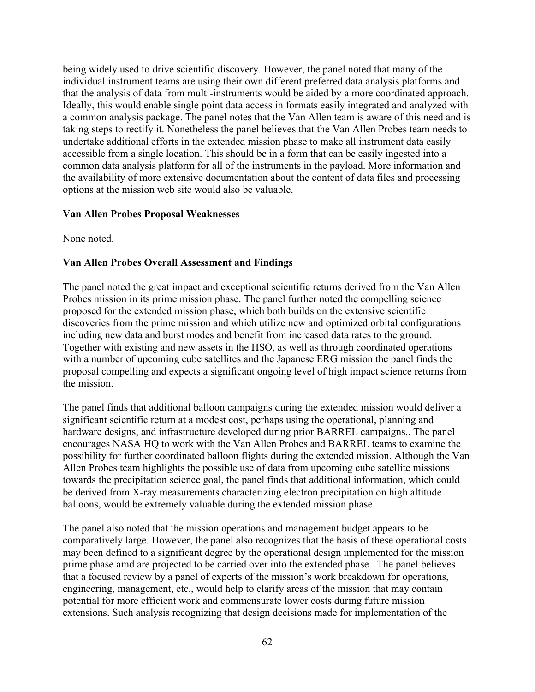being widely used to drive scientific discovery. However, the panel noted that many of the individual instrument teams are using their own different preferred data analysis platforms and that the analysis of data from multi-instruments would be aided by a more coordinated approach. Ideally, this would enable single point data access in formats easily integrated and analyzed with a common analysis package. The panel notes that the Van Allen team is aware of this need and is taking steps to rectify it. Nonetheless the panel believes that the Van Allen Probes team needs to undertake additional efforts in the extended mission phase to make all instrument data easily accessible from a single location. This should be in a form that can be easily ingested into a common data analysis platform for all of the instruments in the payload. More information and the availability of more extensive documentation about the content of data files and processing options at the mission web site would also be valuable.

#### **Van Allen Probes Proposal Weaknesses**

None noted.

# **Van Allen Probes Overall Assessment and Findings**

The panel noted the great impact and exceptional scientific returns derived from the Van Allen Probes mission in its prime mission phase. The panel further noted the compelling science proposed for the extended mission phase, which both builds on the extensive scientific discoveries from the prime mission and which utilize new and optimized orbital configurations including new data and burst modes and benefit from increased data rates to the ground. Together with existing and new assets in the HSO, as well as through coordinated operations with a number of upcoming cube satellites and the Japanese ERG mission the panel finds the proposal compelling and expects a significant ongoing level of high impact science returns from the mission.

The panel finds that additional balloon campaigns during the extended mission would deliver a significant scientific return at a modest cost, perhaps using the operational, planning and hardware designs, and infrastructure developed during prior BARREL campaigns,. The panel encourages NASA HQ to work with the Van Allen Probes and BARREL teams to examine the possibility for further coordinated balloon flights during the extended mission. Although the Van Allen Probes team highlights the possible use of data from upcoming cube satellite missions towards the precipitation science goal, the panel finds that additional information, which could be derived from X-ray measurements characterizing electron precipitation on high altitude balloons, would be extremely valuable during the extended mission phase.

The panel also noted that the mission operations and management budget appears to be comparatively large. However, the panel also recognizes that the basis of these operational costs may been defined to a significant degree by the operational design implemented for the mission prime phase amd are projected to be carried over into the extended phase. The panel believes that a focused review by a panel of experts of the mission's work breakdown for operations, engineering, management, etc., would help to clarify areas of the mission that may contain potential for more efficient work and commensurate lower costs during future mission extensions. Such analysis recognizing that design decisions made for implementation of the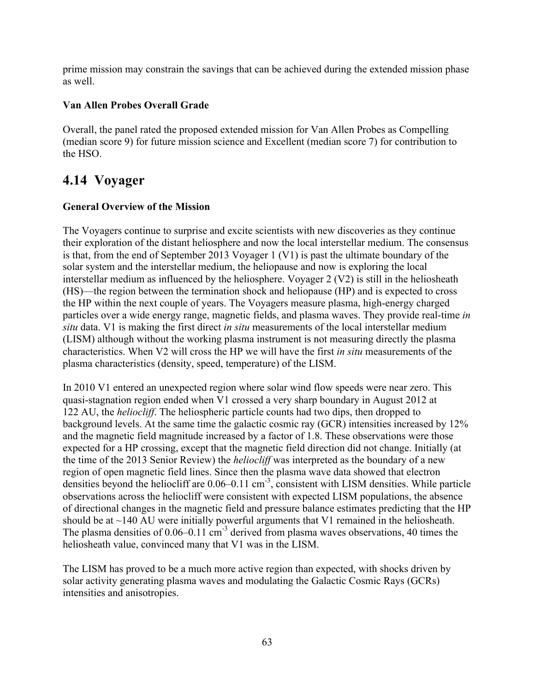prime mission may constrain the savings that can be achieved during the extended mission phase as well.

# **Van Allen Probes Overall Grade**

Overall, the panel rated the proposed extended mission for Van Allen Probes as Compelling (median score 9) for future mission science and Excellent (median score 7) for contribution to the HSO.

# **4.14 Voyager**

# **General Overview of the Mission**

The Voyagers continue to surprise and excite scientists with new discoveries as they continue their exploration of the distant heliosphere and now the local interstellar medium. The consensus is that, from the end of September 2013 Voyager 1 (V1) is past the ultimate boundary of the solar system and the interstellar medium, the heliopause and now is exploring the local interstellar medium as influenced by the heliosphere. Voyager 2 (V2) is still in the heliosheath (HS)—the region between the termination shock and heliopause (HP) and is expected to cross the HP within the next couple of years. The Voyagers measure plasma, high-energy charged particles over a wide energy range, magnetic fields, and plasma waves. They provide real-time *in situ* data. V1 is making the first direct *in situ* measurements of the local interstellar medium (LISM) although without the working plasma instrument is not measuring directly the plasma characteristics. When V2 will cross the HP we will have the first *in situ* measurements of the plasma characteristics (density, speed, temperature) of the LISM.

In 2010 V1 entered an unexpected region where solar wind flow speeds were near zero. This quasi-stagnation region ended when V1 crossed a very sharp boundary in August 2012 at 122 AU, the *heliocliff*. The heliospheric particle counts had two dips, then dropped to background levels. At the same time the galactic cosmic ray (GCR) intensities increased by 12% and the magnetic field magnitude increased by a factor of 1.8. These observations were those expected for a HP crossing, except that the magnetic field direction did not change. Initially (at the time of the 2013 Senior Review) the *heliocliff* was interpreted as the boundary of a new region of open magnetic field lines. Since then the plasma wave data showed that electron densities beyond the heliocliff are 0.06–0.11 cm<sup>-3</sup>, consistent with LISM densities. While particle observations across the heliocliff were consistent with expected LISM populations, the absence of directional changes in the magnetic field and pressure balance estimates predicting that the HP should be at  $\sim$ 140 AU were initially powerful arguments that V1 remained in the heliosheath. The plasma densities of  $0.06-0.11$  cm<sup>-3</sup> derived from plasma waves observations, 40 times the heliosheath value, convinced many that V1 was in the LISM.

The LISM has proved to be a much more active region than expected, with shocks driven by solar activity generating plasma waves and modulating the Galactic Cosmic Rays (GCRs) intensities and anisotropies.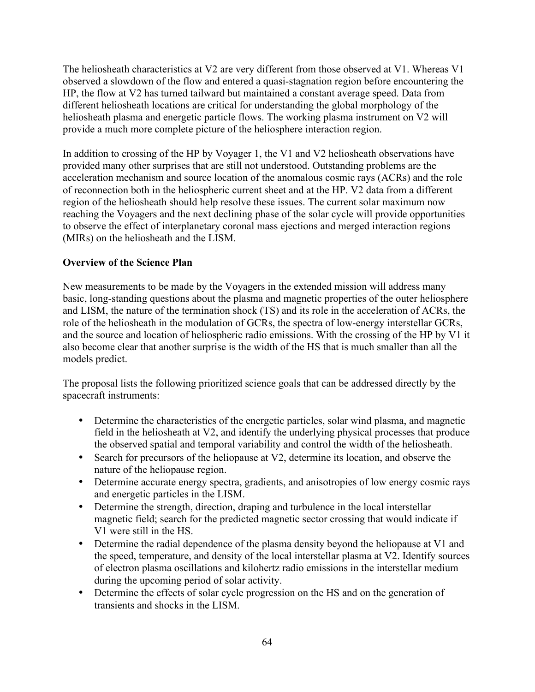The heliosheath characteristics at V2 are very different from those observed at V1. Whereas V1 observed a slowdown of the flow and entered a quasi-stagnation region before encountering the HP, the flow at V2 has turned tailward but maintained a constant average speed. Data from different heliosheath locations are critical for understanding the global morphology of the heliosheath plasma and energetic particle flows. The working plasma instrument on V2 will provide a much more complete picture of the heliosphere interaction region.

In addition to crossing of the HP by Voyager 1, the V1 and V2 heliosheath observations have provided many other surprises that are still not understood. Outstanding problems are the acceleration mechanism and source location of the anomalous cosmic rays (ACRs) and the role of reconnection both in the heliospheric current sheet and at the HP. V2 data from a different region of the heliosheath should help resolve these issues. The current solar maximum now reaching the Voyagers and the next declining phase of the solar cycle will provide opportunities to observe the effect of interplanetary coronal mass ejections and merged interaction regions (MIRs) on the heliosheath and the LISM.

# **Overview of the Science Plan**

New measurements to be made by the Voyagers in the extended mission will address many basic, long-standing questions about the plasma and magnetic properties of the outer heliosphere and LISM, the nature of the termination shock (TS) and its role in the acceleration of ACRs, the role of the heliosheath in the modulation of GCRs, the spectra of low-energy interstellar GCRs, and the source and location of heliospheric radio emissions. With the crossing of the HP by V1 it also become clear that another surprise is the width of the HS that is much smaller than all the models predict.

The proposal lists the following prioritized science goals that can be addressed directly by the spacecraft instruments:

- Determine the characteristics of the energetic particles, solar wind plasma, and magnetic field in the heliosheath at V2, and identify the underlying physical processes that produce the observed spatial and temporal variability and control the width of the heliosheath.
- Search for precursors of the heliopause at V2, determine its location, and observe the nature of the heliopause region.
- Determine accurate energy spectra, gradients, and anisotropies of low energy cosmic rays and energetic particles in the LISM.
- Determine the strength, direction, draping and turbulence in the local interstellar magnetic field; search for the predicted magnetic sector crossing that would indicate if V1 were still in the HS.
- Determine the radial dependence of the plasma density beyond the heliopause at V1 and the speed, temperature, and density of the local interstellar plasma at V2. Identify sources of electron plasma oscillations and kilohertz radio emissions in the interstellar medium during the upcoming period of solar activity.
- Determine the effects of solar cycle progression on the HS and on the generation of transients and shocks in the LISM.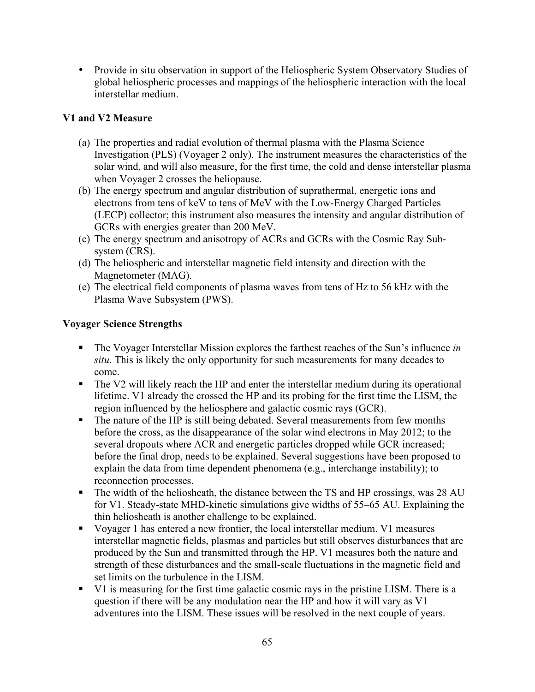• Provide in situ observation in support of the Heliospheric System Observatory Studies of global heliospheric processes and mappings of the heliospheric interaction with the local interstellar medium.

# **V1 and V2 Measure**

- (a) The properties and radial evolution of thermal plasma with the Plasma Science Investigation (PLS) (Voyager 2 only). The instrument measures the characteristics of the solar wind, and will also measure, for the first time, the cold and dense interstellar plasma when Voyager 2 crosses the heliopause.
- (b) The energy spectrum and angular distribution of suprathermal, energetic ions and electrons from tens of keV to tens of MeV with the Low-Energy Charged Particles (LECP) collector; this instrument also measures the intensity and angular distribution of GCRs with energies greater than 200 MeV.
- (c) The energy spectrum and anisotropy of ACRs and GCRs with the Cosmic Ray Subsystem (CRS).
- (d) The heliospheric and interstellar magnetic field intensity and direction with the Magnetometer (MAG).
- (e) The electrical field components of plasma waves from tens of Hz to 56 kHz with the Plasma Wave Subsystem (PWS).

# **Voyager Science Strengths**

- § The Voyager Interstellar Mission explores the farthest reaches of the Sun's influence *in situ*. This is likely the only opportunity for such measurements for many decades to come.
- The V2 will likely reach the HP and enter the interstellar medium during its operational lifetime. V1 already the crossed the HP and its probing for the first time the LISM, the region influenced by the heliosphere and galactic cosmic rays (GCR).
- The nature of the HP is still being debated. Several measurements from few months before the cross, as the disappearance of the solar wind electrons in May 2012; to the several dropouts where ACR and energetic particles dropped while GCR increased; before the final drop, needs to be explained. Several suggestions have been proposed to explain the data from time dependent phenomena (e.g., interchange instability); to reconnection processes.
- The width of the heliosheath, the distance between the TS and HP crossings, was 28 AU for V1. Steady-state MHD-kinetic simulations give widths of 55–65 AU. Explaining the thin heliosheath is another challenge to be explained.
- § Voyager 1 has entered a new frontier, the local interstellar medium. V1 measures interstellar magnetic fields, plasmas and particles but still observes disturbances that are produced by the Sun and transmitted through the HP. V1 measures both the nature and strength of these disturbances and the small-scale fluctuations in the magnetic field and set limits on the turbulence in the LISM.
- § V1 is measuring for the first time galactic cosmic rays in the pristine LISM. There is a question if there will be any modulation near the HP and how it will vary as V1 adventures into the LISM. These issues will be resolved in the next couple of years.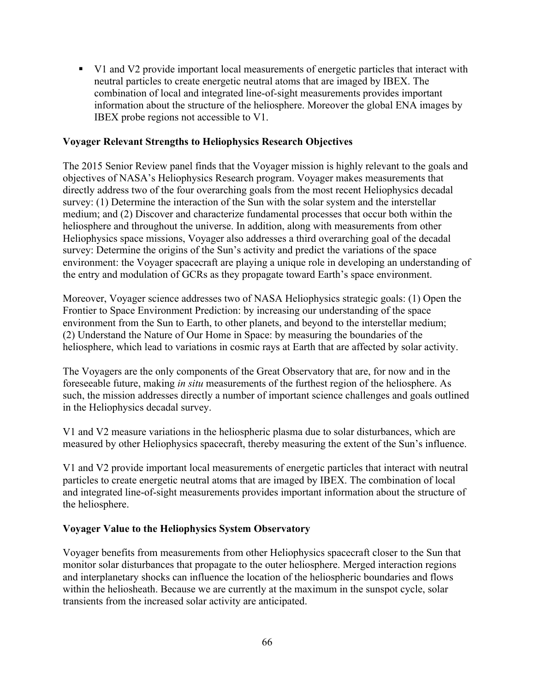§ V1 and V2 provide important local measurements of energetic particles that interact with neutral particles to create energetic neutral atoms that are imaged by IBEX. The combination of local and integrated line-of-sight measurements provides important information about the structure of the heliosphere. Moreover the global ENA images by IBEX probe regions not accessible to V1.

### **Voyager Relevant Strengths to Heliophysics Research Objectives**

The 2015 Senior Review panel finds that the Voyager mission is highly relevant to the goals and objectives of NASA's Heliophysics Research program. Voyager makes measurements that directly address two of the four overarching goals from the most recent Heliophysics decadal survey: (1) Determine the interaction of the Sun with the solar system and the interstellar medium; and (2) Discover and characterize fundamental processes that occur both within the heliosphere and throughout the universe. In addition, along with measurements from other Heliophysics space missions, Voyager also addresses a third overarching goal of the decadal survey: Determine the origins of the Sun's activity and predict the variations of the space environment: the Voyager spacecraft are playing a unique role in developing an understanding of the entry and modulation of GCRs as they propagate toward Earth's space environment.

Moreover, Voyager science addresses two of NASA Heliophysics strategic goals: (1) Open the Frontier to Space Environment Prediction: by increasing our understanding of the space environment from the Sun to Earth, to other planets, and beyond to the interstellar medium; (2) Understand the Nature of Our Home in Space: by measuring the boundaries of the heliosphere, which lead to variations in cosmic rays at Earth that are affected by solar activity.

The Voyagers are the only components of the Great Observatory that are, for now and in the foreseeable future, making *in situ* measurements of the furthest region of the heliosphere. As such, the mission addresses directly a number of important science challenges and goals outlined in the Heliophysics decadal survey.

V1 and V2 measure variations in the heliospheric plasma due to solar disturbances, which are measured by other Heliophysics spacecraft, thereby measuring the extent of the Sun's influence.

V1 and V2 provide important local measurements of energetic particles that interact with neutral particles to create energetic neutral atoms that are imaged by IBEX. The combination of local and integrated line-of-sight measurements provides important information about the structure of the heliosphere.

#### **Voyager Value to the Heliophysics System Observatory**

Voyager benefits from measurements from other Heliophysics spacecraft closer to the Sun that monitor solar disturbances that propagate to the outer heliosphere. Merged interaction regions and interplanetary shocks can influence the location of the heliospheric boundaries and flows within the heliosheath. Because we are currently at the maximum in the sunspot cycle, solar transients from the increased solar activity are anticipated.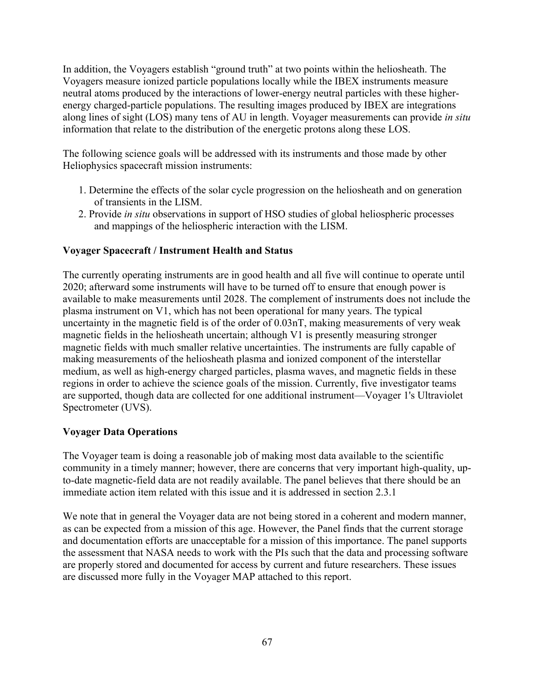In addition, the Voyagers establish "ground truth" at two points within the heliosheath. The Voyagers measure ionized particle populations locally while the IBEX instruments measure neutral atoms produced by the interactions of lower-energy neutral particles with these higherenergy charged-particle populations. The resulting images produced by IBEX are integrations along lines of sight (LOS) many tens of AU in length. Voyager measurements can provide *in situ*  information that relate to the distribution of the energetic protons along these LOS.

The following science goals will be addressed with its instruments and those made by other Heliophysics spacecraft mission instruments:

- 1. Determine the effects of the solar cycle progression on the heliosheath and on generation of transients in the LISM.
- 2. Provide *in situ* observations in support of HSO studies of global heliospheric processes and mappings of the heliospheric interaction with the LISM.

# **Voyager Spacecraft / Instrument Health and Status**

The currently operating instruments are in good health and all five will continue to operate until 2020; afterward some instruments will have to be turned off to ensure that enough power is available to make measurements until 2028. The complement of instruments does not include the plasma instrument on V1, which has not been operational for many years. The typical uncertainty in the magnetic field is of the order of 0.03nT, making measurements of very weak magnetic fields in the heliosheath uncertain; although V1 is presently measuring stronger magnetic fields with much smaller relative uncertainties. The instruments are fully capable of making measurements of the heliosheath plasma and ionized component of the interstellar medium, as well as high-energy charged particles, plasma waves, and magnetic fields in these regions in order to achieve the science goals of the mission. Currently, five investigator teams are supported, though data are collected for one additional instrument—Voyager 1's Ultraviolet Spectrometer (UVS).

# **Voyager Data Operations**

The Voyager team is doing a reasonable job of making most data available to the scientific community in a timely manner; however, there are concerns that very important high-quality, upto-date magnetic-field data are not readily available. The panel believes that there should be an immediate action item related with this issue and it is addressed in section 2.3.1

We note that in general the Voyager data are not being stored in a coherent and modern manner, as can be expected from a mission of this age. However, the Panel finds that the current storage and documentation efforts are unacceptable for a mission of this importance. The panel supports the assessment that NASA needs to work with the PIs such that the data and processing software are properly stored and documented for access by current and future researchers. These issues are discussed more fully in the Voyager MAP attached to this report.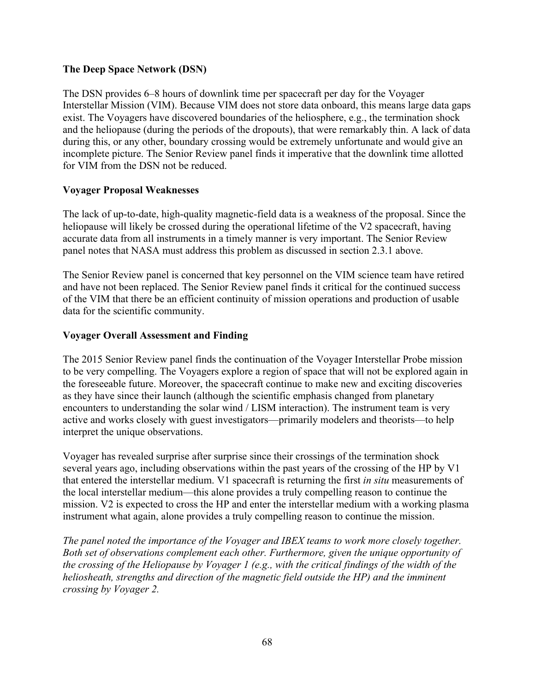## **The Deep Space Network (DSN)**

The DSN provides 6–8 hours of downlink time per spacecraft per day for the Voyager Interstellar Mission (VIM). Because VIM does not store data onboard, this means large data gaps exist. The Voyagers have discovered boundaries of the heliosphere, e.g., the termination shock and the heliopause (during the periods of the dropouts), that were remarkably thin. A lack of data during this, or any other, boundary crossing would be extremely unfortunate and would give an incomplete picture. The Senior Review panel finds it imperative that the downlink time allotted for VIM from the DSN not be reduced.

### **Voyager Proposal Weaknesses**

The lack of up-to-date, high-quality magnetic-field data is a weakness of the proposal. Since the heliopause will likely be crossed during the operational lifetime of the V2 spacecraft, having accurate data from all instruments in a timely manner is very important. The Senior Review panel notes that NASA must address this problem as discussed in section 2.3.1 above.

The Senior Review panel is concerned that key personnel on the VIM science team have retired and have not been replaced. The Senior Review panel finds it critical for the continued success of the VIM that there be an efficient continuity of mission operations and production of usable data for the scientific community.

### **Voyager Overall Assessment and Finding**

The 2015 Senior Review panel finds the continuation of the Voyager Interstellar Probe mission to be very compelling. The Voyagers explore a region of space that will not be explored again in the foreseeable future. Moreover, the spacecraft continue to make new and exciting discoveries as they have since their launch (although the scientific emphasis changed from planetary encounters to understanding the solar wind / LISM interaction). The instrument team is very active and works closely with guest investigators—primarily modelers and theorists—to help interpret the unique observations.

Voyager has revealed surprise after surprise since their crossings of the termination shock several years ago, including observations within the past years of the crossing of the HP by V1 that entered the interstellar medium. V1 spacecraft is returning the first *in situ* measurements of the local interstellar medium—this alone provides a truly compelling reason to continue the mission. V2 is expected to cross the HP and enter the interstellar medium with a working plasma instrument what again, alone provides a truly compelling reason to continue the mission.

*The panel noted the importance of the Voyager and IBEX teams to work more closely together. Both set of observations complement each other. Furthermore, given the unique opportunity of the crossing of the Heliopause by Voyager 1 (e.g., with the critical findings of the width of the heliosheath, strengths and direction of the magnetic field outside the HP) and the imminent crossing by Voyager 2.*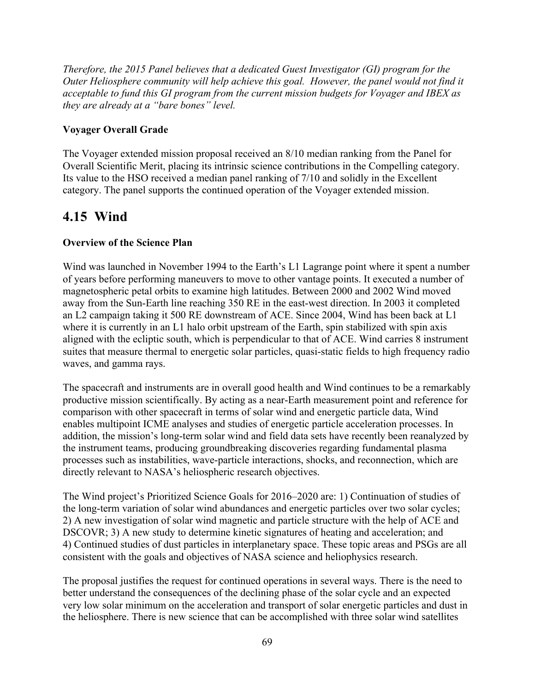*Therefore, the 2015 Panel believes that a dedicated Guest Investigator (GI) program for the Outer Heliosphere community will help achieve this goal. However, the panel would not find it acceptable to fund this GI program from the current mission budgets for Voyager and IBEX as they are already at a "bare bones" level.*

# **Voyager Overall Grade**

The Voyager extended mission proposal received an 8/10 median ranking from the Panel for Overall Scientific Merit, placing its intrinsic science contributions in the Compelling category. Its value to the HSO received a median panel ranking of 7/10 and solidly in the Excellent category. The panel supports the continued operation of the Voyager extended mission.

# **4.15 Wind**

# **Overview of the Science Plan**

Wind was launched in November 1994 to the Earth's L1 Lagrange point where it spent a number of years before performing maneuvers to move to other vantage points. It executed a number of magnetospheric petal orbits to examine high latitudes. Between 2000 and 2002 Wind moved away from the Sun-Earth line reaching 350 RE in the east-west direction. In 2003 it completed an L2 campaign taking it 500 RE downstream of ACE. Since 2004, Wind has been back at L1 where it is currently in an L1 halo orbit upstream of the Earth, spin stabilized with spin axis aligned with the ecliptic south, which is perpendicular to that of ACE. Wind carries 8 instrument suites that measure thermal to energetic solar particles, quasi-static fields to high frequency radio waves, and gamma rays.

The spacecraft and instruments are in overall good health and Wind continues to be a remarkably productive mission scientifically. By acting as a near-Earth measurement point and reference for comparison with other spacecraft in terms of solar wind and energetic particle data, Wind enables multipoint ICME analyses and studies of energetic particle acceleration processes. In addition, the mission's long-term solar wind and field data sets have recently been reanalyzed by the instrument teams, producing groundbreaking discoveries regarding fundamental plasma processes such as instabilities, wave-particle interactions, shocks, and reconnection, which are directly relevant to NASA's heliospheric research objectives.

The Wind project's Prioritized Science Goals for 2016–2020 are: 1) Continuation of studies of the long-term variation of solar wind abundances and energetic particles over two solar cycles; 2) A new investigation of solar wind magnetic and particle structure with the help of ACE and DSCOVR; 3) A new study to determine kinetic signatures of heating and acceleration; and 4) Continued studies of dust particles in interplanetary space. These topic areas and PSGs are all consistent with the goals and objectives of NASA science and heliophysics research.

The proposal justifies the request for continued operations in several ways. There is the need to better understand the consequences of the declining phase of the solar cycle and an expected very low solar minimum on the acceleration and transport of solar energetic particles and dust in the heliosphere. There is new science that can be accomplished with three solar wind satellites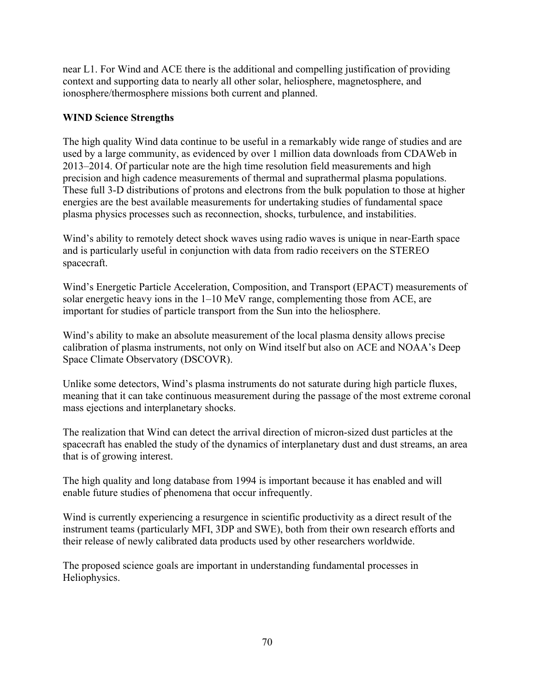near L1. For Wind and ACE there is the additional and compelling justification of providing context and supporting data to nearly all other solar, heliosphere, magnetosphere, and ionosphere/thermosphere missions both current and planned.

# **WIND Science Strengths**

The high quality Wind data continue to be useful in a remarkably wide range of studies and are used by a large community, as evidenced by over 1 million data downloads from CDAWeb in 2013–2014. Of particular note are the high time resolution field measurements and high precision and high cadence measurements of thermal and suprathermal plasma populations. These full 3-D distributions of protons and electrons from the bulk population to those at higher energies are the best available measurements for undertaking studies of fundamental space plasma physics processes such as reconnection, shocks, turbulence, and instabilities.

Wind's ability to remotely detect shock waves using radio waves is unique in near-Earth space and is particularly useful in conjunction with data from radio receivers on the STEREO spacecraft.

Wind's Energetic Particle Acceleration, Composition, and Transport (EPACT) measurements of solar energetic heavy ions in the 1–10 MeV range, complementing those from ACE, are important for studies of particle transport from the Sun into the heliosphere.

Wind's ability to make an absolute measurement of the local plasma density allows precise calibration of plasma instruments, not only on Wind itself but also on ACE and NOAA's Deep Space Climate Observatory (DSCOVR).

Unlike some detectors, Wind's plasma instruments do not saturate during high particle fluxes, meaning that it can take continuous measurement during the passage of the most extreme coronal mass ejections and interplanetary shocks.

The realization that Wind can detect the arrival direction of micron-sized dust particles at the spacecraft has enabled the study of the dynamics of interplanetary dust and dust streams, an area that is of growing interest.

The high quality and long database from 1994 is important because it has enabled and will enable future studies of phenomena that occur infrequently.

Wind is currently experiencing a resurgence in scientific productivity as a direct result of the instrument teams (particularly MFI, 3DP and SWE), both from their own research efforts and their release of newly calibrated data products used by other researchers worldwide.

The proposed science goals are important in understanding fundamental processes in Heliophysics.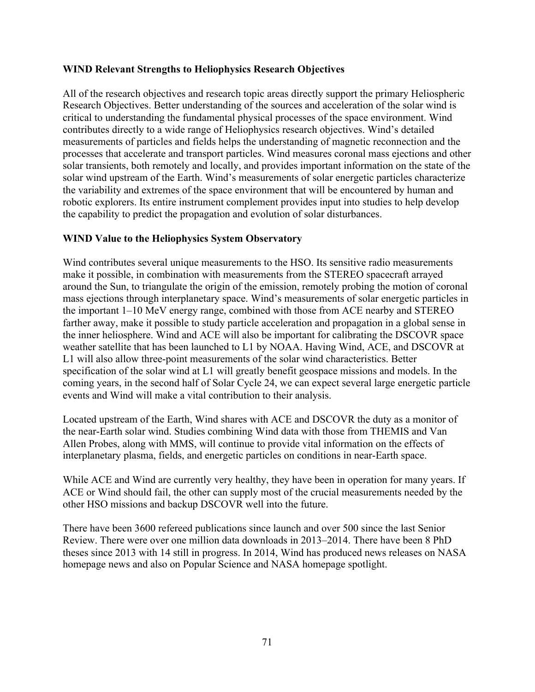#### **WIND Relevant Strengths to Heliophysics Research Objectives**

All of the research objectives and research topic areas directly support the primary Heliospheric Research Objectives. Better understanding of the sources and acceleration of the solar wind is critical to understanding the fundamental physical processes of the space environment. Wind contributes directly to a wide range of Heliophysics research objectives. Wind's detailed measurements of particles and fields helps the understanding of magnetic reconnection and the processes that accelerate and transport particles. Wind measures coronal mass ejections and other solar transients, both remotely and locally, and provides important information on the state of the solar wind upstream of the Earth. Wind's measurements of solar energetic particles characterize the variability and extremes of the space environment that will be encountered by human and robotic explorers. Its entire instrument complement provides input into studies to help develop the capability to predict the propagation and evolution of solar disturbances.

# **WIND Value to the Heliophysics System Observatory**

Wind contributes several unique measurements to the HSO. Its sensitive radio measurements make it possible, in combination with measurements from the STEREO spacecraft arrayed around the Sun, to triangulate the origin of the emission, remotely probing the motion of coronal mass ejections through interplanetary space. Wind's measurements of solar energetic particles in the important 1–10 MeV energy range, combined with those from ACE nearby and STEREO farther away, make it possible to study particle acceleration and propagation in a global sense in the inner heliosphere. Wind and ACE will also be important for calibrating the DSCOVR space weather satellite that has been launched to L1 by NOAA. Having Wind, ACE, and DSCOVR at L1 will also allow three-point measurements of the solar wind characteristics. Better specification of the solar wind at L1 will greatly benefit geospace missions and models. In the coming years, in the second half of Solar Cycle 24, we can expect several large energetic particle events and Wind will make a vital contribution to their analysis.

Located upstream of the Earth, Wind shares with ACE and DSCOVR the duty as a monitor of the near-Earth solar wind. Studies combining Wind data with those from THEMIS and Van Allen Probes, along with MMS, will continue to provide vital information on the effects of interplanetary plasma, fields, and energetic particles on conditions in near-Earth space.

While ACE and Wind are currently very healthy, they have been in operation for many years. If ACE or Wind should fail, the other can supply most of the crucial measurements needed by the other HSO missions and backup DSCOVR well into the future.

There have been 3600 refereed publications since launch and over 500 since the last Senior Review. There were over one million data downloads in 2013–2014. There have been 8 PhD theses since 2013 with 14 still in progress. In 2014, Wind has produced news releases on NASA homepage news and also on Popular Science and NASA homepage spotlight.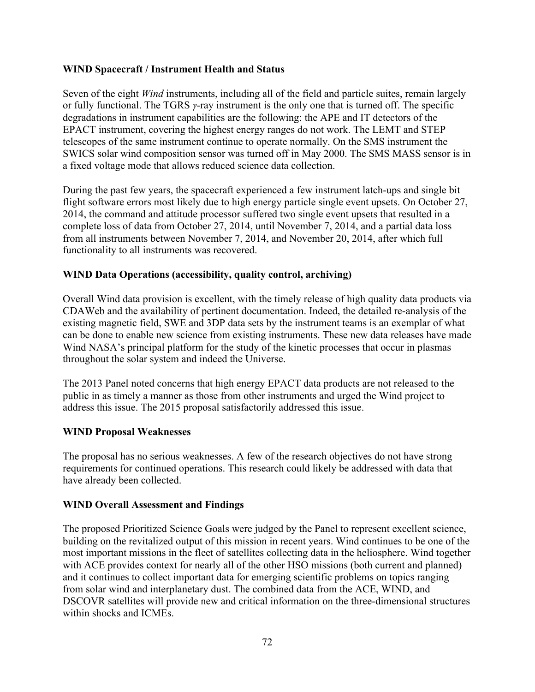#### **WIND Spacecraft / Instrument Health and Status**

Seven of the eight *Wind* instruments, including all of the field and particle suites, remain largely or fully functional. The TGRS *γ*-ray instrument is the only one that is turned off. The specific degradations in instrument capabilities are the following: the APE and IT detectors of the EPACT instrument, covering the highest energy ranges do not work. The LEMT and STEP telescopes of the same instrument continue to operate normally. On the SMS instrument the SWICS solar wind composition sensor was turned off in May 2000. The SMS MASS sensor is in a fixed voltage mode that allows reduced science data collection.

During the past few years, the spacecraft experienced a few instrument latch-ups and single bit flight software errors most likely due to high energy particle single event upsets. On October 27, 2014, the command and attitude processor suffered two single event upsets that resulted in a complete loss of data from October 27, 2014, until November 7, 2014, and a partial data loss from all instruments between November 7, 2014, and November 20, 2014, after which full functionality to all instruments was recovered.

# **WIND Data Operations (accessibility, quality control, archiving)**

Overall Wind data provision is excellent, with the timely release of high quality data products via CDAWeb and the availability of pertinent documentation. Indeed, the detailed re-analysis of the existing magnetic field, SWE and 3DP data sets by the instrument teams is an exemplar of what can be done to enable new science from existing instruments. These new data releases have made Wind NASA's principal platform for the study of the kinetic processes that occur in plasmas throughout the solar system and indeed the Universe.

The 2013 Panel noted concerns that high energy EPACT data products are not released to the public in as timely a manner as those from other instruments and urged the Wind project to address this issue. The 2015 proposal satisfactorily addressed this issue.

#### **WIND Proposal Weaknesses**

The proposal has no serious weaknesses. A few of the research objectives do not have strong requirements for continued operations. This research could likely be addressed with data that have already been collected.

#### **WIND Overall Assessment and Findings**

The proposed Prioritized Science Goals were judged by the Panel to represent excellent science, building on the revitalized output of this mission in recent years. Wind continues to be one of the most important missions in the fleet of satellites collecting data in the heliosphere. Wind together with ACE provides context for nearly all of the other HSO missions (both current and planned) and it continues to collect important data for emerging scientific problems on topics ranging from solar wind and interplanetary dust. The combined data from the ACE, WIND, and DSCOVR satellites will provide new and critical information on the three-dimensional structures within shocks and ICMEs.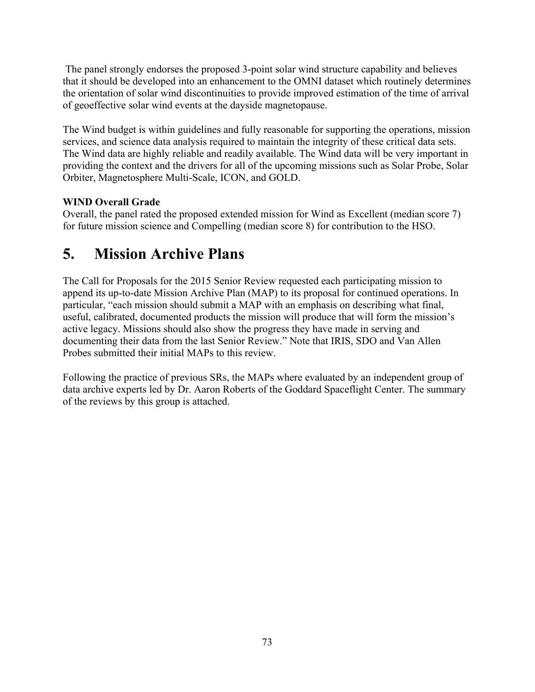The panel strongly endorses the proposed 3-point solar wind structure capability and believes that it should be developed into an enhancement to the OMNI dataset which routinely determines the orientation of solar wind discontinuities to provide improved estimation of the time of arrival of geoeffective solar wind events at the dayside magnetopause.

The Wind budget is within guidelines and fully reasonable for supporting the operations, mission services, and science data analysis required to maintain the integrity of these critical data sets. The Wind data are highly reliable and readily available. The Wind data will be very important in providing the context and the drivers for all of the upcoming missions such as Solar Probe, Solar Orbiter, Magnetosphere Multi-Scale, ICON, and GOLD.

# **WIND Overall Grade**

Overall, the panel rated the proposed extended mission for Wind as Excellent (median score 7) for future mission science and Compelling (median score 8) for contribution to the HSO.

# **5. Mission Archive Plans**

The Call for Proposals for the 2015 Senior Review requested each participating mission to append its up-to-date Mission Archive Plan (MAP) to its proposal for continued operations. In particular, "each mission should submit a MAP with an emphasis on describing what final, useful, calibrated, documented products the mission will produce that will form the mission's active legacy. Missions should also show the progress they have made in serving and documenting their data from the last Senior Review." Note that IRIS, SDO and Van Allen Probes submitted their initial MAPs to this review.

Following the practice of previous SRs, the MAPs where evaluated by an independent group of data archive experts led by Dr. Aaron Roberts of the Goddard Spaceflight Center. The summary of the reviews by this group is attached.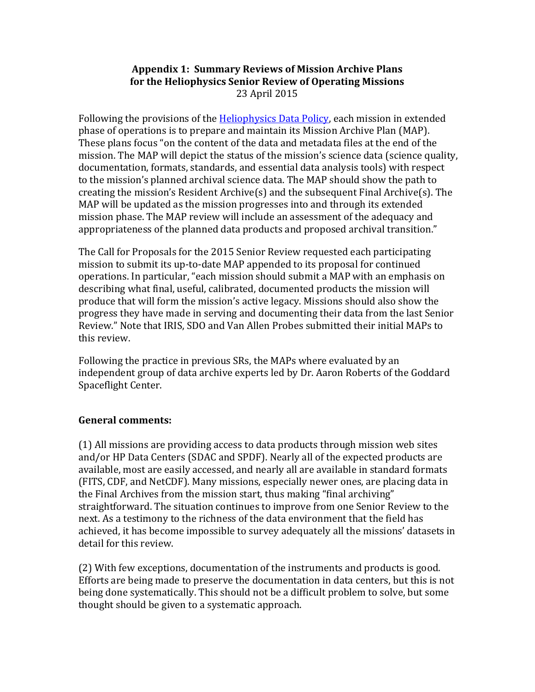# **Appendix 1: Summary Reviews of Mission Archive Plans** for the Heliophysics Senior Review of Operating Missions 23 April 2015

Following the provisions of the Heliophysics Data Policy, each mission in extended phase of operations is to prepare and maintain its Mission Archive Plan (MAP). These plans focus "on the content of the data and metadata files at the end of the mission. The MAP will depict the status of the mission's science data (science quality, documentation, formats, standards, and essential data analysis tools) with respect to the mission's planned archival science data. The MAP should show the path to creating the mission's Resident Archive(s) and the subsequent Final Archive(s). The MAP will be updated as the mission progresses into and through its extended mission phase. The MAP review will include an assessment of the adequacy and appropriateness of the planned data products and proposed archival transition."

The Call for Proposals for the 2015 Senior Review requested each participating mission to submit its up-to-date MAP appended to its proposal for continued operations. In particular, "each mission should submit a MAP with an emphasis on describing what final, useful, calibrated, documented products the mission will produce that will form the mission's active legacy. Missions should also show the progress they have made in serving and documenting their data from the last Senior Review." Note that IRIS, SDO and Van Allen Probes submitted their initial MAPs to this review.

Following the practice in previous SRs, the MAPs where evaluated by an independent group of data archive experts led by Dr. Aaron Roberts of the Goddard Spaceflight Center.

# **General comments:**

 $(1)$  All missions are providing access to data products through mission web sites and/or HP Data Centers (SDAC and SPDF). Nearly all of the expected products are available, most are easily accessed, and nearly all are available in standard formats (FITS, CDF, and NetCDF). Many missions, especially newer ones, are placing data in the Final Archives from the mission start, thus making "final archiving" straightforward. The situation continues to improve from one Senior Review to the next. As a testimony to the richness of the data environment that the field has achieved, it has become impossible to survey adequately all the missions' datasets in detail for this review.

(2) With few exceptions, documentation of the instruments and products is good. Efforts are being made to preserve the documentation in data centers, but this is not being done systematically. This should not be a difficult problem to solve, but some thought should be given to a systematic approach.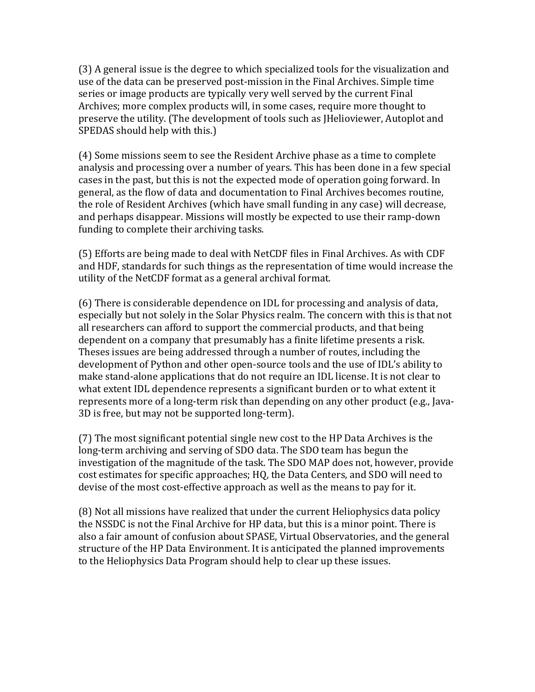(3) A general issue is the degree to which specialized tools for the visualization and use of the data can be preserved post-mission in the Final Archives. Simple time series or image products are typically very well served by the current Final Archives; more complex products will, in some cases, require more thought to preserve the utility. (The development of tools such as [Helioviewer, Autoplot and SPEDAS should help with this.)

(4) Some missions seem to see the Resident Archive phase as a time to complete analysis and processing over a number of years. This has been done in a few special cases in the past, but this is not the expected mode of operation going forward. In general, as the flow of data and documentation to Final Archives becomes routine, the role of Resident Archives (which have small funding in any case) will decrease, and perhaps disappear. Missions will mostly be expected to use their ramp-down funding to complete their archiving tasks.

(5) Efforts are being made to deal with NetCDF files in Final Archives. As with CDF and HDF, standards for such things as the representation of time would increase the utility of the NetCDF format as a general archival format.

(6) There is considerable dependence on IDL for processing and analysis of data, especially but not solely in the Solar Physics realm. The concern with this is that not all researchers can afford to support the commercial products, and that being dependent on a company that presumably has a finite lifetime presents a risk. Theses issues are being addressed through a number of routes, including the development of Python and other open-source tools and the use of IDL's ability to make stand-alone applications that do not require an IDL license. It is not clear to what extent IDL dependence represents a significant burden or to what extent it represents more of a long-term risk than depending on any other product (e.g., Java-3D is free, but may not be supported long-term).

(7) The most significant potential single new cost to the HP Data Archives is the long-term archiving and serving of SDO data. The SDO team has begun the investigation of the magnitude of the task. The SDO MAP does not, however, provide cost estimates for specific approaches; HQ, the Data Centers, and SDO will need to devise of the most cost-effective approach as well as the means to pay for it.

(8) Not all missions have realized that under the current Heliophysics data policy the NSSDC is not the Final Archive for HP data, but this is a minor point. There is also a fair amount of confusion about SPASE, Virtual Observatories, and the general structure of the HP Data Environment. It is anticipated the planned improvements to the Heliophysics Data Program should help to clear up these issues.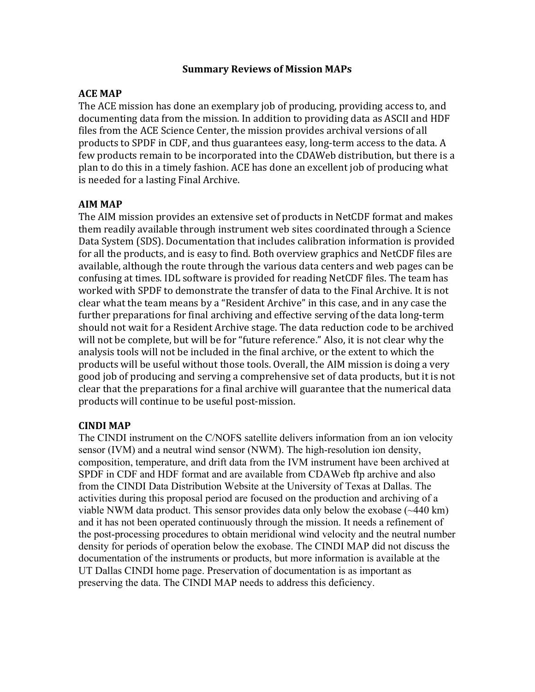#### **Summary Reviews of Mission MAPs**

## **ACE MAP**

The ACE mission has done an exemplary job of producing, providing access to, and documenting data from the mission. In addition to providing data as ASCII and HDF files from the ACE Science Center, the mission provides archival versions of all products to SPDF in CDF, and thus guarantees easy, long-term access to the data. A few products remain to be incorporated into the CDAWeb distribution, but there is a plan to do this in a timely fashion. ACE has done an excellent job of producing what is needed for a lasting Final Archive.

#### **AIM MAP**

The AIM mission provides an extensive set of products in NetCDF format and makes them readily available through instrument web sites coordinated through a Science Data System (SDS). Documentation that includes calibration information is provided for all the products, and is easy to find. Both overview graphics and NetCDF files are available, although the route through the various data centers and web pages can be confusing at times. IDL software is provided for reading NetCDF files. The team has worked with SPDF to demonstrate the transfer of data to the Final Archive. It is not clear what the team means by a "Resident Archive" in this case, and in any case the further preparations for final archiving and effective serving of the data long-term should not wait for a Resident Archive stage. The data reduction code to be archived will not be complete, but will be for "future reference." Also, it is not clear why the analysis tools will not be included in the final archive, or the extent to which the products will be useful without those tools. Overall, the AIM mission is doing a very good job of producing and serving a comprehensive set of data products, but it is not clear that the preparations for a final archive will guarantee that the numerical data products will continue to be useful post-mission.

# **CINDI MAP**

The CINDI instrument on the C/NOFS satellite delivers information from an ion velocity sensor (IVM) and a neutral wind sensor (NWM). The high-resolution ion density, composition, temperature, and drift data from the IVM instrument have been archived at SPDF in CDF and HDF format and are available from CDAWeb ftp archive and also from the CINDI Data Distribution Website at the University of Texas at Dallas. The activities during this proposal period are focused on the production and archiving of a viable NWM data product. This sensor provides data only below the exobase (~440 km) and it has not been operated continuously through the mission. It needs a refinement of the post-processing procedures to obtain meridional wind velocity and the neutral number density for periods of operation below the exobase. The CINDI MAP did not discuss the documentation of the instruments or products, but more information is available at the UT Dallas CINDI home page. Preservation of documentation is as important as preserving the data. The CINDI MAP needs to address this deficiency.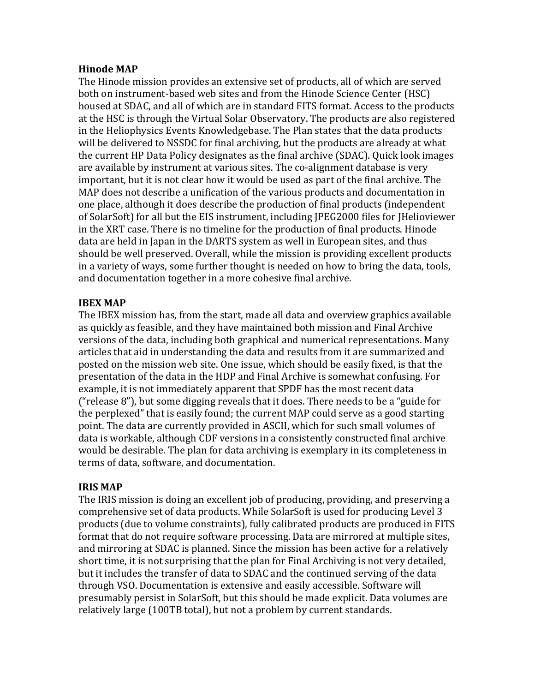#### **Hinode MAP**

The Hinode mission provides an extensive set of products, all of which are served both on instrument-based web sites and from the Hinode Science Center (HSC) housed at SDAC, and all of which are in standard FITS format. Access to the products at the HSC is through the Virtual Solar Observatory. The products are also registered in the Heliophysics Events Knowledgebase. The Plan states that the data products will be delivered to NSSDC for final archiving, but the products are already at what the current HP Data Policy designates as the final archive (SDAC). Quick look images are available by instrument at various sites. The co-alignment database is very important, but it is not clear how it would be used as part of the final archive. The MAP does not describe a unification of the various products and documentation in one place, although it does describe the production of final products (independent of SolarSoft) for all but the EIS instrument, including JPEG2000 files for JHelioviewer in the XRT case. There is no timeline for the production of final products. Hinode data are held in Japan in the DARTS system as well in European sites, and thus should be well preserved. Overall, while the mission is providing excellent products in a variety of ways, some further thought is needed on how to bring the data, tools, and documentation together in a more cohesive final archive.

# **IBEX MAP**

The IBEX mission has, from the start, made all data and overview graphics available as quickly as feasible, and they have maintained both mission and Final Archive versions of the data, including both graphical and numerical representations. Many articles that aid in understanding the data and results from it are summarized and posted on the mission web site. One issue, which should be easily fixed, is that the presentation of the data in the HDP and Final Archive is somewhat confusing. For example, it is not immediately apparent that SPDF has the most recent data ("release  $8$ "), but some digging reveals that it does. There needs to be a "guide for the perplexed" that is easily found; the current MAP could serve as a good starting point. The data are currently provided in ASCII, which for such small volumes of data is workable, although CDF versions in a consistently constructed final archive would be desirable. The plan for data archiving is exemplary in its completeness in terms of data, software, and documentation.

# **IRIS MAP**

The IRIS mission is doing an excellent job of producing, providing, and preserving a comprehensive set of data products. While SolarSoft is used for producing Level 3 products (due to volume constraints), fully calibrated products are produced in FITS format that do not require software processing. Data are mirrored at multiple sites, and mirroring at SDAC is planned. Since the mission has been active for a relatively short time, it is not surprising that the plan for Final Archiving is not very detailed, but it includes the transfer of data to SDAC and the continued serving of the data through VSO. Documentation is extensive and easily accessible. Software will presumably persist in SolarSoft, but this should be made explicit. Data volumes are relatively large (100TB total), but not a problem by current standards.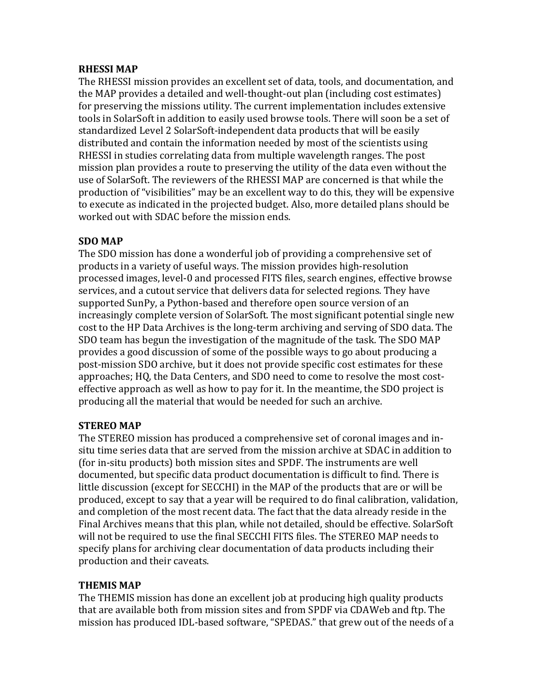#### **RHESSI MAP**

The RHESSI mission provides an excellent set of data, tools, and documentation, and the MAP provides a detailed and well-thought-out plan (including cost estimates) for preserving the missions utility. The current implementation includes extensive tools in SolarSoft in addition to easily used browse tools. There will soon be a set of standardized Level 2 SolarSoft-independent data products that will be easily distributed and contain the information needed by most of the scientists using RHESSI in studies correlating data from multiple wavelength ranges. The post mission plan provides a route to preserving the utility of the data even without the use of SolarSoft. The reviewers of the RHESSI MAP are concerned is that while the production of "visibilities" may be an excellent way to do this, they will be expensive to execute as indicated in the projected budget. Also, more detailed plans should be worked out with SDAC before the mission ends.

#### **SDO MAP**

The SDO mission has done a wonderful job of providing a comprehensive set of products in a variety of useful ways. The mission provides high-resolution processed images, level-0 and processed FITS files, search engines, effective browse services, and a cutout service that delivers data for selected regions. They have supported SunPy, a Python-based and therefore open source version of an increasingly complete version of SolarSoft. The most significant potential single new cost to the HP Data Archives is the long-term archiving and serving of SDO data. The SDO team has begun the investigation of the magnitude of the task. The SDO MAP provides a good discussion of some of the possible ways to go about producing a post-mission SDO archive, but it does not provide specific cost estimates for these approaches; HQ, the Data Centers, and SDO need to come to resolve the most costeffective approach as well as how to pay for it. In the meantime, the SDO project is producing all the material that would be needed for such an archive.

# **STEREO MAP**

The STEREO mission has produced a comprehensive set of coronal images and insitu time series data that are served from the mission archive at SDAC in addition to (for in-situ products) both mission sites and SPDF. The instruments are well documented, but specific data product documentation is difficult to find. There is little discussion (except for SECCHI) in the MAP of the products that are or will be produced, except to say that a year will be required to do final calibration, validation, and completion of the most recent data. The fact that the data already reside in the Final Archives means that this plan, while not detailed, should be effective. SolarSoft will not be required to use the final SECCHI FITS files. The STEREO MAP needs to specify plans for archiving clear documentation of data products including their production and their caveats.

#### **THEMIS MAP**

The THEMIS mission has done an excellent job at producing high quality products that are available both from mission sites and from SPDF via CDAWeb and ftp. The mission has produced IDL-based software, "SPEDAS." that grew out of the needs of a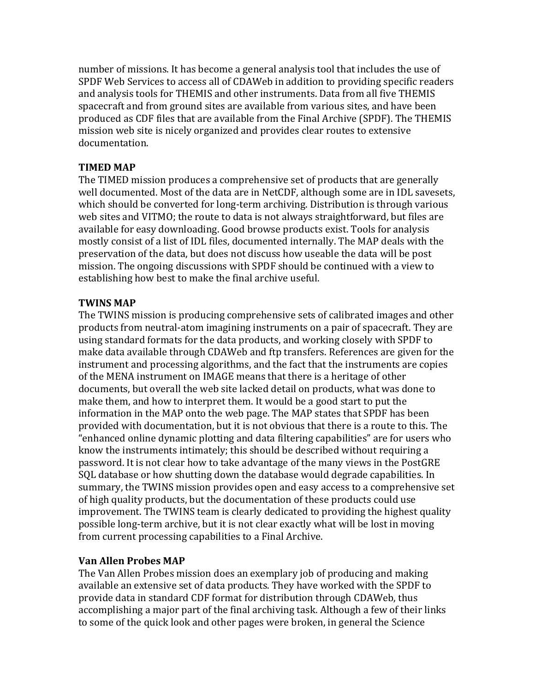number of missions. It has become a general analysis tool that includes the use of SPDF Web Services to access all of CDAWeb in addition to providing specific readers and analysis tools for THEMIS and other instruments. Data from all five THEMIS spacecraft and from ground sites are available from various sites, and have been produced as CDF files that are available from the Final Archive (SPDF). The THEMIS mission web site is nicely organized and provides clear routes to extensive documentation. 

## **TIMED MAP**

The TIMED mission produces a comprehensive set of products that are generally well documented. Most of the data are in NetCDF, although some are in IDL savesets, which should be converted for long-term archiving. Distribution is through various web sites and VITMO; the route to data is not always straightforward, but files are available for easy downloading. Good browse products exist. Tools for analysis mostly consist of a list of IDL files, documented internally. The MAP deals with the preservation of the data, but does not discuss how useable the data will be post mission. The ongoing discussions with SPDF should be continued with a view to establishing how best to make the final archive useful.

# **TWINS MAP**

The TWINS mission is producing comprehensive sets of calibrated images and other products from neutral-atom imagining instruments on a pair of spacecraft. They are using standard formats for the data products, and working closely with SPDF to make data available through CDAWeb and ftp transfers. References are given for the instrument and processing algorithms, and the fact that the instruments are copies of the MENA instrument on IMAGE means that there is a heritage of other documents, but overall the web site lacked detail on products, what was done to make them, and how to interpret them. It would be a good start to put the information in the MAP onto the web page. The MAP states that SPDF has been provided with documentation, but it is not obvious that there is a route to this. The "enhanced online dynamic plotting and data filtering capabilities" are for users who know the instruments intimately; this should be described without requiring a password. It is not clear how to take advantage of the many views in the PostGRE SQL database or how shutting down the database would degrade capabilities. In summary, the TWINS mission provides open and easy access to a comprehensive set of high quality products, but the documentation of these products could use improvement. The TWINS team is clearly dedicated to providing the highest quality possible long-term archive, but it is not clear exactly what will be lost in moving from current processing capabilities to a Final Archive.

# **Van Allen Probes MAP**

The Van Allen Probes mission does an exemplary job of producing and making available an extensive set of data products. They have worked with the SPDF to provide data in standard CDF format for distribution through CDAWeb, thus accomplishing a major part of the final archiving task. Although a few of their links to some of the quick look and other pages were broken, in general the Science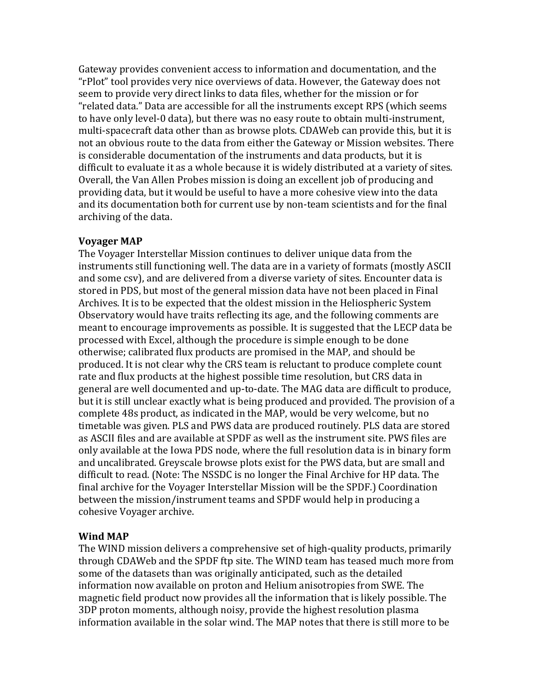Gateway provides convenient access to information and documentation, and the "rPlot" tool provides very nice overviews of data. However, the Gateway does not seem to provide very direct links to data files, whether for the mission or for "related data." Data are accessible for all the instruments except RPS (which seems to have only level-0 data), but there was no easy route to obtain multi-instrument, multi-spacecraft data other than as browse plots. CDAWeb can provide this, but it is not an obvious route to the data from either the Gateway or Mission websites. There is considerable documentation of the instruments and data products, but it is difficult to evaluate it as a whole because it is widely distributed at a variety of sites. Overall, the Van Allen Probes mission is doing an excellent job of producing and providing data, but it would be useful to have a more cohesive view into the data and its documentation both for current use by non-team scientists and for the final archiving of the data.

#### **Voyager MAP**

The Voyager Interstellar Mission continues to deliver unique data from the instruments still functioning well. The data are in a variety of formats (mostly ASCII and some csv), and are delivered from a diverse variety of sites. Encounter data is stored in PDS, but most of the general mission data have not been placed in Final Archives. It is to be expected that the oldest mission in the Heliospheric System Observatory would have traits reflecting its age, and the following comments are meant to encourage improvements as possible. It is suggested that the LECP data be processed with Excel, although the procedure is simple enough to be done otherwise; calibrated flux products are promised in the MAP, and should be produced. It is not clear why the CRS team is reluctant to produce complete count rate and flux products at the highest possible time resolution, but CRS data in general are well documented and up-to-date. The MAG data are difficult to produce, but it is still unclear exactly what is being produced and provided. The provision of a complete 48s product, as indicated in the MAP, would be very welcome, but no timetable was given. PLS and PWS data are produced routinely. PLS data are stored as ASCII files and are available at SPDF as well as the instrument site. PWS files are only available at the Iowa PDS node, where the full resolution data is in binary form and uncalibrated. Greyscale browse plots exist for the PWS data, but are small and difficult to read. (Note: The NSSDC is no longer the Final Archive for HP data. The final archive for the Voyager Interstellar Mission will be the SPDF.) Coordination between the mission/instrument teams and SPDF would help in producing a cohesive Voyager archive.

#### **Wind MAP**

The WIND mission delivers a comprehensive set of high-quality products, primarily through CDAWeb and the SPDF ftp site. The WIND team has teased much more from some of the datasets than was originally anticipated, such as the detailed information now available on proton and Helium anisotropies from SWE. The magnetic field product now provides all the information that is likely possible. The 3DP proton moments, although noisy, provide the highest resolution plasma information available in the solar wind. The MAP notes that there is still more to be